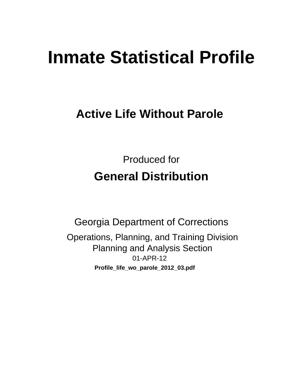# **Inmate Statistical Profile**

## **Active Life Without Parole**

**Produced for General Distribution** 

**Georgia Department of Corrections** Operations, Planning, and Training Division **Planning and Analysis Section** 01-APR-12 Profile\_life\_wo\_parole\_2012\_03.pdf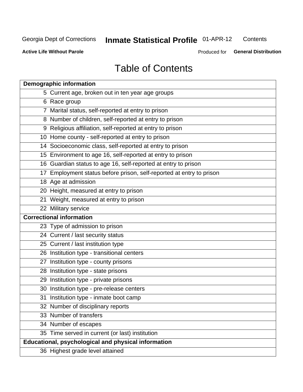## **Inmate Statistical Profile 01-APR-12**

Contents

**Active Life Without Parole** 

Produced for General Distribution

## **Table of Contents**

| <b>Demographic information</b>                                       |
|----------------------------------------------------------------------|
| 5 Current age, broken out in ten year age groups                     |
| 6 Race group                                                         |
| 7 Marital status, self-reported at entry to prison                   |
| 8 Number of children, self-reported at entry to prison               |
| 9 Religious affiliation, self-reported at entry to prison            |
| 10 Home county - self-reported at entry to prison                    |
| 14 Socioeconomic class, self-reported at entry to prison             |
| 15 Environment to age 16, self-reported at entry to prison           |
| 16 Guardian status to age 16, self-reported at entry to prison       |
| 17 Employment status before prison, self-reported at entry to prison |
| 18 Age at admission                                                  |
| 20 Height, measured at entry to prison                               |
| 21 Weight, measured at entry to prison                               |
| 22 Military service                                                  |
| <b>Correctional information</b>                                      |
| 23 Type of admission to prison                                       |
| 24 Current / last security status                                    |
| 25 Current / last institution type                                   |
| 26 Institution type - transitional centers                           |
| 27 Institution type - county prisons                                 |
| 28 Institution type - state prisons                                  |
| 29 Institution type - private prisons                                |
| 30 Institution type - pre-release centers                            |
| 31 Institution type - inmate boot camp                               |
| 32 Number of disciplinary reports                                    |
| 33 Number of transfers                                               |
| 34 Number of escapes                                                 |
| 35 Time served in current (or last) institution                      |
| <b>Educational, psychological and physical information</b>           |
| 36 Highest grade level attained                                      |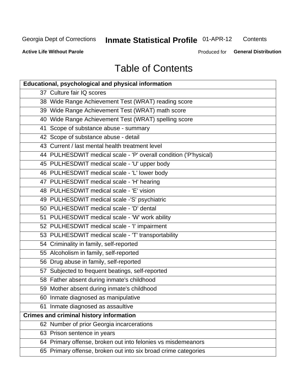## Inmate Statistical Profile 01-APR-12

Contents

**Active Life Without Parole** 

Produced for General Distribution

## **Table of Contents**

| <b>Educational, psychological and physical information</b>       |
|------------------------------------------------------------------|
| 37 Culture fair IQ scores                                        |
| 38 Wide Range Achievement Test (WRAT) reading score              |
| 39 Wide Range Achievement Test (WRAT) math score                 |
| 40 Wide Range Achievement Test (WRAT) spelling score             |
| 41 Scope of substance abuse - summary                            |
| 42 Scope of substance abuse - detail                             |
| 43 Current / last mental health treatment level                  |
| 44 PULHESDWIT medical scale - 'P' overall condition ('P'hysical) |
| 45 PULHESDWIT medical scale - 'U' upper body                     |
| 46 PULHESDWIT medical scale - 'L' lower body                     |
| 47 PULHESDWIT medical scale - 'H' hearing                        |
| 48 PULHESDWIT medical scale - 'E' vision                         |
| 49 PULHESDWIT medical scale -'S' psychiatric                     |
| 50 PULHESDWIT medical scale - 'D' dental                         |
| 51 PULHESDWIT medical scale - 'W' work ability                   |
| 52 PULHESDWIT medical scale - 'I' impairment                     |
| 53 PULHESDWIT medical scale - 'T' transportability               |
| 54 Criminality in family, self-reported                          |
| 55 Alcoholism in family, self-reported                           |
| 56 Drug abuse in family, self-reported                           |
| 57 Subjected to frequent beatings, self-reported                 |
| 58 Father absent during inmate's childhood                       |
| 59 Mother absent during inmate's childhood                       |
| 60 Inmate diagnosed as manipulative                              |
| 61 Inmate diagnosed as assaultive                                |
| <b>Crimes and criminal history information</b>                   |
| 62 Number of prior Georgia incarcerations                        |
| 63 Prison sentence in years                                      |
| 64 Primary offense, broken out into felonies vs misdemeanors     |
| 65 Primary offense, broken out into six broad crime categories   |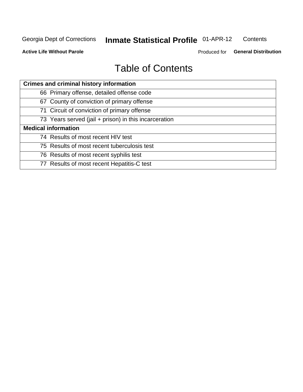#### **Inmate Statistical Profile 01-APR-12** Contents

**Active Life Without Parole** 

Produced for General Distribution

## **Table of Contents**

| <b>Crimes and criminal history information</b>        |
|-------------------------------------------------------|
| 66 Primary offense, detailed offense code             |
| 67 County of conviction of primary offense            |
| 71 Circuit of conviction of primary offense           |
| 73 Years served (jail + prison) in this incarceration |
| <b>Medical information</b>                            |
| 74 Results of most recent HIV test                    |
| 75 Results of most recent tuberculosis test           |
| 76 Results of most recent syphilis test               |
| 77 Results of most recent Hepatitis-C test            |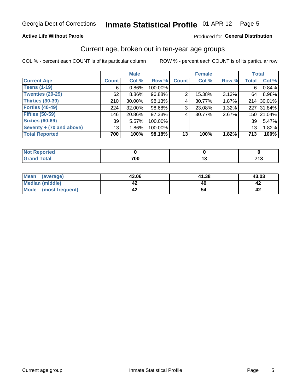#### Inmate Statistical Profile 01-APR-12 Page 5

## **Active Life Without Parole**

## Produced for General Distribution

## Current age, broken out in ten-year age groups

COL % - percent each COUNT is of its particular column

|                            |              | <b>Male</b> |         |              | <b>Female</b> |       | <b>Total</b> |            |
|----------------------------|--------------|-------------|---------|--------------|---------------|-------|--------------|------------|
| <b>Current Age</b>         | <b>Count</b> | Col %       | Row %   | <b>Count</b> | Col %         | Row % | <b>Total</b> | Col %      |
| <b>Teens (1-19)</b>        | 6            | $0.86\%$    | 100.00% |              |               |       | 6            | 0.84%      |
| <b>Twenties (20-29)</b>    | 62           | $8.86\%$    | 96.88%  | 2            | 15.38%        | 3.13% | 64           | 8.98%      |
| <b>Thirties (30-39)</b>    | 210          | $30.00\%$   | 98.13%  | 4            | 30.77%        | 1.87% | 214          | 30.01%     |
| <b>Forties (40-49)</b>     | 224          | $32.00\%$   | 98.68%  | 3            | 23.08%        | 1.32% | 227          | 31.84%     |
| <b>Fifties (50-59)</b>     | 146          | 20.86%      | 97.33%  | 4            | 30.77%        | 2.67% |              | 150 21.04% |
| <b>Sixties (60-69)</b>     | 39           | 5.57%       | 100.00% |              |               |       | 39           | 5.47%      |
| Seventy + $(70$ and above) | 13           | 1.86%       | 100.00% |              |               |       | 13           | 1.82%      |
| <b>Total Reported</b>      | 700          | 100%        | 98.18%  | 13           | 100%          | 1.82% | 713          | 100%       |

| .<br>NOT<br>rtea<br>nep<br>$\sim$ |          |   |
|-----------------------------------|----------|---|
| $T = 4 - 7$                       | 700<br>w | – |

| Mean<br>(average)    | 43.06 | 41.38 | 43.03 |
|----------------------|-------|-------|-------|
| Median (middle)      |       |       |       |
| Mode (most frequent) |       |       |       |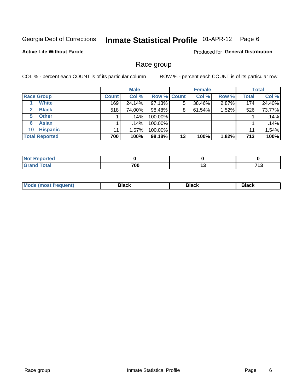#### **Inmate Statistical Profile 01-APR-12** Page 6

## **Active Life Without Parole**

**Produced for General Distribution** 

## Race group

COL % - percent each COUNT is of its particular column

|                       |              | <b>Male</b> |                    |    | <b>Female</b> |       |                  | <b>Total</b> |
|-----------------------|--------------|-------------|--------------------|----|---------------|-------|------------------|--------------|
| <b>Race Group</b>     | <b>Count</b> | Col %       | <b>Row % Count</b> |    | Col %         | Row % | Total            | Col %        |
| <b>White</b>          | 169          | 24.14%      | 97.13%             | 5  | 38.46%        | 2.87% | 174 <sub>1</sub> | 24.40%       |
| <b>Black</b>          | 518          | 74.00%      | 98.48%             | 8  | 61.54%        | 1.52% | 526              | 73.77%       |
| <b>Other</b><br>5.    |              | $.14\%$     | 100.00%            |    |               |       |                  | .14%         |
| <b>Asian</b><br>6     |              | .14%        | 100.00%            |    |               |       |                  | .14%         |
| <b>Hispanic</b><br>10 | 11           | 1.57%       | 100.00%            |    |               |       | 11               | 1.54%        |
| <b>Total Reported</b> | 700          | 100%        | 98.18%             | 13 | 100%          | 1.82% | 713              | 100%         |

| ∖rted        |     |    |          |
|--------------|-----|----|----------|
| <b>Total</b> | 700 | ., | 74.2<br> |

| M | --- | $-1$ |
|---|-----|------|
|   |     |      |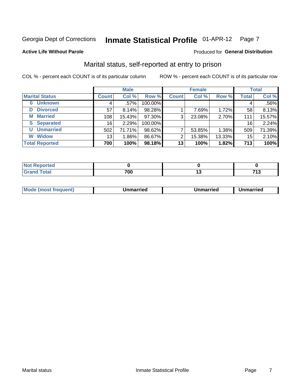#### **Inmate Statistical Profile 01-APR-12** Page 7

### **Active Life Without Parole**

## **Produced for General Distribution**

## Marital status, self-reported at entry to prison

COL % - percent each COUNT is of its particular column

|                            |                 | <b>Male</b> |         |              | <b>Female</b> |        |              | <b>Total</b> |
|----------------------------|-----------------|-------------|---------|--------------|---------------|--------|--------------|--------------|
| <b>Marital Status</b>      | <b>Count</b>    | Col %       | Row %   | <b>Count</b> | Col %         | Row %  | <b>Total</b> | Col %        |
| <b>Unknown</b><br>$\bf{0}$ |                 | $.57\%$     | 100.00% |              |               |        | 4            | .56%         |
| <b>Divorced</b><br>D       | 57              | 8.14%       | 98.28%  |              | 7.69%         | 1.72%  | 58           | 8.13%        |
| <b>Married</b><br>М        | 108             | 15.43%      | 97.30%  | 3            | 23.08%        | 2.70%  | 111          | 15.57%       |
| <b>Separated</b><br>S      | 16              | 2.29%       | 100.00% |              |               |        | 16           | 2.24%        |
| <b>Unmarried</b><br>U      | 502             | 71.71%      | 98.62%  |              | 53.85%        | 1.38%  | 509          | 71.39%       |
| <b>Widow</b><br>W          | 13 <sub>1</sub> | 1.86%       | 86.67%  | 2            | 15.38%        | 13.33% | 15           | 2.10%        |
| <b>Total Reported</b>      | 700             | 100%        | 98.18%  | 13           | 100%          | 1.82%  | 713          | 100%         |

| <b>oorted</b><br><b>NOT REPO</b>        |     |              |
|-----------------------------------------|-----|--------------|
| <b>Total</b><br>Cror<br><b>UI UI IU</b> | 700 | 749<br>. . U |

|--|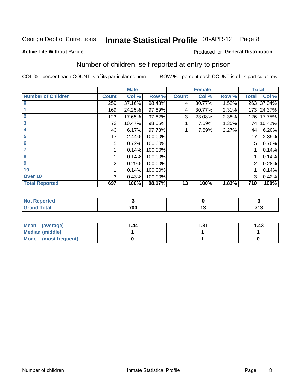#### **Inmate Statistical Profile 01-APR-12** Page 8

## **Active Life Without Parole**

## **Produced for General Distribution**

## Number of children, self reported at entry to prison

COL % - percent each COUNT is of its particular column

|                           | <b>Male</b>     |        | <b>Female</b> |              |        | <b>Total</b> |              |        |
|---------------------------|-----------------|--------|---------------|--------------|--------|--------------|--------------|--------|
| <b>Number of Children</b> | <b>Count</b>    | Col %  | Row %         | <b>Count</b> | Col %  | Row %        | <b>Total</b> | Col %  |
| $\bf{0}$                  | 259             | 37.16% | 98.48%        | 4            | 30.77% | 1.52%        | 263          | 37.04% |
|                           | 169             | 24.25% | 97.69%        | 4            | 30.77% | 2.31%        | 173          | 24.37% |
| $\overline{2}$            | 123             | 17.65% | 97.62%        | 3            | 23.08% | 2.38%        | 126          | 17.75% |
| 3                         | 73              | 10.47% | 98.65%        |              | 7.69%  | 1.35%        | 74           | 10.42% |
| 4                         | 43              | 6.17%  | 97.73%        |              | 7.69%  | 2.27%        | 44           | 6.20%  |
| 5                         | 17 <sup>1</sup> | 2.44%  | 100.00%       |              |        |              | 17           | 2.39%  |
| $6\phantom{1}6$           | 5               | 0.72%  | 100.00%       |              |        |              | 5            | 0.70%  |
| 7                         |                 | 0.14%  | 100.00%       |              |        |              |              | 0.14%  |
| $\overline{\mathbf{8}}$   |                 | 0.14%  | 100.00%       |              |        |              |              | 0.14%  |
| $\boldsymbol{9}$          | 2               | 0.29%  | 100.00%       |              |        |              | 2            | 0.28%  |
| 10                        |                 | 0.14%  | 100.00%       |              |        |              |              | 0.14%  |
| Over 10                   | 3               | 0.43%  | 100.00%       |              |        |              | 3            | 0.42%  |
| <b>Total Reported</b>     | 697             | 100%   | 98.17%        | 13           | 100%   | 1.83%        | 710          | 100%   |

| neo   |     |            |
|-------|-----|------------|
| $-1-$ | 700 | フィヘ<br>. . |

| Mean<br>(average)       | 1.44 | ∣.31 | 1.43 |
|-------------------------|------|------|------|
| Median (middle)         |      |      |      |
| Mode<br>(most frequent) |      |      |      |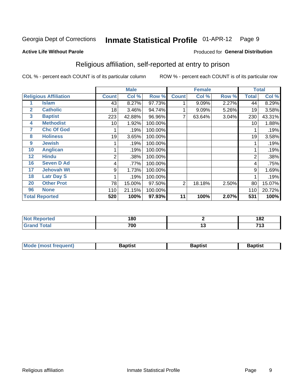#### **Inmate Statistical Profile 01-APR-12** Page 9

Produced for General Distribution

### **Active Life Without Parole**

## Religious affiliation, self-reported at entry to prison

COL % - percent each COUNT is of its particular column

|              |                              |                | <b>Male</b> |         |              | <b>Female</b> |       |                | <b>Total</b> |
|--------------|------------------------------|----------------|-------------|---------|--------------|---------------|-------|----------------|--------------|
|              | <b>Religious Affiliation</b> | <b>Count</b>   | Col %       | Row %   | <b>Count</b> | Col %         | Row % | <b>Total</b>   | Col %        |
|              | Islam                        | 43             | 8.27%       | 97.73%  |              | 9.09%         | 2.27% | 44             | 8.29%        |
| $\mathbf{2}$ | <b>Catholic</b>              | 18             | 3.46%       | 94.74%  |              | 9.09%         | 5.26% | 19             | 3.58%        |
| 3            | <b>Baptist</b>               | 223            | 42.88%      | 96.96%  | 7            | 63.64%        | 3.04% | 230            | 43.31%       |
| 4            | <b>Methodist</b>             | 10             | 1.92%       | 100.00% |              |               |       | 10             | 1.88%        |
| 7            | <b>Chc Of God</b>            |                | .19%        | 100.00% |              |               |       |                | .19%         |
| 8            | <b>Holiness</b>              | 19             | 3.65%       | 100.00% |              |               |       | 19             | 3.58%        |
| 9            | <b>Jewish</b>                |                | .19%        | 100.00% |              |               |       |                | .19%         |
| 10           | <b>Anglican</b>              |                | .19%        | 100.00% |              |               |       |                | .19%         |
| 12           | <b>Hindu</b>                 | $\overline{2}$ | .38%        | 100.00% |              |               |       | $\overline{2}$ | .38%         |
| 16           | <b>Seven D Ad</b>            | 4              | .77%        | 100.00% |              |               |       | 4              | .75%         |
| 17           | <b>Jehovah Wt</b>            | 9              | 1.73%       | 100.00% |              |               |       | 9              | 1.69%        |
| 18           | <b>Latr Day S</b>            |                | .19%        | 100.00% |              |               |       |                | .19%         |
| 20           | <b>Other Prot</b>            | 78             | 15.00%      | 97.50%  | 2            | 18.18%        | 2.50% | 80             | 15.07%       |
| 96           | <b>None</b>                  | 110            | 21.15%      | 100.00% |              |               |       | 110            | 20.72%       |
|              | <b>Total Reported</b>        | 520            | 100%        | 97.93%  | 11           | 100%          | 2.07% | 531            | 100%         |

| . керогтеа<br>. | 180 |                                 | 182          |
|-----------------|-----|---------------------------------|--------------|
| المفماد         | 700 | 1 v<br>$\overline{\phantom{a}}$ | 742<br>. I J |

| <b>Mode (most frequent)</b> | եaptist | 3aptisเ | aptist |
|-----------------------------|---------|---------|--------|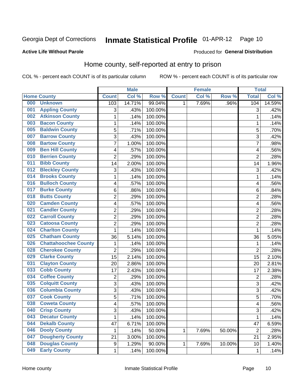#### Inmate Statistical Profile 01-APR-12 Page 10

**Produced for General Distribution** 

## **Active Life Without Parole**

## Home county, self-reported at entry to prison

COL % - percent each COUNT is of its particular column

|     |                             |                | <b>Male</b> |         |              | <b>Female</b> |        | <b>Total</b>   |        |
|-----|-----------------------------|----------------|-------------|---------|--------------|---------------|--------|----------------|--------|
|     | <b>Home County</b>          | <b>Count</b>   | Col %       | Row %   | <b>Count</b> | Col %         | Row %  | <b>Total</b>   | Col %  |
| 000 | <b>Unknown</b>              | 103            | 14.71%      | 99.04%  | 1            | 7.69%         | .96%   | 104            | 14.59% |
| 001 | <b>Appling County</b>       | 3              | .43%        | 100.00% |              |               |        | 3              | .42%   |
| 002 | <b>Atkinson County</b>      | $\mathbf 1$    | .14%        | 100.00% |              |               |        | 1              | .14%   |
| 003 | <b>Bacon County</b>         | 1              | .14%        | 100.00% |              |               |        | 1              | .14%   |
| 005 | <b>Baldwin County</b>       | 5              | .71%        | 100.00% |              |               |        | 5              | .70%   |
| 007 | <b>Barrow County</b>        | 3              | .43%        | 100.00% |              |               |        | 3              | .42%   |
| 008 | <b>Bartow County</b>        | $\overline{7}$ | 1.00%       | 100.00% |              |               |        | 7              | .98%   |
| 009 | <b>Ben Hill County</b>      | 4              | .57%        | 100.00% |              |               |        | 4              | .56%   |
| 010 | <b>Berrien County</b>       | $\overline{2}$ | .29%        | 100.00% |              |               |        | $\overline{2}$ | .28%   |
| 011 | <b>Bibb County</b>          | 14             | 2.00%       | 100.00% |              |               |        | 14             | 1.96%  |
| 012 | <b>Bleckley County</b>      | 3              | .43%        | 100.00% |              |               |        | 3              | .42%   |
| 014 | <b>Brooks County</b>        | 1              | .14%        | 100.00% |              |               |        | 1              | .14%   |
| 016 | <b>Bulloch County</b>       | 4              | .57%        | 100.00% |              |               |        | 4              | .56%   |
| 017 | <b>Burke County</b>         | 6              | .86%        | 100.00% |              |               |        | $\,6$          | .84%   |
| 018 | <b>Butts County</b>         | $\overline{2}$ | .29%        | 100.00% |              |               |        | $\overline{2}$ | .28%   |
| 020 | <b>Camden County</b>        | 4              | .57%        | 100.00% |              |               |        | 4              | .56%   |
| 021 | <b>Candler County</b>       | $\overline{2}$ | .29%        | 100.00% |              |               |        | $\overline{2}$ | .28%   |
| 022 | <b>Carroll County</b>       | $\overline{c}$ | .29%        | 100.00% |              |               |        | $\overline{2}$ | .28%   |
| 023 | <b>Catoosa County</b>       | $\overline{2}$ | .29%        | 100.00% |              |               |        | $\overline{2}$ | .28%   |
| 024 | <b>Charlton County</b>      | 1              | .14%        | 100.00% |              |               |        | 1              | .14%   |
| 025 | <b>Chatham County</b>       | 36             | 5.14%       | 100.00% |              |               |        | 36             | 5.05%  |
| 026 | <b>Chattahoochee County</b> | 1              | .14%        | 100.00% |              |               |        | 1              | .14%   |
| 028 | <b>Cherokee County</b>      | $\overline{2}$ | .29%        | 100.00% |              |               |        | $\overline{2}$ | .28%   |
| 029 | <b>Clarke County</b>        | 15             | 2.14%       | 100.00% |              |               |        | 15             | 2.10%  |
| 031 | <b>Clayton County</b>       | 20             | 2.86%       | 100.00% |              |               |        | 20             | 2.81%  |
| 033 | <b>Cobb County</b>          | 17             | 2.43%       | 100.00% |              |               |        | 17             | 2.38%  |
| 034 | <b>Coffee County</b>        | $\overline{c}$ | .29%        | 100.00% |              |               |        | $\overline{2}$ | .28%   |
| 035 | <b>Colquitt County</b>      | 3              | .43%        | 100.00% |              |               |        | 3              | .42%   |
| 036 | <b>Columbia County</b>      | 3              | .43%        | 100.00% |              |               |        | 3              | .42%   |
| 037 | <b>Cook County</b>          | 5              | .71%        | 100.00% |              |               |        | 5              | .70%   |
| 038 | <b>Coweta County</b>        | 4              | .57%        | 100.00% |              |               |        | 4              | .56%   |
| 040 | <b>Crisp County</b>         | 3              | .43%        | 100.00% |              |               |        | 3              | .42%   |
| 043 | <b>Decatur County</b>       | 1              | .14%        | 100.00% |              |               |        | 1              | .14%   |
| 044 | <b>Dekalb County</b>        | 47             | 6.71%       | 100.00% |              |               |        | 47             | 6.59%  |
| 046 | <b>Dooly County</b>         | 1              | .14%        | 50.00%  | 1            | 7.69%         | 50.00% | $\overline{2}$ | .28%   |
| 047 | <b>Dougherty County</b>     | 21             | 3.00%       | 100.00% |              |               |        | 21             | 2.95%  |
| 048 | <b>Douglas County</b>       | 9              | 1.29%       | 90.00%  | 1            | 7.69%         | 10.00% | 10             | 1.40%  |
| 049 | <b>Early County</b>         | 1              | .14%        | 100.00% |              |               |        | 1              | .14%   |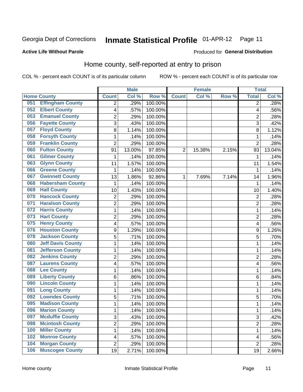## Inmate Statistical Profile 01-APR-12 Page 11

### **Active Life Without Parole**

### Produced for General Distribution

## Home county, self-reported at entry to prison

COL % - percent each COUNT is of its particular column

|     |                          |                          | <b>Male</b> |         |                | <b>Female</b> |       | <b>Total</b>   |        |
|-----|--------------------------|--------------------------|-------------|---------|----------------|---------------|-------|----------------|--------|
|     | <b>Home County</b>       | <b>Count</b>             | Col %       | Row %   | <b>Count</b>   | Col%          | Row % | <b>Total</b>   | Col %  |
| 051 | <b>Effingham County</b>  | 2                        | .29%        | 100.00% |                |               |       | 2              | .28%   |
| 052 | <b>Elbert County</b>     | $\overline{\mathbf{4}}$  | .57%        | 100.00% |                |               |       | 4              | .56%   |
| 053 | <b>Emanuel County</b>    | $\overline{c}$           | .29%        | 100.00% |                |               |       | $\overline{c}$ | .28%   |
| 056 | <b>Fayette County</b>    | 3                        | .43%        | 100.00% |                |               |       | 3              | .42%   |
| 057 | <b>Floyd County</b>      | 8                        | 1.14%       | 100.00% |                |               |       | 8              | 1.12%  |
| 058 | <b>Forsyth County</b>    | $\mathbf{1}$             | .14%        | 100.00% |                |               |       | 1              | .14%   |
| 059 | <b>Franklin County</b>   | $\overline{2}$           | .29%        | 100.00% |                |               |       | $\overline{2}$ | .28%   |
| 060 | <b>Fulton County</b>     | 91                       | 13.00%      | 97.85%  | $\overline{2}$ | 15.38%        | 2.15% | 93             | 13.04% |
| 061 | <b>Gilmer County</b>     | 1                        | .14%        | 100.00% |                |               |       | 1              | .14%   |
| 063 | <b>Glynn County</b>      | 11                       | 1.57%       | 100.00% |                |               |       | 11             | 1.54%  |
| 066 | <b>Greene County</b>     | 1                        | .14%        | 100.00% |                |               |       | 1              | .14%   |
| 067 | <b>Gwinnett County</b>   | 13                       | 1.86%       | 92.86%  | 1              | 7.69%         | 7.14% | 14             | 1.96%  |
| 068 | <b>Habersham County</b>  | $\mathbf{1}$             | .14%        | 100.00% |                |               |       | 1              | .14%   |
| 069 | <b>Hall County</b>       | 10                       | 1.43%       | 100.00% |                |               |       | 10             | 1.40%  |
| 070 | <b>Hancock County</b>    | $\overline{2}$           | .29%        | 100.00% |                |               |       | $\overline{2}$ | .28%   |
| 071 | <b>Haralson County</b>   | $\overline{2}$           | .29%        | 100.00% |                |               |       | $\overline{2}$ | .28%   |
| 072 | <b>Harris County</b>     | $\mathbf{1}$             | .14%        | 100.00% |                |               |       | 1              | .14%   |
| 073 | <b>Hart County</b>       | $\overline{2}$           | .29%        | 100.00% |                |               |       | $\overline{2}$ | .28%   |
| 075 | <b>Henry County</b>      | $\overline{\mathbf{4}}$  | .57%        | 100.00% |                |               |       | 4              | .56%   |
| 076 | <b>Houston County</b>    | 9                        | 1.29%       | 100.00% |                |               |       | 9              | 1.26%  |
| 078 | <b>Jackson County</b>    | 5                        | .71%        | 100.00% |                |               |       | 5              | .70%   |
| 080 | <b>Jeff Davis County</b> | $\mathbf{1}$             | .14%        | 100.00% |                |               |       | 1              | .14%   |
| 081 | <b>Jefferson County</b>  | $\mathbf{1}$             | .14%        | 100.00% |                |               |       | 1              | .14%   |
| 082 | <b>Jenkins County</b>    | $\overline{2}$           | .29%        | 100.00% |                |               |       | $\overline{2}$ | .28%   |
| 087 | <b>Laurens County</b>    | $\overline{\mathcal{A}}$ | .57%        | 100.00% |                |               |       | 4              | .56%   |
| 088 | <b>Lee County</b>        | $\mathbf{1}$             | .14%        | 100.00% |                |               |       | 1              | .14%   |
| 089 | <b>Liberty County</b>    | 6                        | .86%        | 100.00% |                |               |       | 6              | .84%   |
| 090 | <b>Lincoln County</b>    | $\mathbf{1}$             | .14%        | 100.00% |                |               |       | 1              | .14%   |
| 091 | <b>Long County</b>       | $\mathbf{1}$             | .14%        | 100.00% |                |               |       | 1              | .14%   |
| 092 | <b>Lowndes County</b>    | 5                        | .71%        | 100.00% |                |               |       | 5              | .70%   |
| 095 | <b>Madison County</b>    | $\mathbf{1}$             | .14%        | 100.00% |                |               |       | 1              | .14%   |
| 096 | <b>Marion County</b>     | 1                        | .14%        | 100.00% |                |               |       | 1              | .14%   |
| 097 | <b>Mcduffie County</b>   | 3                        | .43%        | 100.00% |                |               |       | 3              | .42%   |
| 098 | <b>Mcintosh County</b>   | $\overline{2}$           | .29%        | 100.00% |                |               |       | 2              | .28%   |
| 100 | <b>Miller County</b>     | $\mathbf 1$              | .14%        | 100.00% |                |               |       | $\mathbf{1}$   | .14%   |
| 102 | <b>Monroe County</b>     | $\overline{\mathcal{A}}$ | .57%        | 100.00% |                |               |       | 4              | .56%   |
| 104 | <b>Morgan County</b>     | $\overline{2}$           | .29%        | 100.00% |                |               |       | $\overline{2}$ | .28%   |
| 106 | <b>Muscogee County</b>   | 19                       | 2.71%       | 100.00% |                |               |       | 19             | 2.66%  |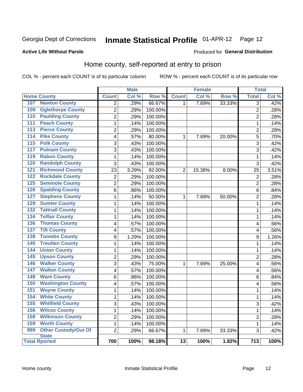## Inmate Statistical Profile 01-APR-12 Page 12

## **Active Life Without Parole**

### Produced for General Distribution

## Home county, self-reported at entry to prison

COL % - percent each COUNT is of its particular column

|                                            |                         | <b>Male</b> |         |                 | <b>Female</b> |        | <b>Total</b>     |       |
|--------------------------------------------|-------------------------|-------------|---------|-----------------|---------------|--------|------------------|-------|
| <b>Home County</b>                         | <b>Count</b>            | Col %       | Row %   | <b>Count</b>    | Col %         | Row %  | <b>Total</b>     | Col % |
| <b>Newton County</b><br>107                | $\overline{2}$          | .29%        | 66.67%  | 1               | 7.69%         | 33.33% | $\overline{3}$   | .42%  |
| <b>Oglethorpe County</b><br>109            | $\overline{2}$          | .29%        | 100.00% |                 |               |        | $\overline{2}$   | .28%  |
| <b>Paulding County</b><br>110              | $\overline{2}$          | .29%        | 100.00% |                 |               |        | $\overline{2}$   | .28%  |
| <b>Peach County</b><br>111                 | $\mathbf{1}$            | .14%        | 100.00% |                 |               |        | 1                | .14%  |
| <b>Pierce County</b><br>113                | $\overline{c}$          | .29%        | 100.00% |                 |               |        | $\overline{c}$   | .28%  |
| <b>Pike County</b><br>114                  | $\overline{\mathbf{4}}$ | .57%        | 80.00%  | 1               | 7.69%         | 20.00% | 5                | .70%  |
| <b>Polk County</b><br>115                  | $\overline{3}$          | .43%        | 100.00% |                 |               |        | 3                | .42%  |
| <b>Putnam County</b><br>117                | $\overline{3}$          | .43%        | 100.00% |                 |               |        | 3                | .42%  |
| <b>Rabun County</b><br>119                 | $\mathbf{1}$            | .14%        | 100.00% |                 |               |        | 1                | .14%  |
| <b>Randolph County</b><br>120              | 3                       | .43%        | 100.00% |                 |               |        | 3                | .42%  |
| <b>Richmond County</b><br>121              | 23                      | 3.29%       | 92.00%  | $\overline{2}$  | 15.38%        | 8.00%  | 25               | 3.51% |
| 122<br><b>Rockdale County</b>              | $\overline{2}$          | .29%        | 100.00% |                 |               |        | $\overline{2}$   | .28%  |
| 125<br><b>Seminole County</b>              | $\overline{2}$          | .29%        | 100.00% |                 |               |        | $\overline{2}$   | .28%  |
| <b>Spalding County</b><br>126              | 6                       | .86%        | 100.00% |                 |               |        | 6                | .84%  |
| <b>Stephens County</b><br>127              | $\mathbf{1}$            | .14%        | 50.00%  | 1               | 7.69%         | 50.00% | $\overline{2}$   | .28%  |
| <b>Sumter County</b><br>129                | $\mathbf 1$             | .14%        | 100.00% |                 |               |        | 1                | .14%  |
| <b>Tattnall County</b><br>$\overline{132}$ | $\mathbf 1$             | .14%        | 100.00% |                 |               |        | 1                | .14%  |
| <b>Telfair County</b><br>134               | $\mathbf{1}$            | .14%        | 100.00% |                 |               |        | 1                | .14%  |
| <b>Thomas County</b><br>136                | 4                       | .57%        | 100.00% |                 |               |        | 4                | .56%  |
| <b>Tift County</b><br>$\overline{137}$     | 4                       | .57%        | 100.00% |                 |               |        | 4                | .56%  |
| <b>Toombs County</b><br>138                | 9                       | 1.29%       | 100.00% |                 |               |        | 9                | 1.26% |
| <b>Treutlen County</b><br>140              | $\mathbf{1}$            | .14%        | 100.00% |                 |               |        | 1                | .14%  |
| <b>Union County</b><br>144                 | $\mathbf 1$             | .14%        | 100.00% |                 |               |        | 1                | .14%  |
| <b>Upson County</b><br>145                 | $\overline{c}$          | .29%        | 100.00% |                 |               |        | $\overline{c}$   | .28%  |
| <b>Walker County</b><br>146                | 3                       | .43%        | 75.00%  | $\mathbf{1}$    | 7.69%         | 25.00% | 4                | .56%  |
| <b>Walton County</b><br>147                | $\overline{\mathbf{4}}$ | .57%        | 100.00% |                 |               |        | 4                | .56%  |
| <b>Ware County</b><br>148                  | 6                       | .86%        | 100.00% |                 |               |        | 6                | .84%  |
| <b>Washington County</b><br>150            | $\overline{\mathbf{4}}$ | .57%        | 100.00% |                 |               |        | 4                | .56%  |
| <b>Wayne County</b><br>151                 | $\mathbf{1}$            | .14%        | 100.00% |                 |               |        | 1                | .14%  |
| <b>White County</b><br>154                 | $\mathbf{1}$            | .14%        | 100.00% |                 |               |        | 1                | .14%  |
| <b>Whitfield County</b><br>155             | $\overline{3}$          | .43%        | 100.00% |                 |               |        | 3                | .42%  |
| <b>Wilcox County</b><br>156                | $\mathbf{1}$            | .14%        | 100.00% |                 |               |        | $\mathbf 1$      | .14%  |
| <b>Wilkinson County</b><br>158             | $\overline{2}$          | .29%        | 100.00% |                 |               |        | $\overline{2}$   | .28%  |
| <b>Worth County</b><br>159                 | $\mathbf{1}$            | .14%        | 100.00% |                 |               |        | 1                | .14%  |
| <b>Other Custody/Out Of</b><br>999         | $\overline{2}$          | .29%        | 66.67%  | $\mathbf{1}$    | 7.69%         | 33.33% | 3                | .42%  |
| <b>State</b><br><b>Total Rported</b>       | 700                     | 100%        | 98.18%  | $\overline{13}$ | 100%          | 1.82%  | $\overline{713}$ | 100%  |
|                                            |                         |             |         |                 |               |        |                  |       |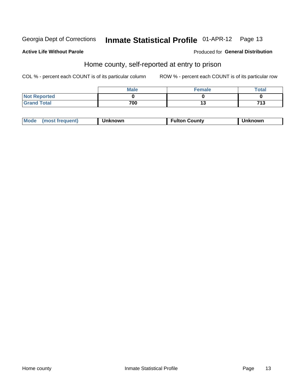## Inmate Statistical Profile 01-APR-12 Page 13

## **Active Life Without Parole**

### Produced for General Distribution

## Home county, self-reported at entry to prison

COL % - percent each COUNT is of its particular column

|                     | <b>Male</b> | Female | Total |
|---------------------|-------------|--------|-------|
| <b>Not Reported</b> |             |        |       |
| <b>Grand Total</b>  | 700         | ⊶      | 713   |

| Mode<br>Fulton Countv<br><b>Unknowr</b><br>(most frequent)<br><b>nown</b> |
|---------------------------------------------------------------------------|
|---------------------------------------------------------------------------|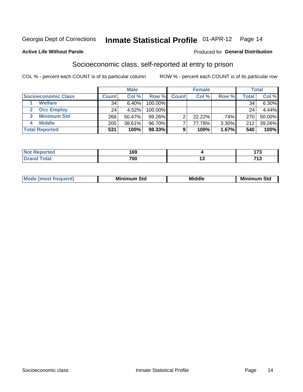## Inmate Statistical Profile 01-APR-12 Page 14

### **Active Life Without Parole**

### Produced for General Distribution

## Socioeconomic class, self-reported at entry to prison

COL % - percent each COUNT is of its particular column

|                       | <b>Male</b><br><b>Female</b> |        |            | <b>Total</b> |           |       |       |        |
|-----------------------|------------------------------|--------|------------|--------------|-----------|-------|-------|--------|
| Socioeconomic Class   | <b>Count</b>                 | Col %  | Row %      | <b>Count</b> | Col %     | Row % | Total | Col %  |
| <b>Welfare</b>        | 34                           | 6.40%  | 100.00%    |              |           |       | 34    | 6.30%  |
| <b>Occ Employ</b>     | 24                           | 4.52%  | $100.00\%$ |              |           |       | 24    | 4.44%  |
| <b>Minimum Std</b>    | 268                          | 50.47% | $99.26\%$  |              | $22.22\%$ | .74%  | 270   | 50.00% |
| <b>Middle</b>         | 205                          | 38.61% | 96.70%     |              | 77.78%    | 3.30% | 212   | 39.26% |
| <b>Total Reported</b> | 531                          | 100%   | 98.33%     |              | 100%      | 1.67% | 540   | 100%   |

| rtea<br>NO<br>. <del>.</del> | 169 | - - -    |
|------------------------------|-----|----------|
|                              | 700 | 74 9<br> |

| ____ |
|------|
|------|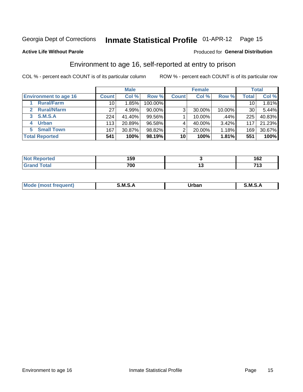## Inmate Statistical Profile 01-APR-12 Page 15

### **Active Life Without Parole**

### Produced for General Distribution

## Environment to age 16, self-reported at entry to prison

COL % - percent each COUNT is of its particular column

|                                    |              | <b>Male</b> |           |              | <b>Female</b> |        |                  | <b>Total</b> |
|------------------------------------|--------------|-------------|-----------|--------------|---------------|--------|------------------|--------------|
| <b>Environment to age 16</b>       | <b>Count</b> | Col %       | Row %     | <b>Count</b> | Col %         | Row %  | Total            | Col %        |
| <b>Rural/Farm</b>                  | 10           | 1.85%       | 100.00%   |              |               |        | 10 <sub>1</sub>  | $1.81\%$     |
| <b>Rural/Nfarm</b><br>$\mathbf{p}$ | 27           | 4.99%       | $90.00\%$ | 3            | 30.00%        | 10.00% | 30               | 5.44%        |
| <b>S.M.S.A</b><br>3                | 224          | 41.40%      | $99.56\%$ |              | 10.00%        | .44%   | 225              | 40.83%       |
| <b>Urban</b><br>4                  | 113          | 20.89%      | 96.58%    |              | 40.00%        | 3.42%  | 117 <sub>1</sub> | 21.23%       |
| <b>Small Town</b><br>5.            | 167          | 30.87%      | 98.82%    | ⌒            | 20.00%        | 1.18%  | 169              | 30.67%       |
| <b>Total Reported</b>              | 541          | 100%        | 98.19%    | 10           | 100%          | 1.81%  | 551              | 100%         |

| <b>Not Reported</b> | 159 | 162             |
|---------------------|-----|-----------------|
| Total               | 700 | <br>74 O<br>. . |

| Mo | M | urhar . | M      |
|----|---|---------|--------|
|    |   | _____   | ______ |
|    |   |         |        |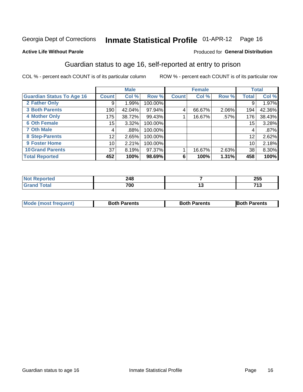## Inmate Statistical Profile 01-APR-12 Page 16

## **Active Life Without Parole**

### Produced for General Distribution

## Guardian status to age 16, self-reported at entry to prison

COL % - percent each COUNT is of its particular column

|                                  |              | <b>Male</b> |         |              | <b>Female</b> |       |       | <b>Total</b> |
|----------------------------------|--------------|-------------|---------|--------------|---------------|-------|-------|--------------|
| <b>Guardian Status To Age 16</b> | <b>Count</b> | Col %       | Row %   | <b>Count</b> | Col %         | Row % | Total | Col %        |
| 2 Father Only                    | 9            | 1.99%       | 100.00% |              |               |       | 9     | 1.97%        |
| <b>3 Both Parents</b>            | 190          | 42.04%      | 97.94%  | 4            | 66.67%        | 2.06% | 194   | 42.36%       |
| <b>4 Mother Only</b>             | 175          | 38.72%      | 99.43%  |              | 16.67%        | .57%  | 176   | 38.43%       |
| <b>6 Oth Female</b>              | 15           | 3.32%       | 100.00% |              |               |       | 15    | 3.28%        |
| <b>7 Oth Male</b>                | 4            | .88%        | 100.00% |              |               |       | 4     | .87%         |
| 8 Step-Parents                   | 12           | 2.65%       | 100.00% |              |               |       | 12    | 2.62%        |
| 9 Foster Home                    | 10           | 2.21%       | 100.00% |              |               |       | 10    | 2.18%        |
| <b>10 Grand Parents</b>          | 37           | 8.19%       | 97.37%  |              | 16.67%        | 2.63% | 38    | 8.30%        |
| <b>Total Reported</b>            | 452          | 100%        | 98.69%  | 6            | 100%          | 1.31% | 458   | 100%         |

| æс | 248<br>$\sim$ | 255         |
|----|---------------|-------------|
|    | 700           | -749<br>. . |

| <b>Mode (most frequent)</b> | <b>Both Parents</b> | <b>Both Parents</b> | <b>Both Parents</b> |
|-----------------------------|---------------------|---------------------|---------------------|
|                             |                     |                     |                     |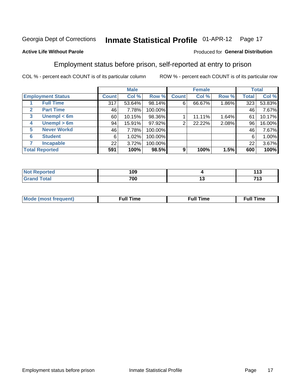#### **Inmate Statistical Profile 01-APR-12** Page 17

## **Active Life Without Parole**

### Produced for General Distribution

## Employment status before prison, self-reported at entry to prison

COL % - percent each COUNT is of its particular column

|                                  |                 | <b>Male</b> |         |              | <b>Female</b> |       |       | <b>Total</b> |
|----------------------------------|-----------------|-------------|---------|--------------|---------------|-------|-------|--------------|
| <b>Employment Status</b>         | Count l         | Col %       | Row %   | <b>Count</b> | Col %         | Row % | Total | Col %        |
| <b>Full Time</b>                 | 317             | 53.64%      | 98.14%  | 6            | 66.67%        | 1.86% | 323   | 53.83%       |
| <b>Part Time</b><br>$\mathbf{2}$ | 46              | 7.78%       | 100.00% |              |               |       | 46    | 7.67%        |
| Unempl $<$ 6m<br>$\mathbf{3}$    | 60              | 10.15%      | 98.36%  |              | 11.11%        | 1.64% | 61    | 10.17%       |
| Unempl $> 6m$<br>4               | 94              | 15.91%      | 97.92%  | 2            | 22.22%        | 2.08% | 96    | 16.00%       |
| <b>Never Workd</b><br>5          | 46              | 7.78%       | 100.00% |              |               |       | 46    | 7.67%        |
| <b>Student</b><br>6              | 6               | 1.02%       | 100.00% |              |               |       | 6     | 1.00%        |
| <b>Incapable</b>                 | 22 <sub>1</sub> | 3.72%       | 100.00% |              |               |       | 22    | 3.67%        |
| <b>Total Reported</b>            | 591             | 100%        | 98.5%   | 9            | 100%          | 1.5%  | 600   | 100%         |

| тео.                   | 109 | 440<br>. .      |
|------------------------|-----|-----------------|
| $f \wedge f \wedge f'$ | 700 | <br>74.2<br>ں ا |

| M | the contract of the contract of the contract of the contract of the contract of the contract of the contract of | ---<br>me<br> |
|---|-----------------------------------------------------------------------------------------------------------------|---------------|
|   |                                                                                                                 |               |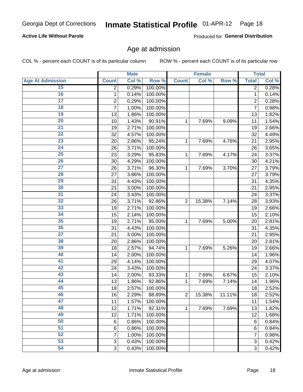#### Inmate Statistical Profile 01-APR-12 Page 18

## **Active Life Without Parole**

Produced for General Distribution

## Age at admission

COL % - percent each COUNT is of its particular column

|                         |                 | <b>Male</b> |         |                | <b>Female</b> |        |                | <b>Total</b> |
|-------------------------|-----------------|-------------|---------|----------------|---------------|--------|----------------|--------------|
| <b>Age At Admission</b> | <b>Count</b>    | Col %       | Row %   | <b>Count</b>   | Col %         | Row %  | <b>Total</b>   | Col %        |
| 15                      | 2               | 0.29%       | 100.00% |                |               |        | 2              | 0.28%        |
| 16                      | 1               | 0.14%       | 100.00% |                |               |        | $\mathbf{1}$   | 0.14%        |
| $\overline{17}$         | 2               | 0.29%       | 100.00% |                |               |        | $\overline{2}$ | 0.28%        |
| 18                      | 7               | 1.00%       | 100.00% |                |               |        | 7              | 0.98%        |
| 19                      | 13              | 1.86%       | 100.00% |                |               |        | 13             | 1.82%        |
| $\overline{20}$         | 10              | 1.43%       | 90.91%  | 1              | 7.69%         | 9.09%  | 11             | 1.54%        |
| 21                      | 19              | 2.71%       | 100.00% |                |               |        | 19             | 2.66%        |
| 22                      | 32              | 4.57%       | 100.00% |                |               |        | 32             | 4.49%        |
| $\overline{23}$         | 20              | 2.86%       | 95.24%  | 1              | 7.69%         | 4.76%  | 21             | 2.95%        |
| 24                      | 26              | 3.71%       | 100.00% |                |               |        | 26             | 3.65%        |
| $\overline{25}$         | 23              | 3.29%       | 95.83%  | 1              | 7.69%         | 4.17%  | 24             | 3.37%        |
| 26                      | 30              | 4.29%       | 100.00% |                |               |        | 30             | 4.21%        |
| $\overline{27}$         | 26              | 3.71%       | 96.30%  | 1              | 7.69%         | 3.70%  | 27             | 3.79%        |
| 28                      | 27              | 3.86%       | 100.00% |                |               |        | 27             | 3.79%        |
| 29                      | 31              | 4.43%       | 100.00% |                |               |        | 31             | 4.35%        |
| 30                      | 21              | 3.00%       | 100.00% |                |               |        | 21             | 2.95%        |
| 31                      | 24              | 3.43%       | 100.00% |                |               |        | 24             | 3.37%        |
| 32                      | 26              | 3.71%       | 92.86%  | $\overline{2}$ | 15.38%        | 7.14%  | 28             | 3.93%        |
| 33                      | 19              | 2.71%       | 100.00% |                |               |        | 19             | 2.66%        |
| 34                      | 15              | 2.14%       | 100.00% |                |               |        | 15             | 2.10%        |
| 35                      | 19              | 2.71%       | 95.00%  | 1              | 7.69%         | 5.00%  | 20             | 2.81%        |
| 36                      | 31              | 4.43%       | 100.00% |                |               |        | 31             | 4.35%        |
| $\overline{37}$         | 21              | 3.00%       | 100.00% |                |               |        | 21             | 2.95%        |
| 38                      | 20              | 2.86%       | 100.00% |                |               |        | 20             | 2.81%        |
| 39                      | 18              | 2.57%       | 94.74%  | 1              | 7.69%         | 5.26%  | 19             | 2.66%        |
| 40                      | 14              | 2.00%       | 100.00% |                |               |        | 14             | 1.96%        |
| 41                      | 29              | 4.14%       | 100.00% |                |               |        | 29             | 4.07%        |
| 42                      | 24              | 3.43%       | 100.00% |                |               |        | 24             | 3.37%        |
| 43                      | 14              | 2.00%       | 93.33%  | 1              | 7.69%         | 6.67%  | 15             | 2.10%        |
| 44                      | 13              | 1.86%       | 92.86%  | 1              | 7.69%         | 7.14%  | 14             | 1.96%        |
| 45                      | 18              | 2.57%       | 100.00% |                |               |        | 18             | 2.52%        |
| 46                      | 16              | 2.29%       | 88.89%  | $\overline{2}$ | 15.38%        | 11.11% | 18             | 2.52%        |
| 47                      | 11              | 1.57%       | 100.00% |                |               |        | 11             | 1.54%        |
| 48                      | 12              | 1.71%       | 92.31%  | 1              | 7.69%         | 7.69%  | 13             | 1.82%        |
| 49                      | 12              | 1.71%       | 100.00% |                |               |        | 12             | 1.68%        |
| 50                      | 6               | 0.86%       | 100.00% |                |               |        | 6              | 0.84%        |
| $\overline{51}$         | $6\phantom{1}6$ | 0.86%       | 100.00% |                |               |        | 6              | 0.84%        |
| 52                      | 7               | 1.00%       | 100.00% |                |               |        | 7              | 0.98%        |
| 53                      | 3               | 0.43%       | 100.00% |                |               |        | 3              | 0.42%        |
| 54                      | 3               | 0.43%       | 100.00% |                |               |        | 3              | 0.42%        |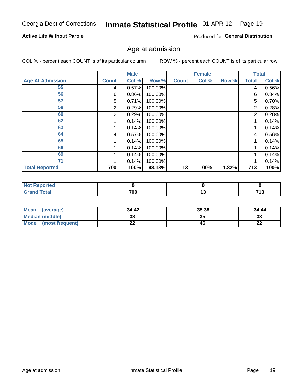#### Inmate Statistical Profile 01-APR-12 Page 19

## **Active Life Without Parole**

Produced for General Distribution

## Age at admission

COL % - percent each COUNT is of its particular column

|                         |              | <b>Male</b> |         |              | <b>Female</b> |       |       | <b>Total</b> |
|-------------------------|--------------|-------------|---------|--------------|---------------|-------|-------|--------------|
| <b>Age At Admission</b> | <b>Count</b> | Col %       | Row %   | <b>Count</b> | Col %         | Row % | Total | Col %        |
| 55                      | 4            | 0.57%       | 100.00% |              |               |       | 4     | 0.56%        |
| 56                      | 6            | 0.86%       | 100.00% |              |               |       | 6     | 0.84%        |
| 57                      | 5            | 0.71%       | 100.00% |              |               |       | 5     | 0.70%        |
| 58                      | 2            | 0.29%       | 100.00% |              |               |       | 2     | 0.28%        |
| 60                      | 2            | 0.29%       | 100.00% |              |               |       | 2     | 0.28%        |
| 62                      |              | 0.14%       | 100.00% |              |               |       |       | 0.14%        |
| 63                      |              | 0.14%       | 100.00% |              |               |       |       | 0.14%        |
| 64                      | 4            | 0.57%       | 100.00% |              |               |       | 4     | 0.56%        |
| 65                      |              | 0.14%       | 100.00% |              |               |       |       | 0.14%        |
| 66                      |              | 0.14%       | 100.00% |              |               |       |       | 0.14%        |
| 69                      |              | 0.14%       | 100.00% |              |               |       |       | 0.14%        |
| 71                      |              | 0.14%       | 100.00% |              |               |       |       | 0.14%        |
| <b>Total Reported</b>   | 700          | 100%        | 98.18%  | 13           | 100%          | 1.82% | 713   | 100%         |

| ∘rted<br>NOT    |     |    |                             |
|-----------------|-----|----|-----------------------------|
| $int^{\bullet}$ | 700 | יי | <b>749</b><br>1 J<br>$\sim$ |

| Mean<br>(average)              | 34.42 | 35.38 | 34.44    |
|--------------------------------|-------|-------|----------|
| <b>Median (middle)</b>         | ົ     | 35    | າາ<br>نە |
| <b>Mode</b><br>(most frequent) | --    | 46    | n,<br>LL |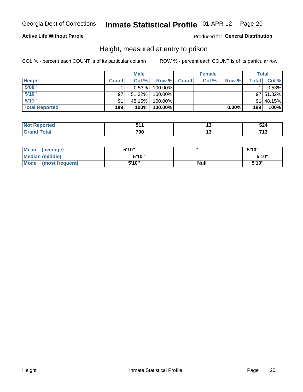#### Inmate Statistical Profile 01-APR-12 Page 20

## **Active Life Without Parole**

## Produced for General Distribution

## Height, measured at entry to prison

COL % - percent each COUNT is of its particular column

|                       |              | <b>Male</b> |         |              | <b>Female</b> |          |              | Total     |
|-----------------------|--------------|-------------|---------|--------------|---------------|----------|--------------|-----------|
| <b>Height</b>         | <b>Count</b> | Col %       | Row %   | <b>Count</b> | Col %         | Row %    | <b>Total</b> | Col %     |
| 5'08''                |              | 0.53%       | 100.00% |              |               |          |              | 0.53%     |
| 5'10''                | 97           | $51.32\%$   | 100.00% |              |               |          |              | 97 51.32% |
| 5'11''                | 91           | 48.15%      | 100.00% |              |               |          |              | 91 48.15% |
| <b>Total Reported</b> | 189          | 100%        | 100.00% |              |               | $0.00\%$ | 189          | 100%      |

| <b>Not</b><br>enorted  |     | <b>ra</b><br>524 |
|------------------------|-----|------------------|
| <b>Total</b><br>'Grand | 700 | 74.2<br>. .      |

| Mean<br>(average)       | 5'10" | ш           | 5'10"  |
|-------------------------|-------|-------------|--------|
| Median (middle)         | 5'10" |             | 5'10'' |
| Mode<br>(most frequent) | 5'10" | <b>Null</b> | 5'10"  |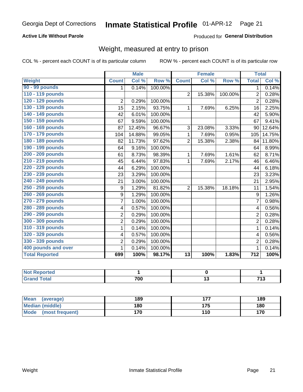#### Inmate Statistical Profile 01-APR-12 Page 21

## **Active Life Without Parole**

## Produced for General Distribution

## Weight, measured at entry to prison

COL % - percent each COUNT is of its particular column

|                       |                         | <b>Male</b> |         |                 | <b>Female</b>             |         | <b>Total</b>     |        |
|-----------------------|-------------------------|-------------|---------|-----------------|---------------------------|---------|------------------|--------|
| Weight                | <b>Count</b>            | Col %       | Row %   | <b>Count</b>    | $\overline{\text{Col}}$ % | Row %   | <b>Total</b>     | Col %  |
| 90 - 99 pounds        | 1                       | 0.14%       | 100.00% |                 |                           |         | 1 <sup>1</sup>   | 0.14%  |
| 110 - 119 pounds      |                         |             |         | $\overline{2}$  | 15.38%                    | 100.00% | $\overline{2}$   | 0.28%  |
| 120 - 129 pounds      | $\overline{2}$          | 0.29%       | 100.00% |                 |                           |         | $\overline{2}$   | 0.28%  |
| 130 - 139 pounds      | 15                      | 2.15%       | 93.75%  | 1               | 7.69%                     | 6.25%   | 16               | 2.25%  |
| 140 - 149 pounds      | 42                      | 6.01%       | 100.00% |                 |                           |         | 42               | 5.90%  |
| 150 - 159 pounds      | 67                      | 9.59%       | 100.00% |                 |                           |         | 67               | 9.41%  |
| 160 - 169 pounds      | 87                      | 12.45%      | 96.67%  | 3               | 23.08%                    | 3.33%   | 90               | 12.64% |
| 170 - 179 pounds      | 104                     | 14.88%      | 99.05%  | 1               | 7.69%                     | 0.95%   | 105              | 14.75% |
| 180 - 189 pounds      | 82                      | 11.73%      | 97.62%  | $\overline{2}$  | 15.38%                    | 2.38%   | 84               | 11.80% |
| 190 - 199 pounds      | 64                      | 9.16%       | 100.00% |                 |                           |         | 64               | 8.99%  |
| 200 - 209 pounds      | 61                      | 8.73%       | 98.39%  | 1               | 7.69%                     | 1.61%   | 62               | 8.71%  |
| 210 - 219 pounds      | 45                      | 6.44%       | 97.83%  | 1               | 7.69%                     | 2.17%   | 46               | 6.46%  |
| 220 - 229 pounds      | 44                      | 6.29%       | 100.00% |                 |                           |         | 44               | 6.18%  |
| 230 - 239 pounds      | 23                      | 3.29%       | 100.00% |                 |                           |         | 23               | 3.23%  |
| 240 - 249 pounds      | 21                      | 3.00%       | 100.00% |                 |                           |         | 21               | 2.95%  |
| 250 - 259 pounds      | 9                       | 1.29%       | 81.82%  | $\overline{2}$  | 15.38%                    | 18.18%  | 11               | 1.54%  |
| 260 - 269 pounds      | 9                       | 1.29%       | 100.00% |                 |                           |         | 9                | 1.26%  |
| 270 - 279 pounds      | $\overline{7}$          | 1.00%       | 100.00% |                 |                           |         | $\overline{7}$   | 0.98%  |
| 280 - 289 pounds      | $\overline{\mathbf{4}}$ | 0.57%       | 100.00% |                 |                           |         | 4                | 0.56%  |
| 290 - 299 pounds      | $\overline{2}$          | 0.29%       | 100.00% |                 |                           |         | $\overline{2}$   | 0.28%  |
| 300 - 309 pounds      | $\overline{c}$          | 0.29%       | 100.00% |                 |                           |         | $\overline{2}$   | 0.28%  |
| 310 - 319 pounds      | 1                       | 0.14%       | 100.00% |                 |                           |         | $\mathbf 1$      | 0.14%  |
| 320 - 329 pounds      | $\overline{\mathbf{4}}$ | 0.57%       | 100.00% |                 |                           |         | 4                | 0.56%  |
| 330 - 339 pounds      | $\overline{c}$          | 0.29%       | 100.00% |                 |                           |         | $\overline{2}$   | 0.28%  |
| 400 pounds and over   | 1                       | 0.14%       | 100.00% |                 |                           |         | $\mathbf 1$      | 0.14%  |
| <b>Total Reported</b> | 699                     | 100%        | 98.17%  | $\overline{13}$ | 100%                      | 1.83%   | $\overline{712}$ | 100%   |

| Reported<br>NA<br>$\sim$ |     |           |
|--------------------------|-----|-----------|
| <b>otal</b>              | 700 | 742<br>יו |

| Mean<br>(average)              | 189 | --- | 189 |
|--------------------------------|-----|-----|-----|
| <b>Median (middle)</b>         | 180 | 175 | 180 |
| <b>Mode</b><br>(most frequent) | 170 | 110 | 170 |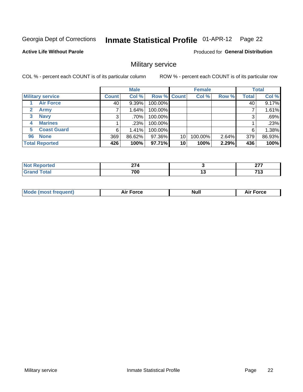#### **Inmate Statistical Profile 01-APR-12** Page 22

**Active Life Without Parole** 

Produced for General Distribution

## Military service

COL % - percent each COUNT is of its particular column

|                             |              | <b>Male</b> |             |    | <b>Female</b> |       |              | <b>Total</b> |
|-----------------------------|--------------|-------------|-------------|----|---------------|-------|--------------|--------------|
| <b>Military service</b>     | <b>Count</b> | Col %       | Row % Count |    | Col %         | Row % | <b>Total</b> | Col %        |
| <b>Air Force</b>            | 40           | $9.39\%$    | 100.00%     |    |               |       | 40           | 9.17%        |
| $\mathbf{2}$<br><b>Army</b> |              | 1.64%       | 100.00%     |    |               |       |              | 1.61%        |
| <b>Navy</b><br>3            | 3            | .70%        | 100.00%     |    |               |       | 3            | .69%         |
| <b>Marines</b><br>4         |              | .23%        | 100.00%     |    |               |       |              | .23%         |
| <b>Coast Guard</b><br>5     | 6            | 1.41%       | 100.00%     |    |               |       | 6            | 1.38%        |
| <b>None</b><br>96           | 369          | 86.62%      | 97.36%      | 10 | 100.00%       | 2.64% | 379          | 86.93%       |
| <b>Total Reported</b>       | 426          | 100%        | 97.71%      | 10 | 100%          | 2.29% | 436          | 100%         |

| <b>rted</b>                 | $\sim$ $\sim$ $\sim$ |    | $\sim$<br>--    |
|-----------------------------|----------------------|----|-----------------|
| <b>otal</b><br>$\mathbf{v}$ | 700                  | '' | 74 <sup>o</sup> |

|  |  | <b>Mode</b><br>uent)<br>most tren | Force<br>Aır | <b>Null</b> | orce |
|--|--|-----------------------------------|--------------|-------------|------|
|--|--|-----------------------------------|--------------|-------------|------|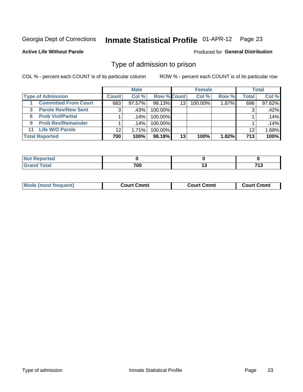#### **Inmate Statistical Profile 01-APR-12** Page 23

**Active Life Without Parole** 

Produced for General Distribution

## Type of admission to prison

COL % - percent each COUNT is of its particular column

|                                |              | <b>Male</b> |                    |    | <b>Female</b> |       |              | <b>Total</b> |
|--------------------------------|--------------|-------------|--------------------|----|---------------|-------|--------------|--------------|
| <b>Type of Admission</b>       | <b>Count</b> | Col %       | <b>Row % Count</b> |    | Col %         | Row % | <b>Total</b> | Col %        |
| <b>Committed From Court</b>    | 683          | $97.57\%$   | $98.13\%$          | 13 | 100.00%       | 1.87% | 696          | 97.62%       |
| <b>Parole Rev/New Sent</b>     | 3            | .43%        | 100.00%            |    |               |       | 3            | .42%         |
| <b>Prob Viol/Partial</b><br>6. |              | $.14\%$     | 100.00%            |    |               |       |              | .14%         |
| <b>Prob Rev/Remainder</b><br>9 |              | .14%        | 100.00%            |    |               |       |              | .14%         |
| <b>Life W/O Parole</b><br>11   | 12           | 1.71%       | 100.00%            |    |               |       | 12           | 1.68%        |
| <b>Total Reported</b>          | 700          | 100%        | 98.18%             | 13 | 100%          | 1.82% | 713          | 100%         |

| orted<br><b>NOT</b>          |     |               |
|------------------------------|-----|---------------|
| $T \cap f \cap f$<br><b></b> | 700 | 74.2<br>. . J |

| Mod<br>frequent)<br><b>TA IMOST 1.</b> | Court Cmmt<br>$\sim$ $\sim$ | วmmt<br>∴ourt | ∶ Cmmt<br>∴∩⊔rt∴ |
|----------------------------------------|-----------------------------|---------------|------------------|
|                                        |                             |               |                  |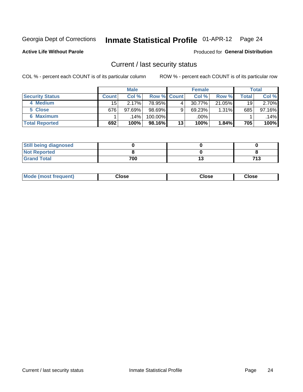## Inmate Statistical Profile 01-APR-12 Page 24

**Active Life Without Parole** 

### Produced for General Distribution

## Current / last security status

COL % - percent each COUNT is of its particular column

|                        |              | <b>Male</b> |                    |    | <b>Female</b> |        |       | <b>Total</b> |
|------------------------|--------------|-------------|--------------------|----|---------------|--------|-------|--------------|
| <b>Security Status</b> | <b>Count</b> | Col %       | <b>Row % Count</b> |    | Col %         | Row %  | Total | Col %        |
| 4 Medium               | 15           | 2.17%       | 78.95%             | 4  | 30.77%        | 21.05% | 19    | 2.70%        |
| 5 Close                | 676          | 97.69%      | $98.69\%$          | 9  | 69.23%        | 1.31%  | 685   | 97.16%       |
| <b>6 Maximum</b>       |              | 14%         | 100.00%            |    | .00%          |        |       | .14%         |
| <b>Total Reported</b>  | 692          | 100%        | 98.16%             | 13 | 100%          | 1.84%  | 705   | 100%         |

| <b>Still being diagnosed</b> |     |      |
|------------------------------|-----|------|
| <b>Not Reported</b>          |     |      |
| <b>Grand Total</b>           | 700 | 71 2 |

| Mode (most frequent) | Close | Close | <b>Close</b> |
|----------------------|-------|-------|--------------|
|                      |       |       |              |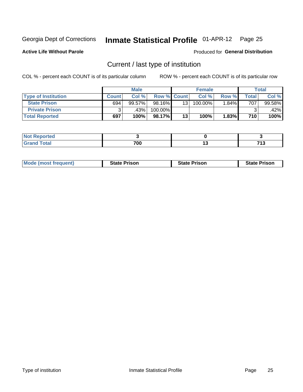## Inmate Statistical Profile 01-APR-12 Page 25

**Active Life Without Parole** 

Produced for General Distribution

## Current / last type of institution

COL % - percent each COUNT is of its particular column

|                            |              | <b>Male</b> |                    |    | <b>Female</b> |       |       | <b>Total</b> |
|----------------------------|--------------|-------------|--------------------|----|---------------|-------|-------|--------------|
| <b>Type of Institution</b> | <b>Count</b> | Col %       | <b>Row % Count</b> |    | Col %         | Row % | Total | Col %        |
| <b>State Prison</b>        | 694          | 99.57%      | 98.16%             | 13 | 100.00%       | 1.84% | 707   | 99.58%       |
| <b>Private Prison</b>      |              | .43%        | 100.00%            |    |               |       |       | $.42\%$      |
| <b>Total Reported</b>      | 697          | 100%        | 98.17%             | 13 | 100%          | 1.83% | 710   | 100%         |

| ام د ۱۰۰<br>τeα |     |     |              |
|-----------------|-----|-----|--------------|
| <b>otal</b>     | 700 | ں ۔ | - - -<br>. . |

| <b>Mode (most frequent)</b> | <b>State Prison</b> | <b>State Prison</b> | <b>State Prison</b> |
|-----------------------------|---------------------|---------------------|---------------------|
|                             |                     |                     |                     |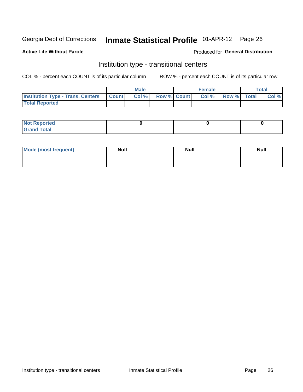## Inmate Statistical Profile 01-APR-12 Page 26

### **Active Life Without Parole**

### Produced for General Distribution

## Institution type - transitional centers

COL % - percent each COUNT is of its particular column

|                                                | Male  |                    | <b>Female</b> |                   | Total |
|------------------------------------------------|-------|--------------------|---------------|-------------------|-------|
| <b>Institution Type - Trans. Centers Count</b> | Col % | <b>Row % Count</b> |               | Col % Row % Total | Col % |
| <b>Total Reported</b>                          |       |                    |               |                   |       |

| <b>Reported</b><br><b>NOT</b><br>$\sim$            |  |  |
|----------------------------------------------------|--|--|
| $f$ $f \circ f \circ f$<br>$C = 1$<br><b>TULAI</b> |  |  |

| Mode (most frequent) | <b>Null</b> | <b>Null</b> | <b>Null</b> |
|----------------------|-------------|-------------|-------------|
|                      |             |             |             |
|                      |             |             |             |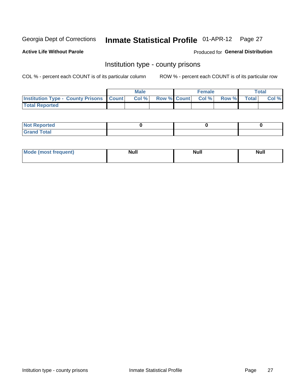## Inmate Statistical Profile 01-APR-12 Page 27

**Active Life Without Parole** 

**Produced for General Distribution** 

## Institution type - county prisons

COL % - percent each COUNT is of its particular column

|                                                    | <b>Male</b> |                          | <b>Female</b> |             | <b>Total</b> |
|----------------------------------------------------|-------------|--------------------------|---------------|-------------|--------------|
| <b>Institution Type - County Prisons   Count  </b> | Col %       | <b>Row % Count Col %</b> |               | Row % Total | Col %        |
| <b>Total Reported</b>                              |             |                          |               |             |              |

| <b>Not Reported</b>         |  |  |
|-----------------------------|--|--|
| <b>Total</b><br>-<br>______ |  |  |

| <b>Mode</b>      | <b>Null</b> | <b>Null</b> | <b>Null</b> |
|------------------|-------------|-------------|-------------|
| (most freauent). |             |             |             |
|                  |             |             |             |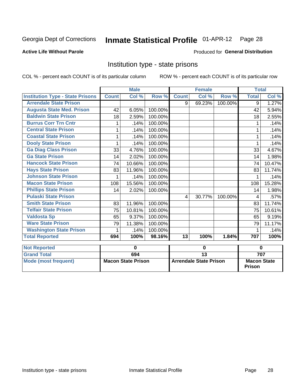## Inmate Statistical Profile 01-APR-12 Page 28

## **Active Life Without Parole**

### Produced for General Distribution

## Institution type - state prisons

COL % - percent each COUNT is of its particular column ROW % - percent each COUNT is of its particular row

|                                         |              | <b>Male</b>               |         |              | <b>Female</b>                 |            | <b>Total</b>                        |        |
|-----------------------------------------|--------------|---------------------------|---------|--------------|-------------------------------|------------|-------------------------------------|--------|
| <b>Institution Type - State Prisons</b> | <b>Count</b> | Col %                     | Row %   | <b>Count</b> | Col %                         | Row %      | <b>Total</b>                        | Col %  |
| <b>Arrendale State Prison</b>           |              |                           |         | 9            | 69.23%                        | $100.00\%$ | $\overline{9}$                      | 1.27%  |
| <b>Augusta State Med. Prison</b>        | 42           | 6.05%                     | 100.00% |              |                               |            | 42                                  | 5.94%  |
| <b>Baldwin State Prison</b>             | 18           | 2.59%                     | 100.00% |              |                               |            | 18                                  | 2.55%  |
| <b>Burrus Corr Trn Cntr</b>             | 1            | .14%                      | 100.00% |              |                               |            | 1                                   | .14%   |
| <b>Central State Prison</b>             | 1            | .14%                      | 100.00% |              |                               |            |                                     | .14%   |
| <b>Coastal State Prison</b>             | 1            | .14%                      | 100.00% |              |                               |            | 1                                   | .14%   |
| <b>Dooly State Prison</b>               | 1            | .14%                      | 100.00% |              |                               |            | 1                                   | .14%   |
| <b>Ga Diag Class Prison</b>             | 33           | 4.76%                     | 100.00% |              |                               |            | 33                                  | 4.67%  |
| <b>Ga State Prison</b>                  | 14           | 2.02%                     | 100.00% |              |                               |            | 14                                  | 1.98%  |
| <b>Hancock State Prison</b>             | 74           | 10.66%                    | 100.00% |              |                               |            | 74                                  | 10.47% |
| <b>Hays State Prison</b>                | 83           | 11.96%                    | 100.00% |              |                               |            | 83                                  | 11.74% |
| <b>Johnson State Prison</b>             | 1            | .14%                      | 100.00% |              |                               |            | 1                                   | .14%   |
| <b>Macon State Prison</b>               | 108          | 15.56%                    | 100.00% |              |                               |            | 108                                 | 15.28% |
| <b>Phillips State Prison</b>            | 14           | 2.02%                     | 100.00% |              |                               |            | 14                                  | 1.98%  |
| <b>Pulaski State Prison</b>             |              |                           |         | 4            | 30.77%                        | 100.00%    | 4                                   | .57%   |
| <b>Smith State Prison</b>               | 83           | 11.96%                    | 100.00% |              |                               |            | 83                                  | 11.74% |
| <b>Telfair State Prison</b>             | 75           | 10.81%                    | 100.00% |              |                               |            | 75                                  | 10.61% |
| <b>Valdosta Sp</b>                      | 65           | 9.37%                     | 100.00% |              |                               |            | 65                                  | 9.19%  |
| <b>Ware State Prison</b>                | 79           | 11.38%                    | 100.00% |              |                               |            | 79                                  | 11.17% |
| <b>Washington State Prison</b>          | 1            | .14%                      | 100.00% |              |                               |            | 1                                   | .14%   |
| <b>Total Reported</b>                   | 694          | 100%                      | 98.16%  | 13           | 100%                          | 1.84%      | 707                                 | 100%   |
| <b>Not Reported</b>                     |              | 0                         |         |              | 0                             |            | $\bf{0}$                            |        |
| <b>Grand Total</b>                      |              | 694                       |         |              | $\overline{13}$               |            |                                     | 707    |
| <b>Mode (most frequent)</b>             |              | <b>Macon State Prison</b> |         |              | <b>Arrendale State Prison</b> |            | <b>Macon State</b><br><b>Prison</b> |        |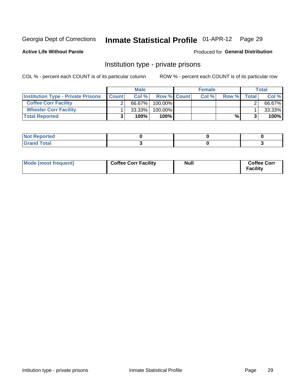## Inmate Statistical Profile 01-APR-12 Page 29

Produced for General Distribution

## **Active Life Without Parole**

## Institution type - private prisons

COL % - percent each COUNT is of its particular column

|                                           |              | <b>Male</b> |                    | <b>Female</b> |       |       | <b>Total</b> |
|-------------------------------------------|--------------|-------------|--------------------|---------------|-------|-------|--------------|
| <b>Institution Type - Private Prisons</b> | <b>Count</b> | Col $%$     | <b>Row % Count</b> | Col%          | Row % | Total | Col %        |
| <b>Coffee Corr Facility</b>               |              | 66.67%      | $100.00\%$         |               |       |       | 66.67%       |
| <b>Wheeler Corr Facility</b>              |              | $33.33\%$   | $100.00\%$         |               |       |       | 33.33%       |
| <b>Total Reported</b>                     |              | 100%        | 100%               |               | %।    |       | 100%         |

| <b>Not Reported</b>     |  |  |
|-------------------------|--|--|
| <u>i Utal</u><br>------ |  |  |

| Mode (most frequent) | <b>Coffee Corr Facility</b> | <b>Null</b> | <b>Coffee Corr</b><br><b>Facility</b> |
|----------------------|-----------------------------|-------------|---------------------------------------|
|----------------------|-----------------------------|-------------|---------------------------------------|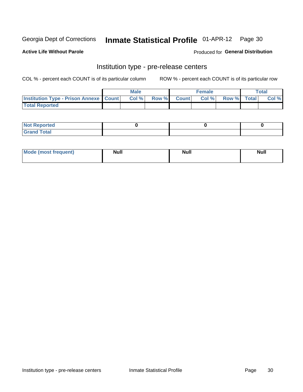## Inmate Statistical Profile 01-APR-12 Page 30

**Active Life Without Parole** 

Produced for General Distribution

## Institution type - pre-release centers

COL % - percent each COUNT is of its particular column

|                                                   | <b>Male</b> |              |       | <b>Female</b> |                    | <b>Total</b> |
|---------------------------------------------------|-------------|--------------|-------|---------------|--------------------|--------------|
| <b>Institution Type - Prison Annexe   Count  </b> | Col %       | <b>Row %</b> | Count | Col %         | <b>Row %</b> Total | Col %        |
| <b>Total Reported</b>                             |             |              |       |               |                    |              |

| <b>Reported</b><br>I NOT |  |  |
|--------------------------|--|--|
| <b>Total</b><br>$C$ ren  |  |  |

| $^{\circ}$ Mo<br>frequent)<br>⊥(mos* | <b>Null</b> | Noll<br><b>vull</b> | <b>Null</b> |
|--------------------------------------|-------------|---------------------|-------------|
|                                      |             |                     |             |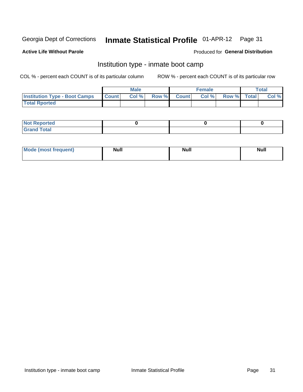## Inmate Statistical Profile 01-APR-12 Page 31

### **Active Life Without Parole**

## **Produced for General Distribution**

## Institution type - inmate boot camp

COL % - percent each COUNT is of its particular column

|                                      |                  | <b>Male</b> |              |              | <b>Female</b> |             | <b>Total</b> |
|--------------------------------------|------------------|-------------|--------------|--------------|---------------|-------------|--------------|
| <b>Institution Type - Boot Camps</b> | <b>I</b> Count I | Col %       | <b>Row %</b> | <b>Count</b> | Col %         | Row % Total | Col %        |
| <b>Total Rported</b>                 |                  |             |              |              |               |             |              |

| <b>Not Reported</b>            |  |  |
|--------------------------------|--|--|
| <b>Total</b><br>C <sub>r</sub> |  |  |

| <b>I Mode (most frequent)</b> | <b>Null</b> | <b>Null</b> | <b>Null</b> |
|-------------------------------|-------------|-------------|-------------|
|                               |             |             |             |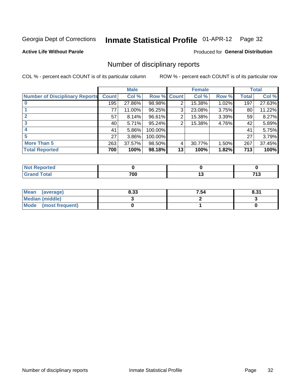## Inmate Statistical Profile 01-APR-12 Page 32

### **Active Life Without Parole**

### Produced for General Distribution

## Number of disciplinary reports

COL % - percent each COUNT is of its particular column

|                                       |              | <b>Male</b> |             |    | <b>Female</b> |       |              | <b>Total</b> |
|---------------------------------------|--------------|-------------|-------------|----|---------------|-------|--------------|--------------|
| <b>Number of Disciplinary Reports</b> | <b>Count</b> | Col %       | Row % Count |    | Col %         | Row % | <b>Total</b> | Col %        |
|                                       | 195          | 27.86%      | 98.98%      | 2  | 15.38%        | 1.02% | 197          | 27.63%       |
|                                       | 77           | 11.00%      | 96.25%      | 3  | 23.08%        | 3.75% | 80           | 11.22%       |
|                                       | 57           | 8.14%       | 96.61%      | 2  | 15.38%        | 3.39% | 59           | 8.27%        |
| 3                                     | 40 l         | 5.71%       | 95.24%      | 2  | 15.38%        | 4.76% | 42           | 5.89%        |
|                                       | 41           | 5.86%       | 100.00%     |    |               |       | 41           | 5.75%        |
| 5                                     | 27           | 3.86%       | 100.00%     |    |               |       | 27           | 3.79%        |
| <b>More Than 5</b>                    | 263          | 37.57%      | 98.50%      | 4  | 30.77%        | 1.50% | 267          | 37.45%       |
| <b>Total Reported</b>                 | 700          | 100%        | 98.18%      | 13 | 100%          | 1.82% | 713          | 100%         |

| NO<br>тео |     |        |                |
|-----------|-----|--------|----------------|
| Total     | 700 | $\sim$ | . שו<br>$\sim$ |

| Mean (average)         | 8.33 | 7.54 | 8.31 |
|------------------------|------|------|------|
| <b>Median (middle)</b> |      |      |      |
| Mode (most frequent)   |      |      |      |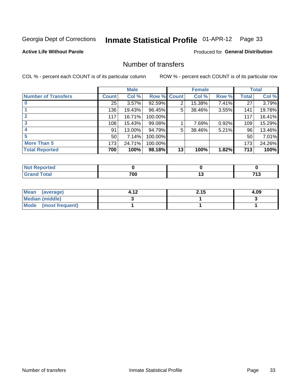## Inmate Statistical Profile 01-APR-12 Page 33

## **Active Life Without Parole**

## **Produced for General Distribution**

## Number of transfers

COL % - percent each COUNT is of its particular column

|                            |              | <b>Male</b> |             |    | <b>Female</b> |       |              | <b>Total</b> |
|----------------------------|--------------|-------------|-------------|----|---------------|-------|--------------|--------------|
| <b>Number of Transfers</b> | <b>Count</b> | Col %       | Row % Count |    | Col %         | Row % | <b>Total</b> | Col %        |
|                            | 25           | 3.57%       | 92.59%      | 2  | 15.38%        | 7.41% | 27           | 3.79%        |
|                            | 136          | 19.43%      | 96.45%      | 5  | 38.46%        | 3.55% | 141          | 19.78%       |
| $\mathbf{2}$               | 117          | 16.71%      | 100.00%     |    |               |       | 117          | 16.41%       |
| 3                          | 108          | 15.43%      | 99.08%      |    | 7.69%         | 0.92% | 109          | 15.29%       |
|                            | 91           | 13.00%      | 94.79%      | 5  | 38.46%        | 5.21% | 96           | 13.46%       |
| 5                          | 50           | 7.14%       | 100.00%     |    |               |       | 50           | 7.01%        |
| <b>More Than 5</b>         | 173          | 24.71%      | 100.00%     |    |               |       | 173          | 24.26%       |
| <b>Total Reported</b>      | 700          | 100%        | 98.18%      | 13 | 100%          | 1.82% | 713          | 100%         |

| <b>Not Reported</b> |     |  |
|---------------------|-----|--|
| Total               | 700 |  |

| Mean (average)       | 4.12 | 2.15 | 4.09 |
|----------------------|------|------|------|
| Median (middle)      |      |      |      |
| Mode (most frequent) |      |      |      |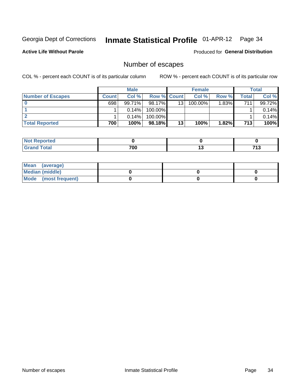## Inmate Statistical Profile 01-APR-12 Page 34

**Active Life Without Parole** 

**Produced for General Distribution** 

## Number of escapes

COL % - percent each COUNT is of its particular column

|                          |         | <b>Male</b> |                    |    | <b>Female</b> |       |                  | <b>Total</b> |
|--------------------------|---------|-------------|--------------------|----|---------------|-------|------------------|--------------|
| <b>Number of Escapes</b> | Count l | Col %       | <b>Row % Count</b> |    | Col %         | Row % | Total            | Col %        |
|                          | 698     | 99.71%      | $98.17\%$          | 13 | $100.00\%$    | 1.83% | 711 <sub>1</sub> | 99.72%       |
|                          |         | 0.14%       | 100.00%            |    |               |       |                  | 0.14%        |
|                          |         | $0.14\%$    | 100.00%            |    |               |       |                  | 0.14%        |
| <b>Total Reported</b>    | 700     | 100%        | $98.18\%$          | 13 | 100%          | 1.82% | 713              | 100%         |

| <b>Not Reported</b> |     |     |                             |
|---------------------|-----|-----|-----------------------------|
| <b>Grand Total</b>  | 700 | . . | 749<br>$\ddot{\phantom{1}}$ |

| Mean (average)       |  |  |
|----------------------|--|--|
| Median (middle)      |  |  |
| Mode (most frequent) |  |  |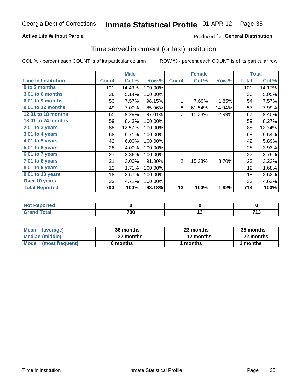#### Inmate Statistical Profile 01-APR-12 Page 35

## **Active Life Without Parole**

## **Produced for General Distribution**

## Time served in current (or last) institution

COL % - percent each COUNT is of its particular column

|                              |              | <b>Male</b> |         |                | <b>Female</b> |        |              | <b>Total</b> |
|------------------------------|--------------|-------------|---------|----------------|---------------|--------|--------------|--------------|
| <b>Time In Institution</b>   | <b>Count</b> | Col %       | Row %   | <b>Count</b>   | Col %         | Row %  | <b>Total</b> | Col %        |
| 0 to 3 months                | 101          | 14.43%      | 100.00% |                |               |        | 101          | 14.17%       |
| 3.01 to 6 months             | 36           | 5.14%       | 100.00% |                |               |        | 36           | 5.05%        |
| 6.01 to 9 months             | 53           | 7.57%       | 98.15%  | 1              | 7.69%         | 1.85%  | 54           | 7.57%        |
| 9.01 to 12 months            | 49           | 7.00%       | 85.96%  | 8              | 61.54%        | 14.04% | 57           | 7.99%        |
| 12.01 to 18 months           | 65           | 9.29%       | 97.01%  | $\overline{2}$ | 15.38%        | 2.99%  | 67           | 9.40%        |
| <b>18.01 to 24 months</b>    | 59           | 8.43%       | 100.00% |                |               |        | 59           | 8.27%        |
| $2.01$ to 3 years            | 88           | 12.57%      | 100.00% |                |               |        | 88           | 12.34%       |
| 3.01 to 4 years              | 68           | 9.71%       | 100.00% |                |               |        | 68           | 9.54%        |
| 4.01 to 5 years              | 42           | 6.00%       | 100.00% |                |               |        | 42           | 5.89%        |
| $\overline{5.01}$ to 6 years | 28           | 4.00%       | 100.00% |                |               |        | 28           | 3.93%        |
| 6.01 to 7 years              | 27           | 3.86%       | 100.00% |                |               |        | 27           | 3.79%        |
| $7.01$ to 8 years            | 21           | 3.00%       | 91.30%  | $\overline{2}$ | 15.38%        | 8.70%  | 23           | 3.23%        |
| $8.01$ to 9 years            | 12           | 1.71%       | 100.00% |                |               |        | 12           | 1.68%        |
| 9.01 to 10 years             | 18           | 2.57%       | 100.00% |                |               |        | 18           | 2.52%        |
| Over 10 years                | 33           | 4.71%       | 100.00% |                |               |        | 33           | 4.63%        |
| <b>Total Reported</b>        | 700          | 100%        | 98.18%  | 13             | 100%          | 1.82%  | 713          | 100%         |

| Reported      |     |                |
|---------------|-----|----------------|
| <i>i</i> otal | 700 | - - -<br>. . U |

| <b>Mean</b><br>(average) | 36 months | 23 months | 35 months |
|--------------------------|-----------|-----------|-----------|
| Median (middle)          | 22 months | 12 months | 22 months |
| Mode (most frequent)     | 0 months  | 1 months  | l months  |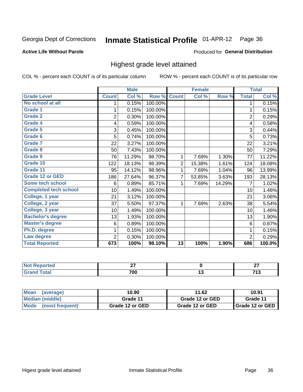#### **Inmate Statistical Profile 01-APR-12** Page 36

### **Active Life Without Parole**

### Produced for General Distribution

## Highest grade level attained

COL % - percent each COUNT is of its particular column

|                              |                | <b>Male</b> |         |                 | <b>Female</b> |        |                | <b>Total</b> |
|------------------------------|----------------|-------------|---------|-----------------|---------------|--------|----------------|--------------|
| <b>Grade Level</b>           | <b>Count</b>   | Col %       | Row %   | <b>Count</b>    | Col %         | Row %  | <b>Total</b>   | Col %        |
| No school at all             | 1              | 0.15%       | 100.00% |                 |               |        | 1              | 0.15%        |
| <b>Grade 1</b>               |                | 0.15%       | 100.00% |                 |               |        | 1              | 0.15%        |
| <b>Grade 2</b>               | $\overline{2}$ | 0.30%       | 100.00% |                 |               |        | $\overline{c}$ | 0.29%        |
| Grade 4                      | 4              | 0.59%       | 100.00% |                 |               |        | 4              | 0.58%        |
| Grade 5                      | 3              | 0.45%       | 100.00% |                 |               |        | 3              | 0.44%        |
| Grade 6                      | 5              | 0.74%       | 100.00% |                 |               |        | 5              | 0.73%        |
| <b>Grade 7</b>               | 22             | 3.27%       | 100.00% |                 |               |        | 22             | 3.21%        |
| <b>Grade 8</b>               | 50             | 7.43%       | 100.00% |                 |               |        | 50             | 7.29%        |
| <b>Grade 9</b>               | 76             | 11.29%      | 98.70%  | 1               | 7.69%         | 1.30%  | 77             | 11.22%       |
| Grade 10                     | 122            | 18.13%      | 98.39%  | $\overline{c}$  | 15.38%        | 1.61%  | 124            | 18.08%       |
| Grade 11                     | 95             | 14.12%      | 98.96%  | 1               | 7.69%         | 1.04%  | 96             | 13.99%       |
| <b>Grade 12 or GED</b>       | 186            | 27.64%      | 96.37%  | 7               | 53.85%        | 3.63%  | 193            | 28.13%       |
| <b>Some tech school</b>      | 6              | 0.89%       | 85.71%  | 1               | 7.69%         | 14.29% | 7              | 1.02%        |
| <b>Completed tech school</b> | 10             | 1.49%       | 100.00% |                 |               |        | 10             | 1.46%        |
| College, 1 year              | 21             | 3.12%       | 100.00% |                 |               |        | 21             | 3.06%        |
| College, 2 year              | 37             | 5.50%       | 97.37%  | 1               | 7.69%         | 2.63%  | 38             | 5.54%        |
| College, 3 year              | 10             | 1.49%       | 100.00% |                 |               |        | 10             | 1.46%        |
| <b>Bachelor's degree</b>     | 13             | 1.93%       | 100.00% |                 |               |        | 13             | 1.90%        |
| <b>Master's degree</b>       | 6              | 0.89%       | 100.00% |                 |               |        | 6              | 0.87%        |
| Ph.D. degree                 | 1              | 0.15%       | 100.00% |                 |               |        | 1              | 0.15%        |
| Law degree                   | 2              | 0.30%       | 100.00% |                 |               |        | $\overline{2}$ | 0.29%        |
| <b>Total Reported</b>        | 673            | 100%        | 98.10%  | $\overline{13}$ | 100%          | 1.90%  | 686            | 100.0%       |

| <b>REDIORES</b> | ~-<br>-- |   | $\sim$ |
|-----------------|----------|---|--------|
| <b>ota</b>      | 700      | ⊶ | . ∎v   |

| l Mean<br>(average)            | 10.90           | 11.62           | 10.91                    |
|--------------------------------|-----------------|-----------------|--------------------------|
| Median (middle)                | Grade 11        | Grade 12 or GED | Grade 11                 |
| <b>Mode</b><br>(most frequent) | Grade 12 or GED | Grade 12 or GED | <b>I</b> Grade 12 or GED |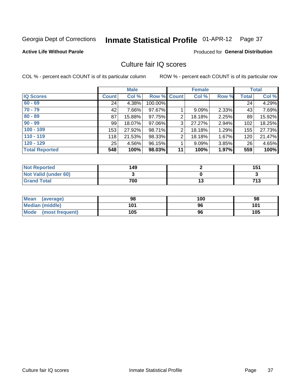# Inmate Statistical Profile 01-APR-12 Page 37

## **Active Life Without Parole**

## **Produced for General Distribution**

## Culture fair IQ scores

COL % - percent each COUNT is of its particular column

|                       |              | <b>Male</b> |                    |                | <b>Female</b> |       |              | <b>Total</b> |
|-----------------------|--------------|-------------|--------------------|----------------|---------------|-------|--------------|--------------|
| <b>IQ Scores</b>      | <b>Count</b> | Col %       | <b>Row % Count</b> |                | Col %         | Row % | <b>Total</b> | Col %        |
| $60 - 69$             | 24           | 4.38%       | 100.00%            |                |               |       | 24           | 4.29%        |
| $70 - 79$             | 42           | 7.66%       | 97.67%             |                | 9.09%         | 2.33% | 43           | 7.69%        |
| $80 - 89$             | 87           | 15.88%      | 97.75%             | $\overline{2}$ | 18.18%        | 2.25% | 89           | 15.92%       |
| $90 - 99$             | 99           | 18.07%      | 97.06%             | 3              | 27.27%        | 2.94% | 102          | 18.25%       |
| $100 - 109$           | 153          | 27.92%      | 98.71%             | 2              | 18.18%        | 1.29% | 155          | 27.73%       |
| $110 - 119$           | 118          | 21.53%      | 98.33%             | $\overline{2}$ | 18.18%        | 1.67% | 120          | 21.47%       |
| $120 - 129$           | 25           | 4.56%       | 96.15%             |                | 9.09%         | 3.85% | 26           | 4.65%        |
| <b>Total Reported</b> | 548          | 100%        | 98.03%             | 11             | 100%          | 1.97% | 559          | 100%         |

| <b>Not Reported</b>         | 149 | 151 |
|-----------------------------|-----|-----|
| <b>Not Valid (under 60)</b> |     |     |
| <b>Grand Total</b>          | 700 | 713 |

| Mean (average)       | 98  | 100 | 98  |
|----------------------|-----|-----|-----|
| Median (middle)      | 101 | 96  | 101 |
| Mode (most frequent) | 105 | 96  | 105 |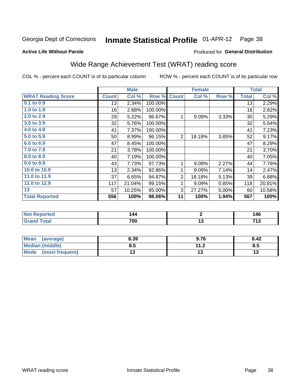#### Inmate Statistical Profile 01-APR-12 Page 38

### **Active Life Without Parole**

## **Produced for General Distribution**

## Wide Range Achievement Test (WRAT) reading score

COL % - percent each COUNT is of its particular column

ROW % - percent each COUNT is of its particular row

 $\overline{13}$ 

|                           |              | <b>Male</b> |         |                | <b>Female</b> |       |              | <b>Total</b>   |
|---------------------------|--------------|-------------|---------|----------------|---------------|-------|--------------|----------------|
| <b>WRAT Reading Score</b> | <b>Count</b> | Col %       | Row %   | <b>Count</b>   | Col %         | Row % | <b>Total</b> | Col $\sqrt{6}$ |
| 0.1 to 0.9                | 13           | 2.34%       | 100.00% |                |               |       | 13           | 2.29%          |
| 1.0 to 1.9                | 16           | 2.88%       | 100.00% |                |               |       | 16           | 2.82%          |
| 2.0 to 2.9                | 29           | 5.22%       | 96.67%  | 1              | 9.09%         | 3.33% | 30           | 5.29%          |
| 3.0 to 3.9                | 32           | 5.76%       | 100.00% |                |               |       | 32           | 5.64%          |
| 4.0 to 4.9                | 41           | 7.37%       | 100.00% |                |               |       | 41           | 7.23%          |
| 5.0 to 5.9                | 50           | 8.99%       | 96.15%  | $\overline{2}$ | 18.18%        | 3.85% | 52           | 9.17%          |
| 6.0 to 6.9                | 47           | 8.45%       | 100.00% |                |               |       | 47           | 8.29%          |
| 7.0 to 7.9                | 21           | 3.78%       | 100.00% |                |               |       | 21           | 3.70%          |
| 8.0 to 8.9                | 40           | 7.19%       | 100.00% |                |               |       | 40           | 7.05%          |
| 9.0 to 9.9                | 43           | 7.73%       | 97.73%  | 1              | 9.09%         | 2.27% | 44           | 7.76%          |
| 10.0 to 10.9              | 13           | 2.34%       | 92.86%  | 1              | 9.09%         | 7.14% | 14           | 2.47%          |
| 11.0 to 11.9              | 37           | 6.65%       | 94.87%  | $\overline{2}$ | 18.18%        | 5.13% | 39           | 6.88%          |
| 12.0 to 12.9              | 117          | 21.04%      | 99.15%  | 1              | 9.09%         | 0.85% | 118          | 20.81%         |
| 13                        | 57           | 10.25%      | 95.00%  | 3              | 27.27%        | 5.00% | 60           | 10.58%         |
| <b>Total Reported</b>     | 556          | 100%        | 98.06%  | 11             | 100%          | 1.94% | 567          | 100%           |
|                           |              |             |         |                |               |       |              |                |
| <b>Not Reported</b>       |              | 144         |         |                | $\mathbf 2$   |       |              | 146            |

| <b>Mean</b><br>(average) | 8.39 | 9.76                | 8.42 |
|--------------------------|------|---------------------|------|
| Median (middle)          | 0.J  | 112<br>. . <u>.</u> | Ծ.J  |
| Mode<br>(most frequent)  |      | . J                 | יי   |

 $\overline{700}$ 

**Grand Total** 

 $\overline{713}$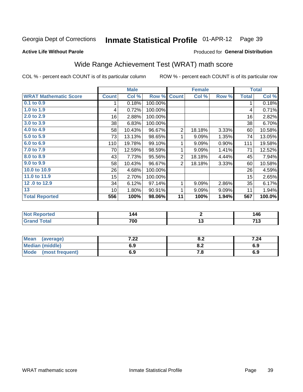#### **Inmate Statistical Profile 01-APR-12** Page 39

## **Active Life Without Parole**

## Produced for General Distribution

# Wide Range Achievement Test (WRAT) math score

COL % - percent each COUNT is of its particular column

|                              |              | <b>Male</b> |         |                | <b>Female</b>  |       |              | <b>Total</b> |  |
|------------------------------|--------------|-------------|---------|----------------|----------------|-------|--------------|--------------|--|
| <b>WRAT Mathematic Score</b> | <b>Count</b> | Col %       | Row %   | <b>Count</b>   | Col %          | Row % | <b>Total</b> | Col %        |  |
| $0.1$ to $0.9$               | 1            | 0.18%       | 100.00% |                |                |       | 1            | 0.18%        |  |
| 1.0 to 1.9                   | 4            | 0.72%       | 100.00% |                |                |       | 4            | 0.71%        |  |
| 2.0 to 2.9                   | 16           | 2.88%       | 100.00% |                |                |       | 16           | 2.82%        |  |
| 3.0 to 3.9                   | 38           | 6.83%       | 100.00% |                |                |       | 38           | 6.70%        |  |
| 4.0 to 4.9                   | 58           | 10.43%      | 96.67%  | $\overline{2}$ | 18.18%         | 3.33% | 60           | 10.58%       |  |
| 5.0 to 5.9                   | 73           | 13.13%      | 98.65%  | 1              | 9.09%          | 1.35% | 74           | 13.05%       |  |
| 6.0 to 6.9                   | 110          | 19.78%      | 99.10%  | 1              | 9.09%          | 0.90% | 111          | 19.58%       |  |
| 7.0 to 7.9                   | 70           | 12.59%      | 98.59%  | 1              | 9.09%          | 1.41% | 71           | 12.52%       |  |
| 8.0 to 8.9                   | 43           | 7.73%       | 95.56%  | $\overline{2}$ | 18.18%         | 4.44% | 45           | 7.94%        |  |
| 9.0 to 9.9                   | 58           | 10.43%      | 96.67%  | $\overline{2}$ | 18.18%         | 3.33% | 60           | 10.58%       |  |
| 10.0 to 10.9                 | 26           | 4.68%       | 100.00% |                |                |       | 26           | 4.59%        |  |
| 11.0 to 11.9                 | 15           | 2.70%       | 100.00% |                |                |       | 15           | 2.65%        |  |
| 12.0 to 12.9                 | 34           | 6.12%       | 97.14%  | 1              | 9.09%          | 2.86% | 35           | 6.17%        |  |
| $\overline{13}$              | 10           | 1.80%       | 90.91%  | 1              | 9.09%          | 9.09% | 11           | 1.94%        |  |
| <b>Total Reported</b>        | 556          | 100%        | 98.06%  | 11             | 100%           | 1.94% | 567          | 100.0%       |  |
|                              |              |             |         |                |                |       |              |              |  |
| <b>Not Reported</b>          |              | 144         |         |                | $\overline{2}$ |       |              | 146          |  |
| <b>Grand Total</b>           |              | 700         |         |                | 13             |       |              | 713          |  |
|                              |              |             |         |                |                |       |              |              |  |
| $\overline{1}$               |              |             |         |                |                |       |              |              |  |

| <b>Mean</b><br>(average)       | 2 ממ<br>. 22 | י ה<br>v.z | 7.24 |
|--------------------------------|--------------|------------|------|
| <b>Median (middle)</b>         | 6.9          | 0.Z        | 6.9  |
| <b>Mode</b><br>(most frequent) | 6.9          | 7.O        | 6.9  |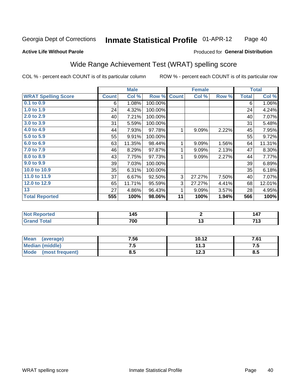#### Inmate Statistical Profile 01-APR-12 Page 40

### **Active Life Without Parole**

### Produced for General Distribution

## Wide Range Achievement Test (WRAT) spelling score

COL % - percent each COUNT is of its particular column

|                            |              | <b>Male</b> |         |              | <b>Female</b> |       |              | <b>Total</b> |
|----------------------------|--------------|-------------|---------|--------------|---------------|-------|--------------|--------------|
| <b>WRAT Spelling Score</b> | <b>Count</b> | Col %       | Row %   | <b>Count</b> | Col %         | Row % | <b>Total</b> | Col %        |
| 0.1 to 0.9                 | 6            | 1.08%       | 100.00% |              |               |       | 6            | 1.06%        |
| 1.0 to 1.9                 | 24           | 4.32%       | 100.00% |              |               |       | 24           | 4.24%        |
| 2.0 to 2.9                 | 40           | 7.21%       | 100.00% |              |               |       | 40           | 7.07%        |
| 3.0 to 3.9                 | 31           | 5.59%       | 100.00% |              |               |       | 31           | 5.48%        |
| 4.0 to 4.9                 | 44           | 7.93%       | 97.78%  | 1            | 9.09%         | 2.22% | 45           | 7.95%        |
| 5.0 to 5.9                 | 55           | 9.91%       | 100.00% |              |               |       | 55           | 9.72%        |
| 6.0 to 6.9                 | 63           | 11.35%      | 98.44%  | 1            | 9.09%         | 1.56% | 64           | 11.31%       |
| 7.0 to 7.9                 | 46           | 8.29%       | 97.87%  | 1            | 9.09%         | 2.13% | 47           | 8.30%        |
| 8.0 to 8.9                 | 43           | 7.75%       | 97.73%  | 1            | 9.09%         | 2.27% | 44           | 7.77%        |
| 9.0 to 9.9                 | 39           | 7.03%       | 100.00% |              |               |       | 39           | 6.89%        |
| 10.0 to 10.9               | 35           | 6.31%       | 100.00% |              |               |       | 35           | 6.18%        |
| 11.0 to 11.9               | 37           | 6.67%       | 92.50%  | 3            | 27.27%        | 7.50% | 40           | 7.07%        |
| 12.0 to 12.9               | 65           | 11.71%      | 95.59%  | 3            | 27.27%        | 4.41% | 68           | 12.01%       |
| 13                         | 27           | 4.86%       | 96.43%  | 1            | 9.09%         | 3.57% | 28           | 4.95%        |
| <b>Total Reported</b>      | 555          | 100%        | 98.06%  | 11           | 100%          | 1.94% | 566          | 100%         |
|                            |              |             |         |              |               |       |              |              |
| <b>Not Reported</b>        |              | 145         |         |              | $\mathbf{2}$  |       |              | 147          |
| <b>Grand Total</b>         |              | 700         |         |              | 13            |       |              | 713          |

| <b>Mean</b><br>(average)       | 7.56 | 10.12 | 7.61 |
|--------------------------------|------|-------|------|
| <b>Median (middle)</b>         | ن. ا | 11.3  | .    |
| <b>Mode</b><br>(most frequent) | ช.5  | 12.3  | 8.5  |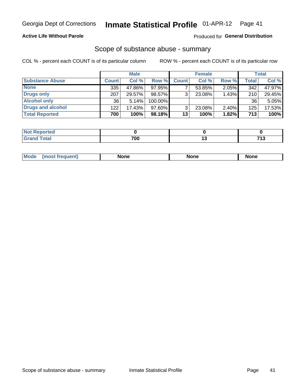## **Active Life Without Parole**

## **Produced for General Distribution**

## Scope of substance abuse - summary

COL % - percent each COUNT is of its particular column

|                        |              | <b>Male</b> |         |              | <b>Female</b> |          |              | <b>Total</b> |
|------------------------|--------------|-------------|---------|--------------|---------------|----------|--------------|--------------|
| <b>Substance Abuse</b> | <b>Count</b> | Col %       | Row %   | <b>Count</b> | Col %         | Row %    | <b>Total</b> | Col %        |
| <b>None</b>            | 335          | 47.86%      | 97.95%  |              | 53.85%        | 2.05%    | 342          | 47.97%       |
| Drugs only             | 207          | 29.57%      | 98.57%  |              | 23.08%        | 1.43%    | 210          | 29.45%       |
| <b>Alcohol only</b>    | 36           | 5.14%       | 100.00% |              |               |          | 36           | 5.05%        |
| Drugs and alcohol      | 122          | 17.43%      | 97.60%  |              | 23.08%        | $2.40\%$ | 125          | 17.53%       |
| <b>Total Reported</b>  | 700          | 100%        | 98.18%  | 13           | 100%          | 1.82%    | 713          | 100%         |

| <b>Not</b><br>Reported       |     |                   |
|------------------------------|-----|-------------------|
| <b>Total</b><br><b>Grand</b> | 700 | 74f<br>. <u>.</u> |

| <b>Mod</b><br>'one<br>None<br><b>None</b> |
|-------------------------------------------|
|-------------------------------------------|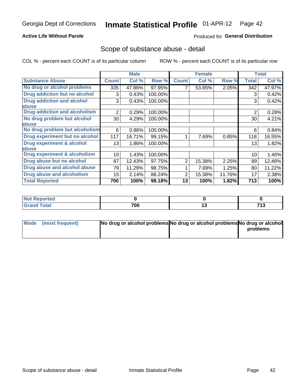## **Active Life Without Parole**

## **Produced for General Distribution**

## Scope of substance abuse - detail

COL % - percent each COUNT is of its particular column

|                                         |                | <b>Male</b> |         |              | <b>Female</b> |        |                | <b>Total</b> |
|-----------------------------------------|----------------|-------------|---------|--------------|---------------|--------|----------------|--------------|
| <b>Substance Abuse</b>                  | <b>Count</b>   | Col %       | Row %   | <b>Count</b> | Col %         | Row %  | <b>Total</b>   | Col %        |
| No drug or alcohol problems             | 335            | 47.86%      | 97.95%  |              | 53.85%        | 2.05%  | 342            | 47.97%       |
| Drug addiction but no alcohol           | 3              | 0.43%       | 100.00% |              |               |        | 3              | 0.42%        |
| <b>Drug addiction and alcohol</b>       | 3              | 0.43%       | 100.00% |              |               |        | 3              | 0.42%        |
| <b>labuse</b>                           |                |             |         |              |               |        |                |              |
| <b>Drug addiction and alcoholism</b>    | $\overline{2}$ | 0.29%       | 100.00% |              |               |        | $\overline{2}$ | 0.28%        |
| No drug problem but alcohol             | 30             | 4.29%       | 100.00% |              |               |        | 30             | 4.21%        |
| abuse                                   |                |             |         |              |               |        |                |              |
| No drug problem but alcoholism          | 6              | 0.86%       | 100.00% |              |               |        | 6              | 0.84%        |
| Drug experiment but no alcohol          | 117            | 16.71%      | 99.15%  |              | 7.69%         | 0.85%  | 118            | 16.55%       |
| <b>Drug experiment &amp; alcohol</b>    | 13             | 1.86%       | 100.00% |              |               |        | 13             | 1.82%        |
| abuse                                   |                |             |         |              |               |        |                |              |
| <b>Drug experiment &amp; alcoholism</b> | 10             | 1.43%       | 100.00% |              |               |        | 10             | 1.40%        |
| Drug abuse but no alcohol               | 87             | 12.43%      | 97.75%  | 2            | 15.38%        | 2.25%  | 89             | 12.48%       |
| Drug abuse and alcohol abuse            | 79             | 11.29%      | 98.75%  |              | 7.69%         | 1.25%  | 80             | 11.22%       |
| <b>Drug abuse and alcoholism</b>        | 15             | 2.14%       | 88.24%  | 2            | 15.38%        | 11.76% | 17             | 2.38%        |
| <b>Total Reported</b>                   | 700            | 100%        | 98.18%  | 13           | 100%          | 1.82%  | 713            | 100%         |

| ported<br>NOT          |     |    |             |
|------------------------|-----|----|-------------|
| $\sim$ $\sim$<br>_____ | 700 | יי | 74.0<br>,,, |

| Mode (most frequent) | No drug or alcohol problems No drug or alcohol problems No drug or alcohol |          |
|----------------------|----------------------------------------------------------------------------|----------|
|                      |                                                                            | problems |
|                      |                                                                            |          |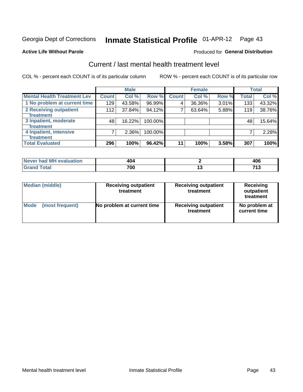# Inmate Statistical Profile 01-APR-12 Page 43

### **Active Life Without Parole**

## **Produced for General Distribution**

# Current / last mental health treatment level

COL % - percent each COUNT is of its particular column

|                                    |              | <b>Male</b> |         |              | <b>Female</b> |       |              | <b>Total</b> |
|------------------------------------|--------------|-------------|---------|--------------|---------------|-------|--------------|--------------|
| <b>Mental Health Treatment Lev</b> | <b>Count</b> | Col %       | Row %   | <b>Count</b> | Col %         | Row % | <b>Total</b> | Col %        |
| 1 No problem at current time       | 129          | 43.58%      | 96.99%  | 4            | 36.36%        | 3.01% | 133          | 43.32%       |
| 2 Receiving outpatient             | 112          | 37.84%      | 94.12%  | 7            | 63.64%        | 5.88% | 119          | 38.76%       |
| <b>Treatment</b>                   |              |             |         |              |               |       |              |              |
| 3 Inpatient, moderate              | 48           | 16.22%      | 100.00% |              |               |       | 48           | 15.64%       |
| <b>Treatment</b>                   |              |             |         |              |               |       |              |              |
| 4 Inpatient, intensive             | 7            | 2.36%       | 100.00% |              |               |       |              | 2.28%        |
| <b>Treatment</b>                   |              |             |         |              |               |       |              |              |
| <b>Total Evaluated</b>             | 296          | 100%        | 96.42%  | 11           | 100%          | 3.58% | 307          | 100%         |

| Never had MH evaluation | 404 |     | ,,,<br>40 C |
|-------------------------|-----|-----|-------------|
|                         | 700 | . . |             |

| <b>Median (middle)</b> | <b>Receiving outpatient</b><br>treatment | <b>Receiving outpatient</b><br>treatment | <b>Receiving</b><br>outpatient<br>treatment |
|------------------------|------------------------------------------|------------------------------------------|---------------------------------------------|
| <b>Mode</b>            | No problem at current time               | <b>Receiving outpatient</b>              | No problem at                               |
| (most frequent)        |                                          | treatment                                | current time                                |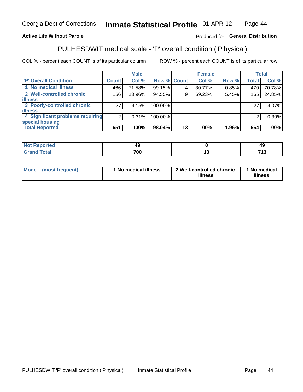#### Inmate Statistical Profile 01-APR-12 Page 44

## **Active Life Without Parole**

## Produced for General Distribution

# PULHESDWIT medical scale - 'P' overall condition ('P'hysical)

COL % - percent each COUNT is of its particular column

|                                  |                 | <b>Male</b> |                    |    | <b>Female</b> |       |              | <b>Total</b> |
|----------------------------------|-----------------|-------------|--------------------|----|---------------|-------|--------------|--------------|
| 'P' Overall Condition            | Count l         | Col %       | <b>Row % Count</b> |    | Col %         | Row % | <b>Total</b> | Col %        |
| 1 No medical illness             | 466             | 71.58%      | 99.15%             |    | 30.77%        | 0.85% | 470          | 70.78%       |
| 2 Well-controlled chronic        | 156             | 23.96%      | 94.55%             | 9  | 69.23%        | 5.45% | 165          | 24.85%       |
| <b>illness</b>                   |                 |             |                    |    |               |       |              |              |
| 3 Poorly-controlled chronic      | 27 <sup>1</sup> | 4.15%       | 100.00%            |    |               |       | 27           | 4.07%        |
| <b>illness</b>                   |                 |             |                    |    |               |       |              |              |
| 4 Significant problems requiring | ົ               | $0.31\%$    | 100.00%            |    |               |       | 2            | $0.30\%$     |
| special housing                  |                 |             |                    |    |               |       |              |              |
| <b>Total Reported</b>            | 651             | 100%        | 98.04%             | 13 | 100%          | 1.96% | 664          | 100%         |

| τeα          |           | 45        |
|--------------|-----------|-----------|
| <b>TULAI</b> | 700<br>υι | フィウ<br>יי |

| <b>Mode</b> | (most frequent) | 1 No medical illness | 2 Well-controlled chronic<br>illness | 1 No medical<br>illness |
|-------------|-----------------|----------------------|--------------------------------------|-------------------------|
|-------------|-----------------|----------------------|--------------------------------------|-------------------------|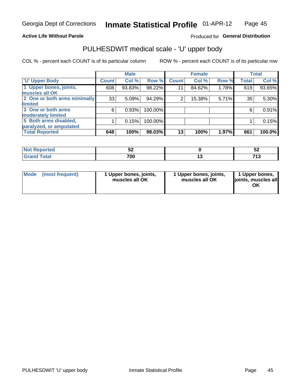## **Active Life Without Parole**

## Produced for General Distribution

# PULHESDWIT medical scale - 'U' upper body

COL % - percent each COUNT is of its particular column

|                              |              | <b>Male</b> |         |              | <b>Female</b> |       |              | <b>Total</b> |
|------------------------------|--------------|-------------|---------|--------------|---------------|-------|--------------|--------------|
| <b>U' Upper Body</b>         | <b>Count</b> | Col %       | Row %   | <b>Count</b> | Col %         | Row % | <b>Total</b> | Col %        |
| 1 Upper bones, joints,       | 608          | 93.83%      | 98.22%  | 11           | 84.62%        | 1.78% | 619          | 93.65%       |
| muscles all OK               |              |             |         |              |               |       |              |              |
| 2 One or both arms minimally | 33           | 5.09%       | 94.29%  | 2            | 15.38%        | 5.71% | 35           | 5.30%        |
| limited                      |              |             |         |              |               |       |              |              |
| 3 One or both arms           | $6^{\circ}$  | 0.93%       | 100.00% |              |               |       | 6            | 0.91%        |
| <b>moderately limited</b>    |              |             |         |              |               |       |              |              |
| 5 Both arms disabled,        |              | 0.15%       | 100.00% |              |               |       |              | 0.15%        |
| paralyzed, or amputated      |              |             |         |              |               |       |              |              |
| <b>Total Reported</b>        | 648          | 100%        | 98.03%  | 13           | 100%          | 1.97% | 661          | 100.0%       |

| <b>Not Reported</b> | ◡▵  | ◡▵      |
|---------------------|-----|---------|
| <b>Grand Total</b>  | 700 | 749<br> |

| Mode | (most frequent) | 1 Upper bones, joints,<br>muscles all OK | 1 Upper bones, joints,<br>muscles all OK | 1 Upper bones,<br>ljoints, muscles all<br>OK |
|------|-----------------|------------------------------------------|------------------------------------------|----------------------------------------------|
|------|-----------------|------------------------------------------|------------------------------------------|----------------------------------------------|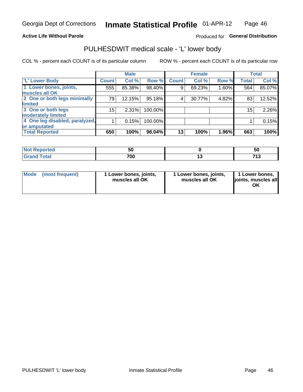## **Active Life Without Parole**

## Produced for General Distribution

## PULHESDWIT medical scale - 'L' lower body

COL % - percent each COUNT is of its particular column

|                                |              | <b>Male</b> |           |              | <b>Female</b> |       |                 | <b>Total</b> |
|--------------------------------|--------------|-------------|-----------|--------------|---------------|-------|-----------------|--------------|
| 'L' Lower Body                 | <b>Count</b> | Col %       | Row %     | <b>Count</b> | Col %         | Row % | <b>Total</b>    | Col %        |
| 1 Lower bones, joints,         | 555          | 85.38%      | $98.40\%$ | 9            | 69.23%        | 1.60% | 564             | 85.07%       |
| muscles all OK                 |              |             |           |              |               |       |                 |              |
| 2 One or both legs minimally   | 79           | 12.15%      | 95.18%    | 4            | 30.77%        | 4.82% | 83              | 12.52%       |
| limited                        |              |             |           |              |               |       |                 |              |
| 3 One or both legs             | 15           | 2.31%       | 100.00%   |              |               |       | 15 <sub>1</sub> | 2.26%        |
| moderately limited             |              |             |           |              |               |       |                 |              |
| 4 One leg disabled, paralyzed, |              | 0.15%       | 100.00%   |              |               |       |                 | 0.15%        |
| or amputated                   |              |             |           |              |               |       |                 |              |
| <b>Total Reported</b>          | 650          | 100%        | 98.04%    | 13           | 100%          | 1.96% | 663             | 100%         |

| <b>Not Reported</b> | วน  | 50      |
|---------------------|-----|---------|
| <b>Grand Total</b>  | 700 | 749<br> |

| Mode | (most frequent) | 1 Lower bones, joints,<br>muscles all OK | 1 Lower bones, joints,<br>muscles all OK | 1 Lower bones,<br>ljoints, muscles all<br>OK |
|------|-----------------|------------------------------------------|------------------------------------------|----------------------------------------------|
|------|-----------------|------------------------------------------|------------------------------------------|----------------------------------------------|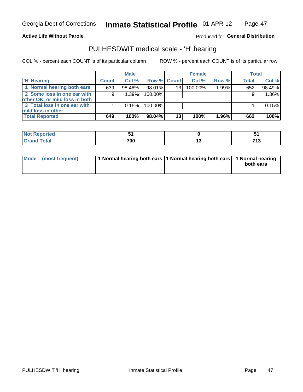### **Active Life Without Parole**

## Produced for General Distribution

## PULHESDWIT medical scale - 'H' hearing

COL % - percent each COUNT is of its particular column

|                                                               |              | <b>Male</b> |                    |    | <b>Female</b> |          | <b>Total</b> |        |
|---------------------------------------------------------------|--------------|-------------|--------------------|----|---------------|----------|--------------|--------|
| <b>H' Hearing</b>                                             | <b>Count</b> | Col %       | <b>Row % Count</b> |    | Col %         | Row %    | <b>Total</b> | Col %  |
| 1 Normal hearing both ears                                    | 639          | 98.46%      | 98.01%             | 13 | 100.00%       | $1.99\%$ | 652          | 98.49% |
| 2 Some loss in one ear with<br>other OK, or mild loss in both | 9            | 1.39%       | 100.00%            |    |               |          | 9            | 1.36%  |
| 3 Total loss in one ear with<br>mild loss in other            |              | 0.15%       | 100.00%            |    |               |          |              | 0.15%  |
| <b>Total Reported</b>                                         | 649          | 100%        | $98.04\%$          | 13 | 100%          | 1.96%    | 662          | 100%   |

| <b>rted</b><br>NOT    |     | - -                 |
|-----------------------|-----|---------------------|
| <b>otal</b><br>$\sim$ | 700 | <b>749</b><br>. I J |

| Mode (most frequent) | 1 Normal hearing both ears 1 Normal hearing both ears 1 Normal hearing | both ears |
|----------------------|------------------------------------------------------------------------|-----------|
|----------------------|------------------------------------------------------------------------|-----------|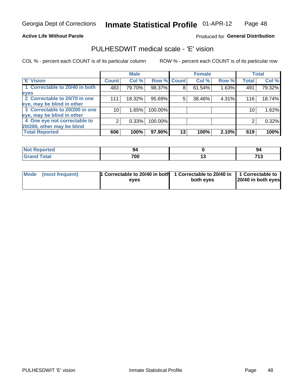## **Active Life Without Parole**

## Produced for General Distribution

## PULHESDWIT medical scale - 'E' vision

COL % - percent each COUNT is of its particular column

ROW % - percent each COUNT is of its particular row

|                                |              | <b>Male</b> |         |             | <b>Female</b> |       |              | <b>Total</b> |
|--------------------------------|--------------|-------------|---------|-------------|---------------|-------|--------------|--------------|
| <b>E' Vision</b>               | <b>Count</b> | Col %       |         | Row % Count | Col %         | Row % | <b>Total</b> | Col %        |
| 1 Correctable to 20/40 in both | 483          | 79.70%      | 98.37%  | 8           | 61.54%        | 1.63% | 491          | 79.32%       |
| eyes                           |              |             |         |             |               |       |              |              |
| 2 Correctable to 20/70 in one  | 111          | 18.32%      | 95.69%  | 5           | 38.46%        | 4.31% | 116          | 18.74%       |
| eye, may be blind in other     |              |             |         |             |               |       |              |              |
| 3 Correctable to 20/200 in one | 10           | 1.65%       | 100.00% |             |               |       | 10           | 1.62%        |
| eye, may be blind in other     |              |             |         |             |               |       |              |              |
| 4 One eye not correctable to   | 2            | 0.33%       | 100.00% |             |               |       | 2            | 0.32%        |
| 20/200, other may be blind     |              |             |         |             |               |       |              |              |
| <b>Total Reported</b>          | 606          | 100%        | 97.90%  | 13          | 100%          | 2.10% | 619          | 100%         |

| <b>Not Reported</b> |            | -94       |
|---------------------|------------|-----------|
| <b>Total</b>        | 700<br>ט ש | 74.2<br>. |

| Mode (most frequent) | 1 Correctable to 20/40 in both<br>eves | 1 Correctable to 20/40 in   1 Correctable to<br>both eyes | 20/40 in both eyes |
|----------------------|----------------------------------------|-----------------------------------------------------------|--------------------|
|                      |                                        |                                                           |                    |

48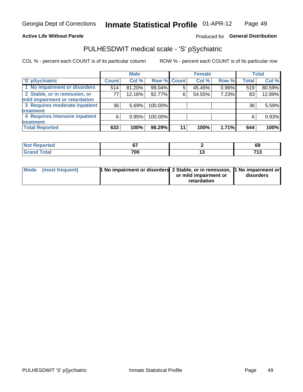## **Active Life Without Parole**

## Produced for General Distribution

# PULHESDWIT medical scale - 'S' pSychiatric

COL % - percent each COUNT is of its particular column

|                                |              | <b>Male</b> |             |    | <b>Female</b> |       |              | <b>Total</b> |
|--------------------------------|--------------|-------------|-------------|----|---------------|-------|--------------|--------------|
| 'S' pSychiatric                | <b>Count</b> | Col %       | Row % Count |    | Col %         | Row % | <b>Total</b> | Col %        |
| 1 No impairment or disorders   | 514          | 81.20%      | 99.04%      |    | 45.45%        | 0.96% | 519          | 80.59%       |
| 2 Stable, or in remission, or  | 77           | 12.16%      | 92.77%      | 6  | 54.55%        | 7.23% | 83           | 12.89%       |
| mild impairment or retardation |              |             |             |    |               |       |              |              |
| 3 Requires moderate inpatient  | 36           | 5.69%       | 100.00%     |    |               |       | 36           | 5.59%        |
| treatment                      |              |             |             |    |               |       |              |              |
| 4 Requires intensive inpatient | 6            | 0.95%       | 100.00%     |    |               |       | 6            | 0.93%        |
| treatment                      |              |             |             |    |               |       |              |              |
| <b>Total Reported</b>          | 633          | 100%        | 98.29%      | 11 | 100%          | 1.71% | 644          | 100%         |

| тео | ~-                | 69                   |
|-----|-------------------|----------------------|
|     | 700<br>טש ו<br>__ | 749<br>. .<br>$\sim$ |

| Mode (most frequent) | <sup>1</sup> No impairment or disorders 2 Stable, or in remission, <sup>1</sup> No impairment or |                       |           |
|----------------------|--------------------------------------------------------------------------------------------------|-----------------------|-----------|
|                      |                                                                                                  | or mild impairment or | disorders |
|                      |                                                                                                  | retardation           |           |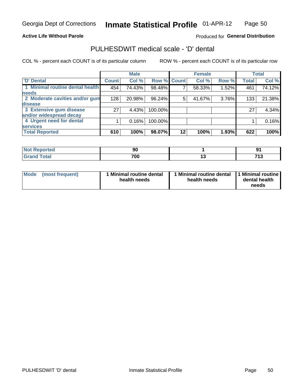## **Active Life Without Parole**

## Produced for General Distribution

## PULHESDWIT medical scale - 'D' dental

COL % - percent each COUNT is of its particular column

|                                 |              | <b>Male</b> |             |    | <b>Female</b> |       |              | <b>Total</b> |
|---------------------------------|--------------|-------------|-------------|----|---------------|-------|--------------|--------------|
| <b>D'</b> Dental                | <b>Count</b> | Col %       | Row % Count |    | Col %         | Row % | <b>Total</b> | Col %        |
| 1 Minimal routine dental health | 454          | 74.43%      | 98.48%      |    | 58.33%        | 1.52% | 461          | 74.12%       |
| <b>needs</b>                    |              |             |             |    |               |       |              |              |
| 2 Moderate cavities and/or gum  | 128          | 20.98%      | 96.24%      | 5  | 41.67%        | 3.76% | 133          | 21.38%       |
| disease                         |              |             |             |    |               |       |              |              |
| 3 Extensive gum disease         | 27           | 4.43%       | 100.00%     |    |               |       | 27           | 4.34%        |
| and/or widespread decay         |              |             |             |    |               |       |              |              |
| 4 Urgent need for dental        |              | 0.16%       | 100.00%     |    |               |       |              | 0.16%        |
| <b>services</b>                 |              |             |             |    |               |       |              |              |
| <b>Total Reported</b>           | 610          | 100%        | 98.07%      | 12 | 100%          | 1.93% | 622          | 100%         |

| والمستنبط المتعارف<br>rtea<br>w.<br>$\sim$ $\sim$ $\sim$ $\sim$ | ◡       |           |                            |
|-----------------------------------------------------------------|---------|-----------|----------------------------|
| $F \wedge f \wedge f$<br><u>i vtal</u>                          | 700<br> | 4 W<br>__ | 74<br>$\sim$ $\sim$ $\sim$ |

| <b>Mode</b> | (most frequent) | <b>Minimal routine dental</b><br>health needs | 1 Minimal routine dental<br>health needs | <b>11 Minimal routine I</b><br>dental health<br>needs |
|-------------|-----------------|-----------------------------------------------|------------------------------------------|-------------------------------------------------------|
|-------------|-----------------|-----------------------------------------------|------------------------------------------|-------------------------------------------------------|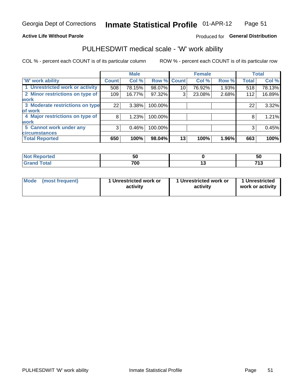## **Active Life Without Parole**

## Produced for General Distribution

## PULHESDWIT medical scale - 'W' work ability

COL % - percent each COUNT is of its particular column

|                                 |              | <b>Male</b> |         |             | <b>Female</b> |       |              | <b>Total</b> |
|---------------------------------|--------------|-------------|---------|-------------|---------------|-------|--------------|--------------|
| <b>W' work ability</b>          | <b>Count</b> | Col %       |         | Row % Count | Col %         | Row % | <b>Total</b> | Col %        |
| 1 Unrestricted work or activity | 508          | 78.15%      | 98.07%  | 10          | 76.92%        | 1.93% | 518          | 78.13%       |
| 2 Minor restrictions on type of | 109          | 16.77%      | 97.32%  | 3           | 23.08%        | 2.68% | 112          | 16.89%       |
| <b>work</b>                     |              |             |         |             |               |       |              |              |
| 3 Moderate restrictions on type | 22           | $3.38\%$    | 100.00% |             |               |       | 22           | 3.32%        |
| lof work                        |              |             |         |             |               |       |              |              |
| 4 Major restrictions on type of | 8            | 1.23%       | 100.00% |             |               |       | 8            | 1.21%        |
| <b>work</b>                     |              |             |         |             |               |       |              |              |
| 5 Cannot work under any         | 3            | 0.46%       | 100.00% |             |               |       | 3            | 0.45%        |
| <b>circumstances</b>            |              |             |         |             |               |       |              |              |
| <b>Total Reported</b>           | 650          | 100%        | 98.04%  | 13          | 100%          | 1.96% | 663          | 100%         |

| <b>Not Reported</b> | ้วน |    | ວບ       |
|---------------------|-----|----|----------|
| <b>Total</b><br>~…  | 700 | יי | フィヘ<br>. |

| Mode (most frequent) | 1 Unrestricted work or | 1 Unrestricted work or | 1 Unrestricted   |
|----------------------|------------------------|------------------------|------------------|
|                      | activity               | activity               | work or activity |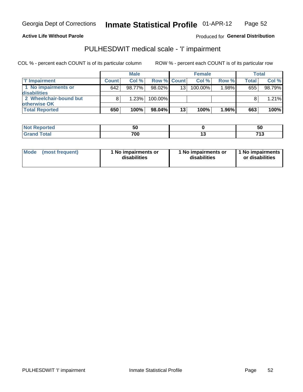**Active Life Without Parole** 

Produced for General Distribution

# PULHESDWIT medical scale - 'I' impairment

COL % - percent each COUNT is of its particular column

|                        |              | <b>Male</b> |                    |                 | <b>Female</b> |       |              | <b>Total</b> |
|------------------------|--------------|-------------|--------------------|-----------------|---------------|-------|--------------|--------------|
| <b>T' Impairment</b>   | <b>Count</b> | Col %       | <b>Row % Count</b> |                 | Col %         | Row % | <b>Total</b> | Col %        |
| 1 No impairments or    | 642          | 98.77%      | 98.02%             | 13 <sup>1</sup> | 100.00%       | 1.98% | 655          | 98.79%       |
| <b>disabilities</b>    |              |             |                    |                 |               |       |              |              |
| 2 Wheelchair-bound but |              | 1.23%       | 100.00%            |                 |               |       |              | 1.21%        |
| otherwise OK           |              |             |                    |                 |               |       |              |              |
| <b>Total Reported</b>  | 650          | 100%        | $98.04\%$          | 13              | 100%          | 1.96% | 663          | 100%         |

| Reported    | vu  | 50            |
|-------------|-----|---------------|
| <b>Tota</b> | 700 | 74.3<br>- 1 6 |

| Mode            | 1 No impairments or | 1 No impairments or | 1 No impairments |
|-----------------|---------------------|---------------------|------------------|
| (most frequent) | disabilities        | disabilities        | or disabilities  |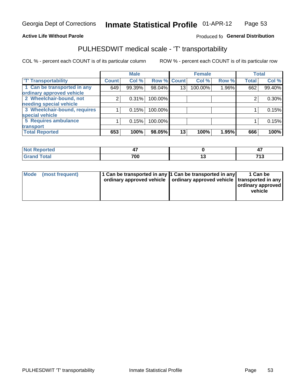### **Active Life Without Parole**

## Produced fo General Distribution

## PULHESDWIT medical scale - 'T' transportability

COL % - percent each COUNT is of its particular column

|                              |              | <b>Male</b> |         |             | <b>Female</b> |       |              | <b>Total</b> |
|------------------------------|--------------|-------------|---------|-------------|---------------|-------|--------------|--------------|
| <b>T' Transportability</b>   | <b>Count</b> | Col %       |         | Row % Count | Col %         | Row % | <b>Total</b> | Col %        |
| 1 Can be transported in any  | 649          | 99.39%      | 98.04%  | 13          | 100.00%       | 1.96% | 662          | 99.40%       |
| ordinary approved vehicle    |              |             |         |             |               |       |              |              |
| 2 Wheelchair-bound, not      | 2            | 0.31%       | 100.00% |             |               |       |              | $0.30\%$     |
| needing special vehicle      |              |             |         |             |               |       |              |              |
| 3 Wheelchair-bound, requires |              | 0.15%       | 100.00% |             |               |       |              | 0.15%        |
| special vehicle              |              |             |         |             |               |       |              |              |
| 5 Requires ambulance         |              | 0.15%       | 100.00% |             |               |       |              | 0.15%        |
| transport                    |              |             |         |             |               |       |              |              |
| <b>Total Reported</b>        | 653          | 100%        | 98.05%  | 13          | 100%          | 1.95% | 666          | 100%         |

| orted       | .,  |            |
|-------------|-----|------------|
| <b>otal</b> | 700 | <b>745</b> |

| <b>Mode</b> | (most frequent) | 1 Can be transported in any 1 Can be transported in any | ordinary approved vehicle   ordinary approved vehicle   transported in any | 1 Can be<br>  ordinary approved  <br>vehicle |
|-------------|-----------------|---------------------------------------------------------|----------------------------------------------------------------------------|----------------------------------------------|
|-------------|-----------------|---------------------------------------------------------|----------------------------------------------------------------------------|----------------------------------------------|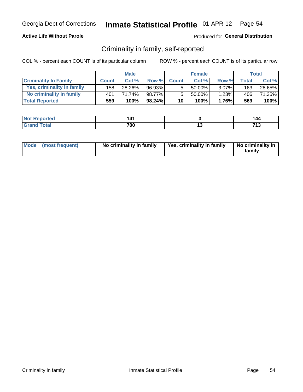## **Active Life Without Parole**

## Produced for General Distribution

## Criminality in family, self-reported

COL % - percent each COUNT is of its particular column

|                              |              | <b>Male</b> |           |              | <b>Female</b> |          |       | Total  |
|------------------------------|--------------|-------------|-----------|--------------|---------------|----------|-------|--------|
| <b>Criminality In Family</b> | <b>Count</b> | Col %       | Row %     | <b>Count</b> | Col %         | Row %    | Total | Col %  |
| Yes, criminality in family   | 158          | 28.26%      | 96.93%    | 5            | 50.00%        | $3.07\%$ | 163   | 28.65% |
| No criminality in family     | 401          | 71.74%      | 98.77%    | 5            | $50.00\%$ ,   | 1.23%    | 406   | 71.35% |
| <b>Total Reported</b>        | 559          | 100%        | $98.24\%$ | 10           | 100%          | 1.76%    | 569   | 100%   |

| <b>Not Reported</b>    | 14. |     | 14C |
|------------------------|-----|-----|-----|
| <b>Total</b><br>l Gran | 700 | . v | 74  |

|  | Mode (most frequent) | No criminality in family | Yes, criminality in family | No criminality in<br>family |
|--|----------------------|--------------------------|----------------------------|-----------------------------|
|--|----------------------|--------------------------|----------------------------|-----------------------------|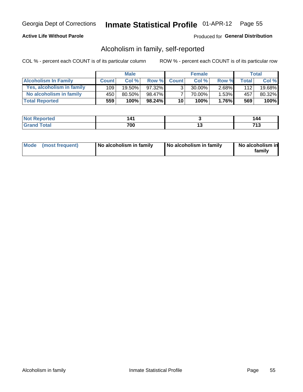## **Active Life Without Parole**

## Produced for General Distribution

## Alcoholism in family, self-reported

COL % - percent each COUNT is of its particular column

|                             |              | <b>Male</b> |        |                 | <b>Female</b> |          |       | Total  |
|-----------------------------|--------------|-------------|--------|-----------------|---------------|----------|-------|--------|
| <b>Alcoholism In Family</b> | <b>Count</b> | Col%        | Row %  | <b>Count</b>    | Col %         | Row %    | Total | Col %  |
| Yes, alcoholism in family   | 109          | $19.50\%$   | 97.32% | 2               | 30.00%        | $2.68\%$ | 112   | 19.68% |
| No alcoholism in family     | 450          | 80.50%      | 98.47% |                 | 70.00%        | $1.53\%$ | 457   | 80.32% |
| <b>Total Reported</b>       | 559          | 100%        | 98.24% | 10 <sup>1</sup> | 100%          | $1.76\%$ | 569   | 100%   |

| <b>Not Reported</b>    | 14. |     | 14C |
|------------------------|-----|-----|-----|
| <b>Total</b><br>l Gran | 700 | . v | 74  |

|  | Mode (most frequent) | No alcoholism in family | No alcoholism in family | No alcoholism in<br>family |
|--|----------------------|-------------------------|-------------------------|----------------------------|
|--|----------------------|-------------------------|-------------------------|----------------------------|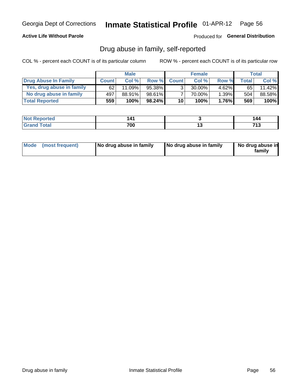## **Active Life Without Parole**

## Produced for General Distribution

## Drug abuse in family, self-reported

COL % - percent each COUNT is of its particular column

|                           |              | <b>Male</b> |        |                 | <b>Female</b> |          |              | Total  |
|---------------------------|--------------|-------------|--------|-----------------|---------------|----------|--------------|--------|
| Drug Abuse In Family      | <b>Count</b> | Col%        | Row %  | <b>Count</b>    | Col%          | Row %    | <b>Total</b> | Col %  |
| Yes, drug abuse in family | 62           | $11.09\%$   | 95.38% | 3               | 30.00%        | $4.62\%$ | 65           | 11.42% |
| No drug abuse in family   | 497          | 88.91%      | 98.61% |                 | 70.00%        | $1.39\%$ | 504          | 88.58% |
| <b>Total Reported</b>     | 559          | 100%        | 98.24% | 10 <sup>1</sup> | 100%          | $1.76\%$ | 569          | 100%   |

| <b>Not Reported</b>    | 14. |     | 14C |
|------------------------|-----|-----|-----|
| <b>Total</b><br>l Gran | 700 | . v | 74  |

|  | Mode (most frequent) | No drug abuse in family | No drug abuse in family | No drug abuse in<br>family |
|--|----------------------|-------------------------|-------------------------|----------------------------|
|--|----------------------|-------------------------|-------------------------|----------------------------|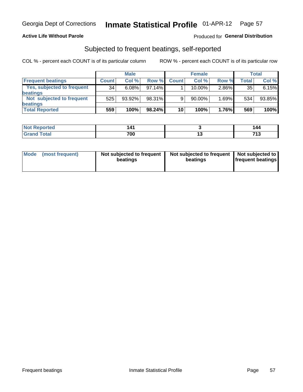## **Active Life Without Parole**

## Produced for General Distribution

## Subjected to frequent beatings, self-reported

COL % - percent each COUNT is of its particular column

|                                   |              | <b>Male</b> |           |              | <b>Female</b> |       |       | Total  |
|-----------------------------------|--------------|-------------|-----------|--------------|---------------|-------|-------|--------|
| <b>Frequent beatings</b>          | <b>Count</b> | Col %       | Row %     | <b>Count</b> | Col %         | Row % | Total | Col %  |
| <b>Yes, subjected to frequent</b> | 34           | 6.08%       | 97.14%    |              | 10.00%        | 2.86% | 35    | 6.15%  |
| beatings                          |              |             |           |              |               |       |       |        |
| Not subjected to frequent         | 525          | 93.92%      | 98.31%    | 9            | 90.00%        | 1.69% | 534   | 93.85% |
| beatings                          |              |             |           |              |               |       |       |        |
| <b>Total Reported</b>             | 559          | 100%        | $98.24\%$ | 10           | 100%          | 1.76% | 569   | 100%   |

| <b>Not Reported</b> | .<br>л<br>. |     | 144      |
|---------------------|-------------|-----|----------|
| 「otal               | 700         | . . | フィク<br>. |

| (most frequent)<br>Not subjected to frequent<br><b>Mode</b><br>beatings | Not subjected to frequent   Not subjected to<br>beatings | <b>frequent beatings</b> |
|-------------------------------------------------------------------------|----------------------------------------------------------|--------------------------|
|-------------------------------------------------------------------------|----------------------------------------------------------|--------------------------|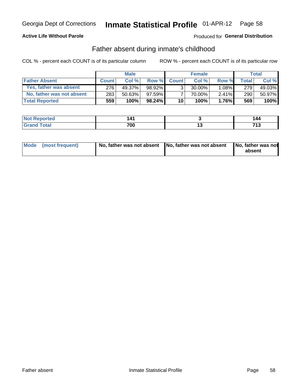## **Active Life Without Parole**

## **Produced for General Distribution**

## Father absent during inmate's childhood

COL % - percent each COUNT is of its particular column

|                           | <b>Male</b>  |        | <b>Female</b> |                 |           | Total    |         |         |
|---------------------------|--------------|--------|---------------|-----------------|-----------|----------|---------|---------|
| <b>Father Absent</b>      | <b>Count</b> | Col%   | Row %         | <b>Count</b>    | Col %     | Row %    | Total i | Col %   |
| Yes, father was absent    | 276          | 49.37% | 98.92%        | 3 <sub>1</sub>  | $30.00\%$ | $1.08\%$ | 279     | 49.03%  |
| No, father was not absent | 283          | 50.63% | 97.59%        |                 | 70.00%    | $2.41\%$ | 290     | 50.97%  |
| <b>Total Reported</b>     | 559          | 100%   | $98.24\%$     | 10 <sup>1</sup> | 100%      | $1.76\%$ | 569     | $100\%$ |

| <b>Not Reported</b>    | 14. |     | 14C |
|------------------------|-----|-----|-----|
| <b>Total</b><br>l Gran | 700 | . v | 74  |

|  | Mode (most frequent) | No, father was not absent No, father was not absent |  | No, father was not<br>absent |
|--|----------------------|-----------------------------------------------------|--|------------------------------|
|--|----------------------|-----------------------------------------------------|--|------------------------------|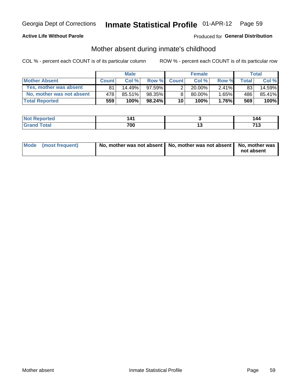## **Active Life Without Parole**

## Produced for General Distribution

## Mother absent during inmate's childhood

COL % - percent each COUNT is of its particular column

|                           |              | <b>Male</b> |           |                 | <b>Female</b> |          |              | Total  |
|---------------------------|--------------|-------------|-----------|-----------------|---------------|----------|--------------|--------|
| <b>Mother Absent</b>      | <b>Count</b> | Col%        | Row %     | <b>Count</b>    | Col %         | Row %    | <b>Total</b> | Col %  |
| Yes, mother was absent    | 81           | 14.49%      | $97.59\%$ | 2               | $20.00\%$     | $2.41\%$ | 83           | 14.59% |
| No, mother was not absent | 478          | 85.51%      | 98.35%    | 8               | 80.00%        | 1.65%    | 486          | 85.41% |
| <b>Total Reported</b>     | 559          | 100%        | $98.24\%$ | 10 <sup>1</sup> | 100%          | $1.76\%$ | 569          | 100%   |

| <b>Reported</b><br><b>NOT</b> | 141 |     | 144                 |
|-------------------------------|-----|-----|---------------------|
| <b>otal</b>                   | 700 | 1 v | 74 <sub>5</sub><br> |

| Mode (most frequent) | No, mother was not absent   No, mother was not absent   No, mother was | not absent |
|----------------------|------------------------------------------------------------------------|------------|
|----------------------|------------------------------------------------------------------------|------------|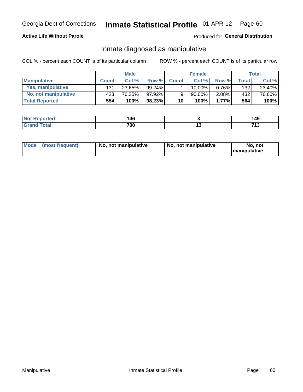## **Active Life Without Parole**

## Produced for General Distribution

## Inmate diagnosed as manipulative

COL % - percent each COUNT is of its particular column

|                       | <b>Male</b>  |        | <b>Female</b> |              |           | Total    |       |        |
|-----------------------|--------------|--------|---------------|--------------|-----------|----------|-------|--------|
| <b>Manipulative</b>   | <b>Count</b> | Col %  | Row %         | <b>Count</b> | Col %     | Row %    | Total | Col %  |
| Yes, manipulative     | 131          | 23.65% | $99.24\%$     |              | 10.00%    | $0.76\%$ | 132   | 23.40% |
| No, not manipulative  | 423          | 76.35% | 97.92%        | 9            | $90.00\%$ | $2.08\%$ | 432   | 76.60% |
| <b>Total Reported</b> | 554          | 100%   | 98.23%        | 10           | 100%      | $1.77\%$ | 564   | 100%   |

| <b>Reported</b><br>NOT | A C<br>TV |    | 149           |
|------------------------|-----------|----|---------------|
| <b>otal</b>            | 700       | יי | 74.3<br>1 I V |

|  | Mode (most frequent) | No, not manipulative | No, not manipulative | No. not<br><b>I</b> manipulative |
|--|----------------------|----------------------|----------------------|----------------------------------|
|--|----------------------|----------------------|----------------------|----------------------------------|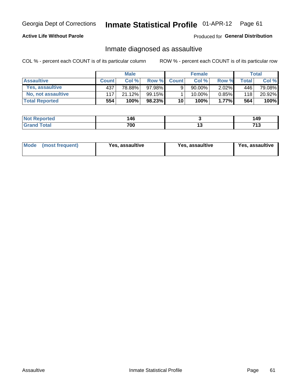#### Inmate Statistical Profile 01-APR-12 Page 61

## **Active Life Without Parole**

Produced for General Distribution

## Inmate diagnosed as assaultive

COL % - percent each COUNT is of its particular column

|                       | <b>Male</b>  |        | <b>Female</b> |              |        | Total    |       |        |
|-----------------------|--------------|--------|---------------|--------------|--------|----------|-------|--------|
| <b>Assaultive</b>     | <b>Count</b> | Col%   | Row %         | <b>Count</b> | Col %  | Row %    | Total | Col %  |
| Yes, assaultive       | 437          | 78.88% | 97.98%        | 9            | 90.00% | $2.02\%$ | 446   | 79.08% |
| No. not assaultive    | 117          | 21.12% | 99.15%        |              | 10.00% | $0.85\%$ | 118   | 20.92% |
| <b>Total Reported</b> | 554          | 100%   | $98.23\%$     | 10           | 100%   | $1.77\%$ | 564   | 100%   |

| <b>Reported</b><br><b>NO</b> | 146 |     | 49ء                 |
|------------------------------|-----|-----|---------------------|
| <b>jotal</b>                 | 700 | 1 v | 74 <sub>5</sub><br> |

| Mode (most frequent)<br>Yes, assaultive | Yes, assaultive | <b>Yes, assaultive</b> |
|-----------------------------------------|-----------------|------------------------|
|-----------------------------------------|-----------------|------------------------|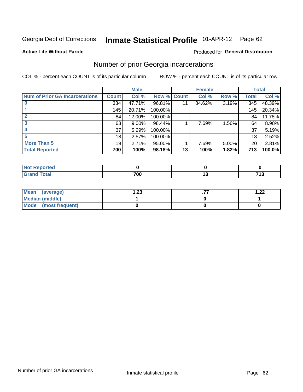#### Inmate Statistical Profile 01-APR-12 Page 62

### **Active Life Without Parole**

## **Produced for General Distribution**

## Number of prior Georgia incarcerations

COL % - percent each COUNT is of its particular column

|                                       |                 | <b>Male</b> |                    |    | <b>Female</b> |       |       | <b>Total</b> |
|---------------------------------------|-----------------|-------------|--------------------|----|---------------|-------|-------|--------------|
| <b>Num of Prior GA Incarcerations</b> | <b>Count</b>    | Col %       | <b>Row % Count</b> |    | Col %         | Row % | Total | Col %        |
|                                       | 334             | 47.71%      | 96.81%             |    | 84.62%        | 3.19% | 345   | 48.39%       |
|                                       | 145             | 20.71%      | 100.00%            |    |               |       | 145   | 20.34%       |
|                                       | 84              | 12.00%      | 100.00%            |    |               |       | 84    | 11.78%       |
|                                       | 63              | $9.00\%$    | 98.44%             |    | 7.69%         | 1.56% | 64    | 8.98%        |
|                                       | 37              | 5.29%       | 100.00%            |    |               |       | 37    | 5.19%        |
|                                       | 18              | 2.57%       | 100.00%            |    |               |       | 18    | 2.52%        |
| <b>More Than 5</b>                    | 19 <sup>1</sup> | 2.71%       | 95.00%             |    | 7.69%         | 5.00% | 20    | 2.81%        |
| <b>Total Reported</b>                 | 700             | 100%        | 98.18%             | 13 | 100%          | 1.82% | 713   | 100.0%       |

| neo |               |    |                             |
|-----|---------------|----|-----------------------------|
|     | 700<br>$\sim$ | __ | <b>749</b><br>- 1<br>$\sim$ |

| Mean (average)       | 1.23 | 1.22 |
|----------------------|------|------|
| Median (middle)      |      |      |
| Mode (most frequent) |      |      |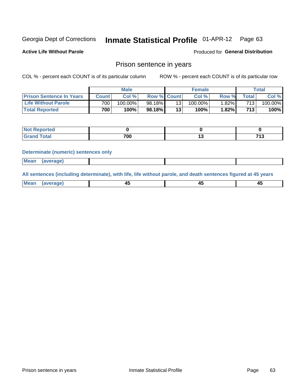#### Inmate Statistical Profile 01-APR-12 Page 63

**Active Life Without Parole** 

Produced for General Distribution

## Prison sentence in years

COL % - percent each COUNT is of its particular column

ROW % - percent each COUNT is of its particular row

|                                 |                  | <b>Male</b> |                    |    | <b>Female</b> |       |       | $\tau$ otal |
|---------------------------------|------------------|-------------|--------------------|----|---------------|-------|-------|-------------|
| <b>Prison Sentence In Years</b> | Count            | Col %       | <b>Row % Count</b> |    | Col%          | Row % | Total | Col %       |
| <b>Life Without Parole</b>      | 700 <sub>1</sub> | $100.00\%$  | 98.18%             |    | $100.00\%$    | 1.82% | 713.  | $100.00\%$  |
| <b>Total Reported</b>           | 700              | 100%        | 98.18%             | 13 | 100%          | 1.82% | 713   | 100%        |

| <b>Not Reported</b> |     |            |
|---------------------|-----|------------|
| <b>Total</b>        | 700 | 742<br>. . |

### **Determinate (numeric) sentences only**

| Mean | (average) |  |  |
|------|-----------|--|--|
|      |           |  |  |

All sentences (including determinate), with life, life without parole, and death sentences figured at 45 years

| l Mea<br>апе<br>. | -⊷ |  |
|-------------------|----|--|
|                   |    |  |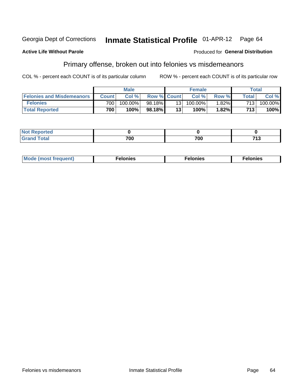### **Active Life Without Parole**

## **Produced for General Distribution**

## Primary offense, broken out into felonies vs misdemeanors

COL % - percent each COUNT is of its particular column

|                                  |                  | <b>Male</b> |                    |     | <b>Female</b> |          |              | Total      |
|----------------------------------|------------------|-------------|--------------------|-----|---------------|----------|--------------|------------|
| <b>Felonies and Misdemeanors</b> | <b>Count</b>     | Col%        | <b>Row % Count</b> |     | Col%          | Row %    | <b>Total</b> | Col %      |
| <b>Felonies</b>                  | 700 <sub>1</sub> | 100.00%     | 98.18%             | 131 | $100.00\%$    | $1.82\%$ | 713          | $100.00\%$ |
| <b>Total Reported</b>            | 700              | $100\%$     | 98.18%             | 13  | 100%          | 1.82%    | 713          | 100%       |

| <b>Not Reported</b>        |     |     |                   |
|----------------------------|-----|-----|-------------------|
| <b>Total</b><br>Grand<br>u | 700 | 700 | <b>749</b><br>. ט |

| <b>Mode</b><br>frequent)<br>nies<br>≧ (most tr.<br>. | onies<br>. | lonies<br>ею<br>____ |
|------------------------------------------------------|------------|----------------------|
|------------------------------------------------------|------------|----------------------|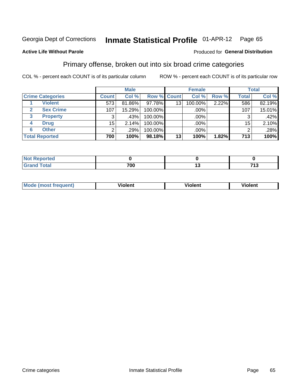#### **Inmate Statistical Profile 01-APR-12** Page 65

## **Active Life Without Parole**

### Produced for General Distribution

## Primary offense, broken out into six broad crime categories

COL % - percent each COUNT is of its particular column

|                         |              | <b>Male</b> |         |                    | <b>Female</b> |       |                 | <b>Total</b> |
|-------------------------|--------------|-------------|---------|--------------------|---------------|-------|-----------------|--------------|
| <b>Crime Categories</b> | <b>Count</b> | Col %       |         | <b>Row % Count</b> | Col %         | Row % | <b>Total</b>    | Col %        |
| <b>Violent</b>          | 573          | 81.86%      | 97.78%  | 13                 | 100.00%       | 2.22% | 586             | 82.19%       |
| <b>Sex Crime</b>        | 107          | 15.29%      | 100.00% |                    | .00%          |       | 107             | 15.01%       |
| <b>Property</b><br>3    | 3            | .43%        | 100.00% |                    | .00%          |       |                 | .42%         |
| <b>Drug</b><br>4        | 15           | 2.14%       | 100.00% |                    | .00%          |       | 15 <sub>1</sub> | 2.10%        |
| <b>Other</b><br>6       | 2            | .29%        | 100.00% |                    | .00%          |       | າ               | $.28\%$      |
| <b>Total Reported</b>   | 700          | 100%        | 98.18%  | 13                 | 100%          | 1.82% | 713             | 100%         |

| <b>Not Reported</b> |           |                    |
|---------------------|-----------|--------------------|
| <b>Total</b>        | 700<br>טע | 74.3<br><u>ل ا</u> |

| M | <br>. |  |
|---|-------|--|
|   |       |  |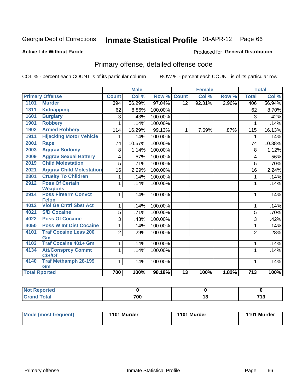#### **Inmate Statistical Profile 01-APR-12** Page 66

## **Active Life Without Parole**

### Produced for General Distribution

# Primary offense, detailed offense code

COL % - percent each COUNT is of its particular column

|                      |                                            |                | <b>Male</b> |         |                 | <b>Female</b> |       |                  | <b>Total</b> |
|----------------------|--------------------------------------------|----------------|-------------|---------|-----------------|---------------|-------|------------------|--------------|
|                      | <b>Primary Offense</b>                     | <b>Count</b>   | Col %       | Row %   | <b>Count</b>    | Col %         | Row % | <b>Total</b>     | Col %        |
| 1101                 | <b>Murder</b>                              | 394            | 56.29%      | 97.04%  | $\overline{12}$ | 92.31%        | 2.96% | 406              | 56.94%       |
| 1311                 | <b>Kidnapping</b>                          | 62             | 8.86%       | 100.00% |                 |               |       | 62               | 8.70%        |
| 1601                 | <b>Burglary</b>                            | 3              | .43%        | 100.00% |                 |               |       | 3                | .42%         |
| 1901                 | <b>Robbery</b>                             |                | .14%        | 100.00% |                 |               |       | 1                | .14%         |
| 1902                 | <b>Armed Robbery</b>                       | 114            | 16.29%      | 99.13%  | $\mathbf 1$     | 7.69%         | .87%  | 115              | 16.13%       |
| 1911                 | <b>Hijacking Motor Vehicle</b>             |                | .14%        | 100.00% |                 |               |       | $\mathbf{1}$     | .14%         |
| 2001                 | <b>Rape</b>                                | 74             | 10.57%      | 100.00% |                 |               |       | 74               | 10.38%       |
| 2003                 | <b>Aggrav Sodomy</b>                       | 8              | 1.14%       | 100.00% |                 |               |       | 8                | 1.12%        |
| 2009                 | <b>Aggrav Sexual Battery</b>               | 4              | .57%        | 100.00% |                 |               |       | 4                | .56%         |
| 2019                 | <b>Child Molestation</b>                   | 5              | .71%        | 100.00% |                 |               |       | 5                | .70%         |
| 2021                 | <b>Aggrav Child Molestation</b>            | 16             | 2.29%       | 100.00% |                 |               |       | 16               | 2.24%        |
| 2801                 | <b>Cruelty To Children</b>                 | 1              | .14%        | 100.00% |                 |               |       | 1                | .14%         |
| 2912                 | <b>Poss Of Certain</b>                     | 1              | .14%        | 100.00% |                 |               |       | 1                | .14%         |
|                      | <b>Weapons</b>                             |                |             |         |                 |               |       |                  |              |
| 2914                 | <b>Poss Firearm Convct</b><br><b>Felon</b> | 1              | .14%        | 100.00% |                 |               |       | 1                | .14%         |
| 4012                 | <b>Viol Ga Cntrl Sbst Act</b>              | 1              | .14%        | 100.00% |                 |               |       | 1                | .14%         |
| 4021                 | <b>S/D Cocaine</b>                         | 5              | .71%        | 100.00% |                 |               |       | 5                | .70%         |
| 4022                 | <b>Poss Of Cocaine</b>                     | 3              | .43%        | 100.00% |                 |               |       | 3                | .42%         |
| 4050                 | <b>Poss W Int Dist Cocaine</b>             | 1              | .14%        | 100.00% |                 |               |       | 1                | .14%         |
| 4101                 | <b>Traf Cocaine Less 200</b>               | $\overline{2}$ | .29%        | 100.00% |                 |               |       | $\overline{2}$   | .28%         |
|                      | Gm                                         |                |             |         |                 |               |       |                  |              |
| 4103                 | <b>Traf Cocaine 401+ Gm</b>                | 1              | .14%        | 100.00% |                 |               |       | 1                | .14%         |
| 4134                 | <b>Att/Consprcy Commt</b><br>C/S/Of        | 1              | .14%        | 100.00% |                 |               |       | 1                | .14%         |
| 4140                 | <b>Traf Methamph 28-199</b>                | 1              | .14%        | 100.00% |                 |               |       | 1                | .14%         |
|                      | Gm                                         |                |             |         |                 |               |       |                  |              |
| <b>Total Rported</b> |                                            | 700            | 100%        | 98.18%  | $\overline{13}$ | 100%          | 1.82% | $\overline{713}$ | 100%         |

| oorted<br>m. |     |     |             |
|--------------|-----|-----|-------------|
| 'otal        | 700 | 1 V | 74.2<br>. . |

| Mode (most frequent) | 1101 Murder | 1101 Murder | 1101 Murder |
|----------------------|-------------|-------------|-------------|
|                      |             |             |             |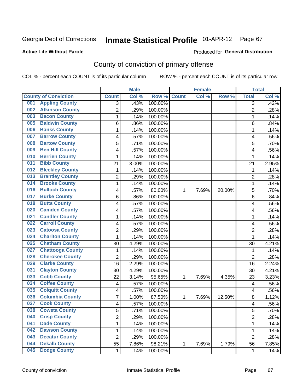### **Active Life Without Parole**

### Produced for **General Distribution**

# County of conviction of primary offense

|                                |                | <b>Male</b> |                  |              | <b>Female</b> |        |                | <b>Total</b> |
|--------------------------------|----------------|-------------|------------------|--------------|---------------|--------|----------------|--------------|
| <b>County of Conviction</b>    | <b>Count</b>   | Col %       | Row <sup>%</sup> | <b>Count</b> | Col %         | Row %  | <b>Total</b>   | Col %        |
| <b>Appling County</b><br>001   | 3              | .43%        | 100.00%          |              |               |        | 3              | .42%         |
| <b>Atkinson County</b><br>002  | $\overline{2}$ | .29%        | 100.00%          |              |               |        | $\overline{2}$ | .28%         |
| <b>Bacon County</b><br>003     | 1              | .14%        | 100.00%          |              |               |        | 1              | .14%         |
| <b>Baldwin County</b><br>005   | 6              | .86%        | 100.00%          |              |               |        | 6              | .84%         |
| <b>Banks County</b><br>006     | 1              | .14%        | 100.00%          |              |               |        | 1              | .14%         |
| <b>Barrow County</b><br>007    | 4              | .57%        | 100.00%          |              |               |        | 4              | .56%         |
| <b>Bartow County</b><br>008    | 5              | .71%        | 100.00%          |              |               |        | 5              | .70%         |
| <b>Ben Hill County</b><br>009  | 4              | .57%        | 100.00%          |              |               |        | 4              | .56%         |
| <b>Berrien County</b><br>010   | 1              | .14%        | 100.00%          |              |               |        | 1              | .14%         |
| <b>Bibb County</b><br>011      | 21             | 3.00%       | 100.00%          |              |               |        | 21             | 2.95%        |
| <b>Bleckley County</b><br>012  | 1              | .14%        | 100.00%          |              |               |        | 1              | .14%         |
| <b>Brantley County</b><br>013  | $\overline{2}$ | .29%        | 100.00%          |              |               |        | $\overline{2}$ | .28%         |
| <b>Brooks County</b><br>014    | 1              | .14%        | 100.00%          |              |               |        | 1              | .14%         |
| <b>Bulloch County</b><br>016   | 4              | .57%        | 80.00%           | 1            | 7.69%         | 20.00% | 5              | .70%         |
| <b>Burke County</b><br>017     | 6              | .86%        | 100.00%          |              |               |        | 6              | .84%         |
| <b>Butts County</b><br>018     | 4              | .57%        | 100.00%          |              |               |        | 4              | .56%         |
| <b>Camden County</b><br>020    | 4              | .57%        | 100.00%          |              |               |        | 4              | .56%         |
| <b>Candler County</b><br>021   | 1              | .14%        | 100.00%          |              |               |        | 1              | .14%         |
| <b>Carroll County</b><br>022   | 4              | .57%        | 100.00%          |              |               |        | 4              | .56%         |
| <b>Catoosa County</b><br>023   | $\overline{2}$ | .29%        | 100.00%          |              |               |        | $\overline{c}$ | .28%         |
| <b>Charlton County</b><br>024  | 1              | .14%        | 100.00%          |              |               |        | 1              | .14%         |
| <b>Chatham County</b><br>025   | 30             | 4.29%       | 100.00%          |              |               |        | 30             | 4.21%        |
| <b>Chattooga County</b><br>027 | 1              | .14%        | 100.00%          |              |               |        | 1              | .14%         |
| <b>Cherokee County</b><br>028  | $\overline{2}$ | .29%        | 100.00%          |              |               |        | $\overline{2}$ | .28%         |
| <b>Clarke County</b><br>029    | 16             | 2.29%       | 100.00%          |              |               |        | 16             | 2.24%        |
| <b>Clayton County</b><br>031   | 30             | 4.29%       | 100.00%          |              |               |        | 30             | 4.21%        |
| <b>Cobb County</b><br>033      | 22             | 3.14%       | 95.65%           | 1            | 7.69%         | 4.35%  | 23             | 3.23%        |
| <b>Coffee County</b><br>034    | 4              | .57%        | 100.00%          |              |               |        | 4              | .56%         |
| <b>Colquitt County</b><br>035  | 4              | .57%        | 100.00%          |              |               |        | 4              | .56%         |
| <b>Columbia County</b><br>036  | 7              | 1.00%       | 87.50%           | 1            | 7.69%         | 12.50% | 8              | 1.12%        |
| <b>Cook County</b><br>037      | 4              | .57%        | 100.00%          |              |               |        | 4              | .56%         |
| 038<br><b>Coweta County</b>    | 5              | .71%        | 100.00%          |              |               |        | 5              | .70%         |
| <b>Crisp County</b><br>040     | $\overline{2}$ | .29%        | 100.00%          |              |               |        | $\overline{2}$ | .28%         |
| <b>Dade County</b><br>041      | 1              | .14%        | 100.00%          |              |               |        | 1              | .14%         |
| <b>Dawson County</b><br>042    | 1              | .14%        | 100.00%          |              |               |        | 1              | .14%         |
| <b>Decatur County</b><br>043   | $\overline{2}$ | .29%        | 100.00%          |              |               |        | $\overline{2}$ | .28%         |
| <b>Dekalb County</b><br>044    | 55             | 7.86%       | 98.21%           | 1            | 7.69%         | 1.79%  | 56             | 7.85%        |
| <b>Dodge County</b><br>045     | 1              | .14%        | 100.00%          |              |               |        | $\mathbf{1}$   | .14%         |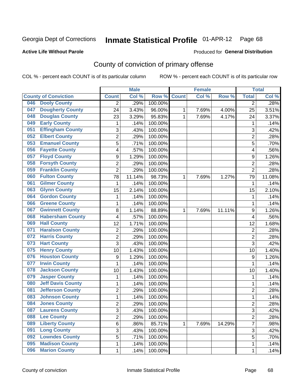## **Active Life Without Parole**

### Produced for **General Distribution**

# County of conviction of primary offense

|                             |                          |                | <b>Male</b> |         |              | <b>Female</b> |        |                | <b>Total</b> |
|-----------------------------|--------------------------|----------------|-------------|---------|--------------|---------------|--------|----------------|--------------|
| <b>County of Conviction</b> |                          | <b>Count</b>   | Col %       | Row %   | <b>Count</b> | Col %         | Row %  | <b>Total</b>   | Col %        |
| 046                         | <b>Dooly County</b>      | 2              | .29%        | 100.00% |              |               |        | $\overline{2}$ | .28%         |
| 047                         | <b>Dougherty County</b>  | 24             | 3.43%       | 96.00%  | 1            | 7.69%         | 4.00%  | 25             | 3.51%        |
| 048                         | <b>Douglas County</b>    | 23             | 3.29%       | 95.83%  | 1            | 7.69%         | 4.17%  | 24             | 3.37%        |
| 049                         | <b>Early County</b>      | 1              | .14%        | 100.00% |              |               |        | 1              | .14%         |
| 051                         | <b>Effingham County</b>  | 3              | .43%        | 100.00% |              |               |        | 3              | .42%         |
| 052                         | <b>Elbert County</b>     | $\overline{2}$ | .29%        | 100.00% |              |               |        | $\overline{2}$ | .28%         |
| 053                         | <b>Emanuel County</b>    | 5              | .71%        | 100.00% |              |               |        | 5              | .70%         |
| 056                         | <b>Fayette County</b>    | 4              | .57%        | 100.00% |              |               |        | 4              | .56%         |
| 057                         | <b>Floyd County</b>      | 9              | 1.29%       | 100.00% |              |               |        | 9              | 1.26%        |
| 058                         | <b>Forsyth County</b>    | $\overline{2}$ | .29%        | 100.00% |              |               |        | $\overline{2}$ | .28%         |
| 059                         | <b>Franklin County</b>   | $\overline{2}$ | .29%        | 100.00% |              |               |        | $\overline{2}$ | .28%         |
| 060                         | <b>Fulton County</b>     | 78             | 11.14%      | 98.73%  | 1            | 7.69%         | 1.27%  | 79             | 11.08%       |
| 061                         | <b>Gilmer County</b>     | $\mathbf{1}$   | .14%        | 100.00% |              |               |        | $\mathbf{1}$   | .14%         |
| 063                         | <b>Glynn County</b>      | 15             | 2.14%       | 100.00% |              |               |        | 15             | 2.10%        |
| 064                         | <b>Gordon County</b>     | $\mathbf{1}$   | .14%        | 100.00% |              |               |        | 1              | .14%         |
| 066                         | <b>Greene County</b>     | 1              | .14%        | 100.00% |              |               |        | 1              | .14%         |
| 067                         | <b>Gwinnett County</b>   | 8              | 1.14%       | 88.89%  | 1            | 7.69%         | 11.11% | 9              | 1.26%        |
| 068                         | <b>Habersham County</b>  | 4              | .57%        | 100.00% |              |               |        | 4              | .56%         |
| 069                         | <b>Hall County</b>       | 12             | 1.71%       | 100.00% |              |               |        | 12             | 1.68%        |
| 071                         | <b>Haralson County</b>   | $\overline{2}$ | .29%        | 100.00% |              |               |        | $\overline{2}$ | .28%         |
| 072                         | <b>Harris County</b>     | $\overline{2}$ | .29%        | 100.00% |              |               |        | $\overline{2}$ | .28%         |
| 073                         | <b>Hart County</b>       | $\overline{3}$ | .43%        | 100.00% |              |               |        | 3              | .42%         |
| 075                         | <b>Henry County</b>      | 10             | 1.43%       | 100.00% |              |               |        | 10             | 1.40%        |
| 076                         | <b>Houston County</b>    | 9              | 1.29%       | 100.00% |              |               |        | 9              | 1.26%        |
| 077                         | <b>Irwin County</b>      | $\mathbf{1}$   | .14%        | 100.00% |              |               |        | $\mathbf 1$    | .14%         |
| 078                         | <b>Jackson County</b>    | 10             | 1.43%       | 100.00% |              |               |        | 10             | 1.40%        |
| 079                         | <b>Jasper County</b>     | 1              | .14%        | 100.00% |              |               |        | 1              | .14%         |
| 080                         | <b>Jeff Davis County</b> | 1              | .14%        | 100.00% |              |               |        | 1              | .14%         |
| 081                         | <b>Jefferson County</b>  | $\overline{2}$ | .29%        | 100.00% |              |               |        | $\overline{2}$ | .28%         |
| 083                         | <b>Johnson County</b>    | 1              | .14%        | 100.00% |              |               |        | $\mathbf{1}$   | .14%         |
| 084                         | <b>Jones County</b>      | $\overline{2}$ | .29%        | 100.00% |              |               |        | $\overline{2}$ | .28%         |
| 087                         | <b>Laurens County</b>    | 3              | .43%        | 100.00% |              |               |        | 3              | .42%         |
| 088                         | <b>Lee County</b>        | $\overline{2}$ | .29%        | 100.00% |              |               |        | $\overline{2}$ | .28%         |
| 089                         | <b>Liberty County</b>    | 6              | .86%        | 85.71%  | $\mathbf{1}$ | 7.69%         | 14.29% | $\overline{7}$ | .98%         |
| 091                         | <b>Long County</b>       | $\overline{3}$ | .43%        | 100.00% |              |               |        | 3              | .42%         |
| 092                         | <b>Lowndes County</b>    | $\overline{5}$ | .71%        | 100.00% |              |               |        | 5              | .70%         |
| 095                         | <b>Madison County</b>    | 1              | .14%        | 100.00% |              |               |        | $\mathbf{1}$   | .14%         |
| 096                         | <b>Marion County</b>     | 1              | .14%        | 100.00% |              |               |        | $\mathbf{1}$   | .14%         |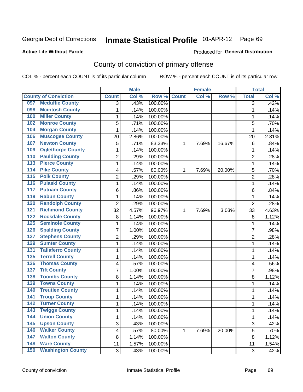### **Active Life Without Parole**

### Produced for **General Distribution**

## County of conviction of primary offense

|                  |                             |                         | <b>Male</b> |         |              | <b>Female</b> |        |                           | <b>Total</b> |
|------------------|-----------------------------|-------------------------|-------------|---------|--------------|---------------|--------|---------------------------|--------------|
|                  | <b>County of Conviction</b> | <b>Count</b>            | Col %       | Row %   | <b>Count</b> | Col %         | Row %  | <b>Total</b>              | Col %        |
| 097              | <b>Mcduffie County</b>      | 3                       | .43%        | 100.00% |              |               |        | 3                         | .42%         |
| 098              | <b>Mcintosh County</b>      | 1                       | .14%        | 100.00% |              |               |        | $\mathbf{1}$              | .14%         |
| 100              | <b>Miller County</b>        | 1                       | .14%        | 100.00% |              |               |        | 1                         | .14%         |
| 102              | <b>Monroe County</b>        | 5                       | .71%        | 100.00% |              |               |        | 5                         | .70%         |
| 104              | <b>Morgan County</b>        | 1                       | .14%        | 100.00% |              |               |        | 1                         | .14%         |
| 106              | <b>Muscogee County</b>      | 20                      | 2.86%       | 100.00% |              |               |        | 20                        | 2.81%        |
| 107              | <b>Newton County</b>        | 5                       | .71%        | 83.33%  | 1            | 7.69%         | 16.67% | 6                         | .84%         |
| 109              | <b>Oglethorpe County</b>    | 1                       | .14%        | 100.00% |              |               |        | 1                         | .14%         |
| 110              | <b>Paulding County</b>      | 2                       | .29%        | 100.00% |              |               |        | $\overline{2}$            | .28%         |
| $\overline{113}$ | <b>Pierce County</b>        | 1                       | .14%        | 100.00% |              |               |        | 1                         | .14%         |
| 114              | <b>Pike County</b>          | 4                       | .57%        | 80.00%  | 1            | 7.69%         | 20.00% | 5                         | .70%         |
| 115              | <b>Polk County</b>          | $\overline{2}$          | .29%        | 100.00% |              |               |        | $\overline{2}$            | .28%         |
| 116              | <b>Pulaski County</b>       | 1                       | .14%        | 100.00% |              |               |        | 1                         | .14%         |
| 117              | <b>Putnam County</b>        | 6                       | .86%        | 100.00% |              |               |        | 6                         | .84%         |
| 119              | <b>Rabun County</b>         | 1                       | .14%        | 100.00% |              |               |        | $\mathbf 1$               | .14%         |
| 120              | <b>Randolph County</b>      | $\overline{2}$          | .29%        | 100.00% |              |               |        | $\overline{2}$            | .28%         |
| 121              | <b>Richmond County</b>      | 32                      | 4.57%       | 96.97%  | 1            | 7.69%         | 3.03%  | 33                        | 4.63%        |
| 122              | <b>Rockdale County</b>      | 8                       | 1.14%       | 100.00% |              |               |        | 8                         | 1.12%        |
| 125              | <b>Seminole County</b>      | 1                       | .14%        | 100.00% |              |               |        | 1                         | .14%         |
| 126              | <b>Spalding County</b>      | 7                       | 1.00%       | 100.00% |              |               |        | 7                         | .98%         |
| 127              | <b>Stephens County</b>      | 2                       | .29%        | 100.00% |              |               |        | $\overline{2}$            | .28%         |
| 129              | <b>Sumter County</b>        | 1                       | .14%        | 100.00% |              |               |        | $\mathbf 1$               | .14%         |
| 131              | <b>Taliaferro County</b>    | 1                       | .14%        | 100.00% |              |               |        | 1                         | .14%         |
| 135              | <b>Terrell County</b>       | 1                       | .14%        | 100.00% |              |               |        | 1                         | .14%         |
| 136              | <b>Thomas County</b>        | 4                       | .57%        | 100.00% |              |               |        | 4                         | .56%         |
| 137              | <b>Tift County</b>          | 7                       | 1.00%       | 100.00% |              |               |        | 7                         | .98%         |
| 138              | <b>Toombs County</b>        | 8                       | 1.14%       | 100.00% |              |               |        | 8                         | 1.12%        |
| 139              | <b>Towns County</b>         | 1                       | .14%        | 100.00% |              |               |        | 1                         | .14%         |
| 140              | <b>Treutlen County</b>      | 1                       | .14%        | 100.00% |              |               |        | 1                         | .14%         |
| 141              | <b>Troup County</b>         | 1                       | .14%        | 100.00% |              |               |        | 1                         | .14%         |
| 142              | <b>Turner County</b>        | 1                       | .14%        | 100.00% |              |               |        | 1                         | .14%         |
| 143              | <b>Twiggs County</b>        | 1                       | .14%        | 100.00% |              |               |        | 1                         | .14%         |
| 144              | <b>Union County</b>         | 1                       | .14%        | 100.00% |              |               |        | $\mathbf{1}$              | .14%         |
| $\overline{145}$ | <b>Upson County</b>         | 3                       | .43%        | 100.00% |              |               |        | $\ensuremath{\mathsf{3}}$ | .42%         |
| 146              | <b>Walker County</b>        | $\overline{\mathbf{4}}$ | .57%        | 80.00%  | 1            | 7.69%         | 20.00% | 5                         | .70%         |
| 147              | <b>Walton County</b>        | 8                       | 1.14%       | 100.00% |              |               |        | 8                         | 1.12%        |
| 148              | <b>Ware County</b>          | 11                      | 1.57%       | 100.00% |              |               |        | 11                        | 1.54%        |
| 150              | <b>Washington County</b>    | $\mathfrak{S}$          | .43%        | 100.00% |              |               |        | $\sqrt{3}$                | .42%         |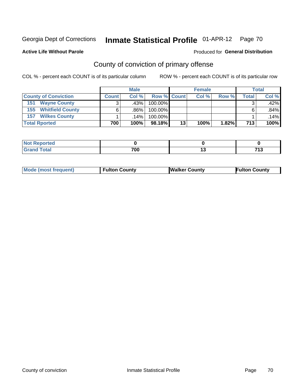### **Active Life Without Parole**

### Produced for **General Distribution**

# County of conviction of primary offense

|                             |              | <b>Male</b> |                    |    | <b>Female</b> | <b>Total</b> |         |         |
|-----------------------------|--------------|-------------|--------------------|----|---------------|--------------|---------|---------|
| <b>County of Conviction</b> | <b>Count</b> | Col%        | <b>Row % Count</b> |    | Col %         | Row %        | Total . | Col %   |
| 151<br><b>Wayne County</b>  |              | .43%        | 100.00%            |    |               |              |         | $.42\%$ |
| <b>155 Whitfield County</b> |              | .86%        | 100.00%            |    |               |              |         | $.84\%$ |
| <b>Wilkes County</b><br>157 |              | .14%        | 100.00%            |    |               |              |         | .14%    |
| <b>Total Rported</b>        | 700          | 100%        | 98.18%             | 13 | 100%          | 1.82%        | 713     | 100%    |

| rted |     |    |             |
|------|-----|----|-------------|
| ---  | 700 | יי | 74.2<br>. . |

|  | <b>Mode (most frequent)</b> | <b>Fulton County</b> | <b>Walker County</b> | <b>Fulton County</b> |
|--|-----------------------------|----------------------|----------------------|----------------------|
|--|-----------------------------|----------------------|----------------------|----------------------|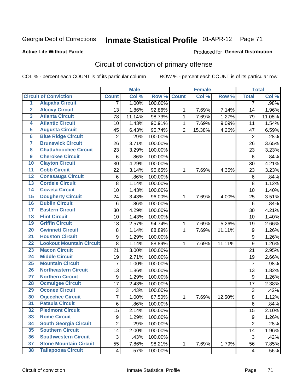Produced for **General Distribution**

## **Active Life Without Parole**

# Circuit of conviction of primary offense

|                         |                                 |                | <b>Male</b> |         |                | <b>Female</b> |        |                  | <b>Total</b> |
|-------------------------|---------------------------------|----------------|-------------|---------|----------------|---------------|--------|------------------|--------------|
|                         | <b>Circuit of Conviction</b>    | <b>Count</b>   | Col %       | Row %   | <b>Count</b>   | Col %         | Row %  | <b>Total</b>     | Col %        |
| $\overline{1}$          | <b>Alapaha Circuit</b>          | $\overline{7}$ | 1.00%       | 100.00% |                |               |        | 7                | .98%         |
| $\overline{2}$          | <b>Alcovy Circuit</b>           | 13             | 1.86%       | 92.86%  | 1              | 7.69%         | 7.14%  | 14               | 1.96%        |
| $\overline{\mathbf{3}}$ | <b>Atlanta Circuit</b>          | 78             | 11.14%      | 98.73%  | $\mathbf{1}$   | 7.69%         | 1.27%  | 79               | 11.08%       |
| 4                       | <b>Atlantic Circuit</b>         | 10             | 1.43%       | 90.91%  | 1              | 7.69%         | 9.09%  | 11               | 1.54%        |
| 5                       | <b>Augusta Circuit</b>          | 45             | 6.43%       | 95.74%  | $\overline{2}$ | 15.38%        | 4.26%  | 47               | 6.59%        |
| $6\phantom{a}$          | <b>Blue Ridge Circuit</b>       | $\overline{2}$ | .29%        | 100.00% |                |               |        | $\overline{2}$   | .28%         |
| 7                       | <b>Brunswick Circuit</b>        | 26             | 3.71%       | 100.00% |                |               |        | 26               | 3.65%        |
| 8                       | <b>Chattahoochee Circuit</b>    | 23             | 3.29%       | 100.00% |                |               |        | 23               | 3.23%        |
| $\overline{9}$          | <b>Cherokee Circuit</b>         | 6              | .86%        | 100.00% |                |               |        | 6                | .84%         |
| 10                      | <b>Clayton Circuit</b>          | 30             | 4.29%       | 100.00% |                |               |        | 30               | 4.21%        |
| $\overline{11}$         | <b>Cobb Circuit</b>             | 22             | 3.14%       | 95.65%  | 1              | 7.69%         | 4.35%  | 23               | 3.23%        |
| $\overline{12}$         | <b>Conasauga Circuit</b>        | $\,6$          | .86%        | 100.00% |                |               |        | $\,6$            | .84%         |
| $\overline{13}$         | <b>Cordele Circuit</b>          | 8              | 1.14%       | 100.00% |                |               |        | 8                | 1.12%        |
| 14                      | <b>Coweta Circuit</b>           | 10             | 1.43%       | 100.00% |                |               |        | 10               | 1.40%        |
| 15                      | <b>Dougherty Circuit</b>        | 24             | 3.43%       | 96.00%  | 1              | 7.69%         | 4.00%  | 25               | 3.51%        |
| 16                      | <b>Dublin Circuit</b>           | 6              | .86%        | 100.00% |                |               |        | 6                | .84%         |
| 17                      | <b>Eastern Circuit</b>          | 30             | 4.29%       | 100.00% |                |               |        | 30               | 4.21%        |
| 18                      | <b>Flint Circuit</b>            | 10             | 1.43%       | 100.00% |                |               |        | 10               | 1.40%        |
| 19                      | <b>Griffin Circuit</b>          | 18             | 2.57%       | 94.74%  | 1              | 7.69%         | 5.26%  | 19               | 2.66%        |
| 20                      | <b>Gwinnett Circuit</b>         | 8              | 1.14%       | 88.89%  | $\mathbf 1$    | 7.69%         | 11.11% | 9                | 1.26%        |
| $\overline{21}$         | <b>Houston Circuit</b>          | 9              | 1.29%       | 100.00% |                |               |        | $\boldsymbol{9}$ | 1.26%        |
| $\overline{22}$         | <b>Lookout Mountain Circuit</b> | 8              | 1.14%       | 88.89%  | $\mathbf 1$    | 7.69%         | 11.11% | 9                | 1.26%        |
| 23                      | <b>Macon Circuit</b>            | 21             | 3.00%       | 100.00% |                |               |        | 21               | 2.95%        |
| $\overline{24}$         | <b>Middle Circuit</b>           | 19             | 2.71%       | 100.00% |                |               |        | 19               | 2.66%        |
| $\overline{25}$         | <b>Mountain Circuit</b>         | $\overline{7}$ | 1.00%       | 100.00% |                |               |        | $\overline{7}$   | .98%         |
| 26                      | <b>Northeastern Circuit</b>     | 13             | 1.86%       | 100.00% |                |               |        | 13               | 1.82%        |
| $\overline{27}$         | <b>Northern Circuit</b>         | 9              | 1.29%       | 100.00% |                |               |        | $\boldsymbol{9}$ | 1.26%        |
| 28                      | <b>Ocmulgee Circuit</b>         | 17             | 2.43%       | 100.00% |                |               |        | 17               | 2.38%        |
| 29                      | <b>Oconee Circuit</b>           | 3              | .43%        | 100.00% |                |               |        | 3                | .42%         |
| 30                      | <b>Ogeechee Circuit</b>         | 7              | 1.00%       | 87.50%  | $\mathbf 1$    | 7.69%         | 12.50% | 8                | 1.12%        |
| $\overline{31}$         | <b>Pataula Circuit</b>          | 6              | .86%        | 100.00% |                |               |        | 6                | .84%         |
| 32                      | <b>Piedmont Circuit</b>         | 15             | 2.14%       | 100.00% |                |               |        | 15               | 2.10%        |
| 33                      | <b>Rome Circuit</b>             | 9              | 1.29%       | 100.00% |                |               |        | 9                | 1.26%        |
| 34                      | <b>South Georgia Circuit</b>    | $\overline{2}$ | .29%        | 100.00% |                |               |        | $\overline{2}$   | .28%         |
| 35                      | <b>Southern Circuit</b>         | 14             | 2.00%       | 100.00% |                |               |        | 14               | 1.96%        |
| 36                      | <b>Southwestern Circuit</b>     | 3              | .43%        | 100.00% |                |               |        | 3                | .42%         |
| 37                      | <b>Stone Mountain Circuit</b>   | 55             | 7.86%       | 98.21%  | 1              | 7.69%         | 1.79%  | 56               | 7.85%        |
| 38                      | <b>Tallapoosa Circuit</b>       | 4              | .57%        | 100.00% |                |               |        | 4                | .56%         |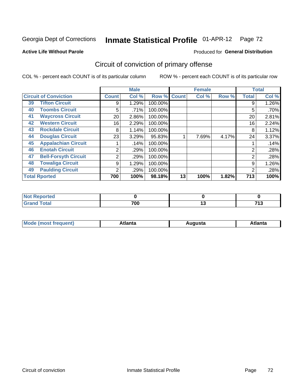### **Active Life Without Parole**

## Produced for **General Distribution**

# Circuit of conviction of primary offense

|    |                              |              | <b>Male</b> |         |              | <b>Female</b> |       | <b>Total</b>   |       |
|----|------------------------------|--------------|-------------|---------|--------------|---------------|-------|----------------|-------|
|    | <b>Circuit of Conviction</b> | <b>Count</b> | Col %       | Row %   | <b>Count</b> | Col %         | Row % | <b>Total</b>   | Col % |
| 39 | <b>Tifton Circuit</b>        | 9            | 1.29%       | 100.00% |              |               |       | 9              | 1.26% |
| 40 | <b>Toombs Circuit</b>        | 5            | .71%        | 100.00% |              |               |       | 5              | .70%  |
| 41 | <b>Waycross Circuit</b>      | 20           | 2.86%       | 100.00% |              |               |       | 20             | 2.81% |
| 42 | <b>Western Circuit</b>       | 16           | 2.29%       | 100.00% |              |               |       | 16             | 2.24% |
| 43 | <b>Rockdale Circuit</b>      | 8            | 1.14%       | 100.00% |              |               |       | 8              | 1.12% |
| 44 | <b>Douglas Circuit</b>       | 23           | 3.29%       | 95.83%  |              | 7.69%         | 4.17% | 24             | 3.37% |
| 45 | <b>Appalachian Circuit</b>   |              | .14%        | 100.00% |              |               |       |                | .14%  |
| 46 | <b>Enotah Circuit</b>        | 2            | .29%        | 100.00% |              |               |       | 2              | .28%  |
| 47 | <b>Bell-Forsyth Circuit</b>  | 2            | .29%        | 100.00% |              |               |       | $\overline{2}$ | .28%  |
| 48 | <b>Towaliga Circuit</b>      | 9            | 1.29%       | 100.00% |              |               |       | 9              | 1.26% |
| 49 | <b>Paulding Circuit</b>      | 2            | .29%        | 100.00% |              |               |       | 2              | .28%  |
|    | <b>Total Rported</b>         | 700          | 100%        | 98.18%  | 13           | 100%          | 1.82% | 713            | 100%  |

| ported<br>N  |     |    |           |
|--------------|-----|----|-----------|
| <b>Total</b> | 700 | יי | 74.2<br>. |

| М<br>. In n tr<br>.<br>.<br>wanta<br>Πū<br>31.<br>$\sim$ $\sim$ $\sim$ |
|------------------------------------------------------------------------|
|------------------------------------------------------------------------|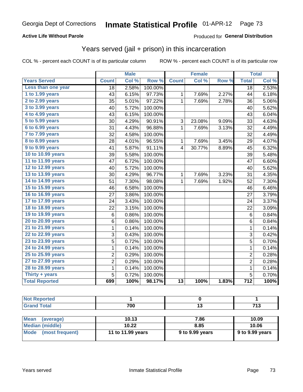### **Active Life Without Parole**

### Produced for **General Distribution**

## Years served (jail + prison) in this incarceration

| Col %<br>Row %<br>Col %<br>Row %<br><b>Total</b><br><b>Years Served</b><br><b>Count</b><br><b>Count</b><br>Less than one year<br>2.58%<br>100.00%<br>$\overline{18}$<br>18<br>1 to 1.99 years<br>6.15%<br>97.73%<br>43<br>7.69%<br>2.27%<br>$\mathbf{1}$<br>44<br>2 to 2.99 years<br>97.22%<br>35<br>5.01%<br>$\mathbf{1}$<br>7.69%<br>2.78%<br>36<br>3 to 3.99 years<br>5.72%<br>100.00%<br>40<br>40<br>4 to 4.99 years<br>6.15%<br>100.00%<br>43<br>43<br>5 to 5.99 years<br>30<br>4.29%<br>90.91%<br>3<br>23.08%<br>9.09%<br>33<br>6 to 6.99 years<br>96.88%<br>31<br>4.43%<br>7.69%<br>3.13%<br>$\mathbf{1}$<br>32<br>7 to 7.99 years<br>32<br>4.58%<br>100.00%<br>32<br>8 to 8.99 years<br>96.55%<br>28<br>4.01%<br>7.69%<br>3.45%<br>29<br>$\mathbf{1}$<br>9 to 9.99 years<br>91.11%<br>41<br>5.87%<br>$\overline{\mathbf{4}}$<br>30.77%<br>8.89%<br>45<br>10 to 10.99 years<br>5.58%<br>100.00%<br>39<br>39<br>11 to 11.99 years<br>100.00%<br>6.72%<br>47<br>47<br>12 to 12.99 years<br>5.72%<br>100.00%<br>40<br>40<br>13 to 13.99 years<br>96.77%<br>7.69%<br>3.23%<br>30<br>4.29%<br>31<br>$\mathbf 1$<br>14 to 14.99 years<br>51<br>7.30%<br>98.08%<br>$\mathbf{1}$<br>7.69%<br>1.92%<br>52<br>15 to 15.99 years<br>100.00%<br>46<br>6.58%<br>46<br>16 to 16.99 years<br>27<br>100.00%<br>27<br>3.86%<br>17 to 17.99 years<br>3.43%<br>100.00%<br>24<br>24<br>18 to 18.99 years<br>22<br>3.15%<br>100.00%<br>22<br>19 to 19.99 years<br>0.86%<br>100.00%<br>6<br>$6\phantom{1}$<br>20 to 20.99 years<br>100.00%<br>0.86%<br>6<br>6<br>21 to 21.99 years<br>0.14%<br>100.00%<br>$\mathbf{1}$<br>$\mathbf{1}$<br>22 to 22.99 years<br>3<br>100.00%<br>3<br>0.43%<br>$\overline{5}$<br>23 to 23.99 years<br>$\overline{5}$<br>0.72%<br>100.00%<br>24 to 24.99 years<br>$\mathbf{1}$<br>100.00%<br>$\mathbf{1}$<br>0.14%<br>25 to 25.99 years<br>$\overline{2}$<br>$\overline{2}$<br>0.29%<br>100.00%<br>27 to 27.99 years<br>$\overline{2}$<br>$\overline{2}$<br>100.00%<br>0.29%<br>28 to 28.99 years<br>100.00%<br>$\mathbf 1$<br>0.14%<br>$\mathbf{1}$ |                | <b>Male</b> |       | <b>Female</b> |  |  | <b>Total</b> |   |       |
|--------------------------------------------------------------------------------------------------------------------------------------------------------------------------------------------------------------------------------------------------------------------------------------------------------------------------------------------------------------------------------------------------------------------------------------------------------------------------------------------------------------------------------------------------------------------------------------------------------------------------------------------------------------------------------------------------------------------------------------------------------------------------------------------------------------------------------------------------------------------------------------------------------------------------------------------------------------------------------------------------------------------------------------------------------------------------------------------------------------------------------------------------------------------------------------------------------------------------------------------------------------------------------------------------------------------------------------------------------------------------------------------------------------------------------------------------------------------------------------------------------------------------------------------------------------------------------------------------------------------------------------------------------------------------------------------------------------------------------------------------------------------------------------------------------------------------------------------------------------------------------------------------------------------------------------------------------------------------------------------------------------------------------------------------------------------|----------------|-------------|-------|---------------|--|--|--------------|---|-------|
|                                                                                                                                                                                                                                                                                                                                                                                                                                                                                                                                                                                                                                                                                                                                                                                                                                                                                                                                                                                                                                                                                                                                                                                                                                                                                                                                                                                                                                                                                                                                                                                                                                                                                                                                                                                                                                                                                                                                                                                                                                                                    |                |             |       |               |  |  |              |   | Col % |
|                                                                                                                                                                                                                                                                                                                                                                                                                                                                                                                                                                                                                                                                                                                                                                                                                                                                                                                                                                                                                                                                                                                                                                                                                                                                                                                                                                                                                                                                                                                                                                                                                                                                                                                                                                                                                                                                                                                                                                                                                                                                    |                |             |       |               |  |  |              |   | 2.53% |
|                                                                                                                                                                                                                                                                                                                                                                                                                                                                                                                                                                                                                                                                                                                                                                                                                                                                                                                                                                                                                                                                                                                                                                                                                                                                                                                                                                                                                                                                                                                                                                                                                                                                                                                                                                                                                                                                                                                                                                                                                                                                    |                |             |       |               |  |  |              |   | 6.18% |
|                                                                                                                                                                                                                                                                                                                                                                                                                                                                                                                                                                                                                                                                                                                                                                                                                                                                                                                                                                                                                                                                                                                                                                                                                                                                                                                                                                                                                                                                                                                                                                                                                                                                                                                                                                                                                                                                                                                                                                                                                                                                    |                |             |       |               |  |  |              |   | 5.06% |
|                                                                                                                                                                                                                                                                                                                                                                                                                                                                                                                                                                                                                                                                                                                                                                                                                                                                                                                                                                                                                                                                                                                                                                                                                                                                                                                                                                                                                                                                                                                                                                                                                                                                                                                                                                                                                                                                                                                                                                                                                                                                    |                |             |       |               |  |  |              |   | 5.62% |
|                                                                                                                                                                                                                                                                                                                                                                                                                                                                                                                                                                                                                                                                                                                                                                                                                                                                                                                                                                                                                                                                                                                                                                                                                                                                                                                                                                                                                                                                                                                                                                                                                                                                                                                                                                                                                                                                                                                                                                                                                                                                    |                |             |       |               |  |  |              |   | 6.04% |
|                                                                                                                                                                                                                                                                                                                                                                                                                                                                                                                                                                                                                                                                                                                                                                                                                                                                                                                                                                                                                                                                                                                                                                                                                                                                                                                                                                                                                                                                                                                                                                                                                                                                                                                                                                                                                                                                                                                                                                                                                                                                    |                |             |       |               |  |  |              |   | 4.63% |
|                                                                                                                                                                                                                                                                                                                                                                                                                                                                                                                                                                                                                                                                                                                                                                                                                                                                                                                                                                                                                                                                                                                                                                                                                                                                                                                                                                                                                                                                                                                                                                                                                                                                                                                                                                                                                                                                                                                                                                                                                                                                    |                |             |       |               |  |  |              |   | 4.49% |
|                                                                                                                                                                                                                                                                                                                                                                                                                                                                                                                                                                                                                                                                                                                                                                                                                                                                                                                                                                                                                                                                                                                                                                                                                                                                                                                                                                                                                                                                                                                                                                                                                                                                                                                                                                                                                                                                                                                                                                                                                                                                    |                |             |       |               |  |  |              |   | 4.49% |
|                                                                                                                                                                                                                                                                                                                                                                                                                                                                                                                                                                                                                                                                                                                                                                                                                                                                                                                                                                                                                                                                                                                                                                                                                                                                                                                                                                                                                                                                                                                                                                                                                                                                                                                                                                                                                                                                                                                                                                                                                                                                    |                |             |       |               |  |  |              |   | 4.07% |
|                                                                                                                                                                                                                                                                                                                                                                                                                                                                                                                                                                                                                                                                                                                                                                                                                                                                                                                                                                                                                                                                                                                                                                                                                                                                                                                                                                                                                                                                                                                                                                                                                                                                                                                                                                                                                                                                                                                                                                                                                                                                    |                |             |       |               |  |  |              |   | 6.32% |
|                                                                                                                                                                                                                                                                                                                                                                                                                                                                                                                                                                                                                                                                                                                                                                                                                                                                                                                                                                                                                                                                                                                                                                                                                                                                                                                                                                                                                                                                                                                                                                                                                                                                                                                                                                                                                                                                                                                                                                                                                                                                    |                |             |       |               |  |  |              |   | 5.48% |
|                                                                                                                                                                                                                                                                                                                                                                                                                                                                                                                                                                                                                                                                                                                                                                                                                                                                                                                                                                                                                                                                                                                                                                                                                                                                                                                                                                                                                                                                                                                                                                                                                                                                                                                                                                                                                                                                                                                                                                                                                                                                    |                |             |       |               |  |  |              |   | 6.60% |
|                                                                                                                                                                                                                                                                                                                                                                                                                                                                                                                                                                                                                                                                                                                                                                                                                                                                                                                                                                                                                                                                                                                                                                                                                                                                                                                                                                                                                                                                                                                                                                                                                                                                                                                                                                                                                                                                                                                                                                                                                                                                    |                |             |       |               |  |  |              |   | 5.62% |
|                                                                                                                                                                                                                                                                                                                                                                                                                                                                                                                                                                                                                                                                                                                                                                                                                                                                                                                                                                                                                                                                                                                                                                                                                                                                                                                                                                                                                                                                                                                                                                                                                                                                                                                                                                                                                                                                                                                                                                                                                                                                    |                |             |       |               |  |  |              |   | 4.35% |
|                                                                                                                                                                                                                                                                                                                                                                                                                                                                                                                                                                                                                                                                                                                                                                                                                                                                                                                                                                                                                                                                                                                                                                                                                                                                                                                                                                                                                                                                                                                                                                                                                                                                                                                                                                                                                                                                                                                                                                                                                                                                    |                |             |       |               |  |  |              |   | 7.30% |
|                                                                                                                                                                                                                                                                                                                                                                                                                                                                                                                                                                                                                                                                                                                                                                                                                                                                                                                                                                                                                                                                                                                                                                                                                                                                                                                                                                                                                                                                                                                                                                                                                                                                                                                                                                                                                                                                                                                                                                                                                                                                    |                |             |       |               |  |  |              |   | 6.46% |
|                                                                                                                                                                                                                                                                                                                                                                                                                                                                                                                                                                                                                                                                                                                                                                                                                                                                                                                                                                                                                                                                                                                                                                                                                                                                                                                                                                                                                                                                                                                                                                                                                                                                                                                                                                                                                                                                                                                                                                                                                                                                    |                |             |       |               |  |  |              |   | 3.79% |
|                                                                                                                                                                                                                                                                                                                                                                                                                                                                                                                                                                                                                                                                                                                                                                                                                                                                                                                                                                                                                                                                                                                                                                                                                                                                                                                                                                                                                                                                                                                                                                                                                                                                                                                                                                                                                                                                                                                                                                                                                                                                    |                |             |       |               |  |  |              |   | 3.37% |
|                                                                                                                                                                                                                                                                                                                                                                                                                                                                                                                                                                                                                                                                                                                                                                                                                                                                                                                                                                                                                                                                                                                                                                                                                                                                                                                                                                                                                                                                                                                                                                                                                                                                                                                                                                                                                                                                                                                                                                                                                                                                    |                |             |       |               |  |  |              |   | 3.09% |
|                                                                                                                                                                                                                                                                                                                                                                                                                                                                                                                                                                                                                                                                                                                                                                                                                                                                                                                                                                                                                                                                                                                                                                                                                                                                                                                                                                                                                                                                                                                                                                                                                                                                                                                                                                                                                                                                                                                                                                                                                                                                    |                |             |       |               |  |  |              |   | 0.84% |
|                                                                                                                                                                                                                                                                                                                                                                                                                                                                                                                                                                                                                                                                                                                                                                                                                                                                                                                                                                                                                                                                                                                                                                                                                                                                                                                                                                                                                                                                                                                                                                                                                                                                                                                                                                                                                                                                                                                                                                                                                                                                    |                |             |       |               |  |  |              |   | 0.84% |
|                                                                                                                                                                                                                                                                                                                                                                                                                                                                                                                                                                                                                                                                                                                                                                                                                                                                                                                                                                                                                                                                                                                                                                                                                                                                                                                                                                                                                                                                                                                                                                                                                                                                                                                                                                                                                                                                                                                                                                                                                                                                    |                |             |       |               |  |  |              |   | 0.14% |
|                                                                                                                                                                                                                                                                                                                                                                                                                                                                                                                                                                                                                                                                                                                                                                                                                                                                                                                                                                                                                                                                                                                                                                                                                                                                                                                                                                                                                                                                                                                                                                                                                                                                                                                                                                                                                                                                                                                                                                                                                                                                    |                |             |       |               |  |  |              |   | 0.42% |
|                                                                                                                                                                                                                                                                                                                                                                                                                                                                                                                                                                                                                                                                                                                                                                                                                                                                                                                                                                                                                                                                                                                                                                                                                                                                                                                                                                                                                                                                                                                                                                                                                                                                                                                                                                                                                                                                                                                                                                                                                                                                    |                |             |       |               |  |  |              |   | 0.70% |
|                                                                                                                                                                                                                                                                                                                                                                                                                                                                                                                                                                                                                                                                                                                                                                                                                                                                                                                                                                                                                                                                                                                                                                                                                                                                                                                                                                                                                                                                                                                                                                                                                                                                                                                                                                                                                                                                                                                                                                                                                                                                    |                |             |       |               |  |  |              |   | 0.14% |
|                                                                                                                                                                                                                                                                                                                                                                                                                                                                                                                                                                                                                                                                                                                                                                                                                                                                                                                                                                                                                                                                                                                                                                                                                                                                                                                                                                                                                                                                                                                                                                                                                                                                                                                                                                                                                                                                                                                                                                                                                                                                    |                |             |       |               |  |  |              |   | 0.28% |
|                                                                                                                                                                                                                                                                                                                                                                                                                                                                                                                                                                                                                                                                                                                                                                                                                                                                                                                                                                                                                                                                                                                                                                                                                                                                                                                                                                                                                                                                                                                                                                                                                                                                                                                                                                                                                                                                                                                                                                                                                                                                    |                |             |       |               |  |  |              |   | 0.28% |
|                                                                                                                                                                                                                                                                                                                                                                                                                                                                                                                                                                                                                                                                                                                                                                                                                                                                                                                                                                                                                                                                                                                                                                                                                                                                                                                                                                                                                                                                                                                                                                                                                                                                                                                                                                                                                                                                                                                                                                                                                                                                    |                |             |       |               |  |  |              |   | 0.14% |
|                                                                                                                                                                                                                                                                                                                                                                                                                                                                                                                                                                                                                                                                                                                                                                                                                                                                                                                                                                                                                                                                                                                                                                                                                                                                                                                                                                                                                                                                                                                                                                                                                                                                                                                                                                                                                                                                                                                                                                                                                                                                    | Thirty + years | 5           | 0.72% | 100.00%       |  |  |              | 5 | 0.70% |
| <b>Total Reported</b><br>98.17%<br>$\overline{712}$<br>699<br>100%<br>$\overline{13}$<br>100%<br>1.83%                                                                                                                                                                                                                                                                                                                                                                                                                                                                                                                                                                                                                                                                                                                                                                                                                                                                                                                                                                                                                                                                                                                                                                                                                                                                                                                                                                                                                                                                                                                                                                                                                                                                                                                                                                                                                                                                                                                                                             |                |             |       |               |  |  |              |   | 100%  |

| prted<br>NO:           |     |     |
|------------------------|-----|-----|
| <b>Total</b><br>. Grar | 700 | -46 |
|                        |     |     |

| Mean<br>(average)    | 10.13             | 7.86            | 10.09                   |
|----------------------|-------------------|-----------------|-------------------------|
| Median (middle)      | 10.22             | 8.85            | 10.06                   |
| Mode (most frequent) | 11 to 11.99 years | 9 to 9.99 years | $\vert$ 9 to 9.99 years |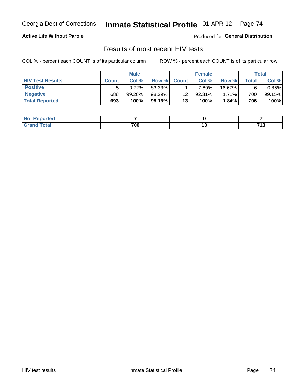### **Active Life Without Parole**

Produced for **General Distribution**

## Results of most recent HIV tests

|                         | <b>Male</b>  |        |         | <b>Female</b> |        |        | Total       |           |
|-------------------------|--------------|--------|---------|---------------|--------|--------|-------------|-----------|
| <b>HIV Test Results</b> | <b>Count</b> | Col%   | Row %I  | <b>Count</b>  | Col%   | Row %  | $\tau$ otal | Col %     |
| <b>Positive</b>         | 5            | 0.72%  | 83.33%  |               | 7.69%. | 16.67% | 6           | $0.85\%$  |
| <b>Negative</b>         | 688          | 99.28% | 98.29%  | 12            | 92.31% | 1.71%  | 700         | $99.15\%$ |
| <b>Total Reported</b>   | 693          | 100%   | 98.16%I | 13            | 100%   | 1.84%  | 706         | 100%      |

| Reported<br>I NOT |     |     |                   |
|-------------------|-----|-----|-------------------|
| <b>Cotal</b>      | 700 | $-$ | フィク<br><br>$\sim$ |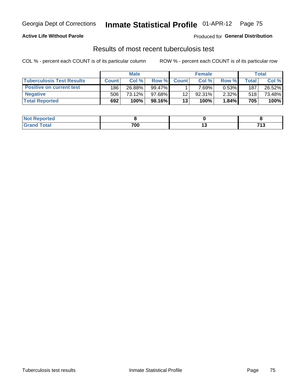### **Active Life Without Parole**

Produced for **General Distribution**

## Results of most recent tuberculosis test

|                                  | <b>Male</b>  |        |           | <b>Female</b> |           |          | Total        |        |
|----------------------------------|--------------|--------|-----------|---------------|-----------|----------|--------------|--------|
| <b>Tuberculosis Test Results</b> | <b>Count</b> | Col%   | Row %I    | <b>Count</b>  | Col%      | Row %    | <b>Total</b> | Col %  |
| <b>Positive on current test</b>  | 186          | 26.88% | $99.47\%$ |               | $7.69\%$  | $0.53\%$ | 187          | 26.52% |
| <b>Negative</b>                  | 506'         | 73.12% | 97.68%    | 12            | $92.31\%$ | $2.32\%$ | 518          | 73.48% |
| <b>Total Reported</b>            | 692          | 100%   | 98.16%    | 13            | 100%      | 1.84%    | 705          | 100%   |

| <b>Not Reported</b> |     |        |                    |
|---------------------|-----|--------|--------------------|
| <b>Total</b>        | 700 | $\sim$ | 740<br>.<br>$\sim$ |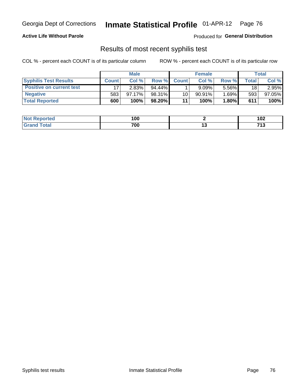#### **Active Life Without Parole**

Produced for **General Distribution**

## Results of most recent syphilis test

|                                 |              | <b>Male</b> |           |              | <b>Female</b> |          |              | Total  |
|---------------------------------|--------------|-------------|-----------|--------------|---------------|----------|--------------|--------|
| <b>Syphilis Test Results</b>    | <b>Count</b> | Col%        | Row %I    | <b>Count</b> | Col %         | Row %    | <b>Total</b> | Col %  |
| <b>Positive on current test</b> |              | 2.83%       | $94.44\%$ |              | 9.09%         | 5.56%    | 18           | 2.95%  |
| <b>Negative</b>                 | 583          | $97.17\%$   | 98.31%    | 10           | $90.91\%$     | $1.69\%$ | 593          | 97.05% |
| <b>Total Reported</b>           | 600          | 100%        | 98.20%    | 11           | 100%          | 1.80%    | 611          | 100%   |

| <b>Not Reported</b> | 100 | 102                     |
|---------------------|-----|-------------------------|
| Total               | 700 | <br>74.9<br>.<br>$\sim$ |